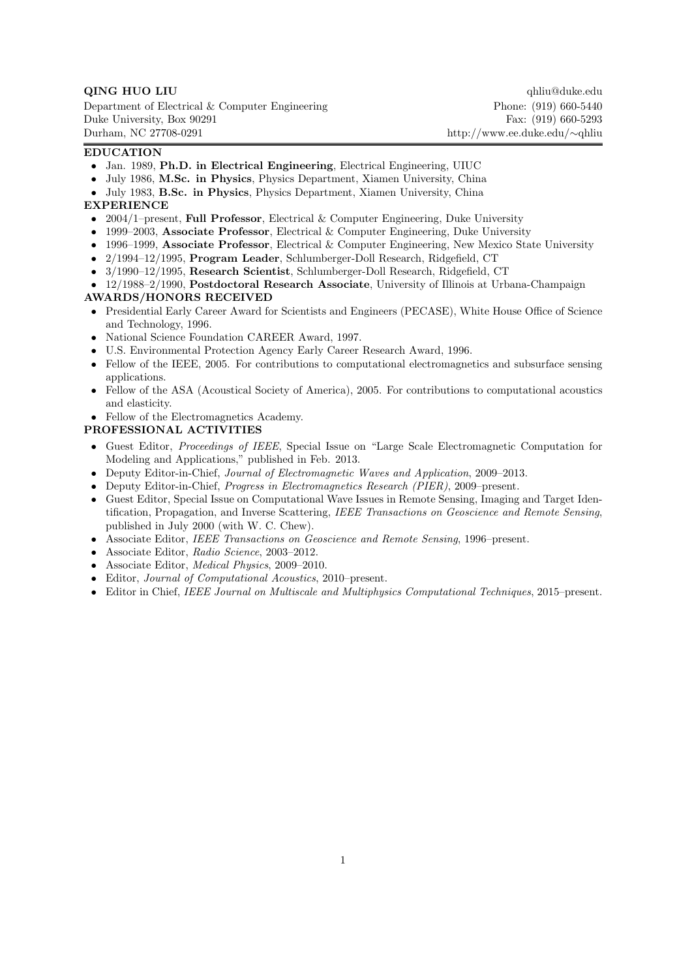Department of Electrical & Computer Engineering Phone: (919) 660-5440 Duke University, Box 90291 Fax: (919) 660-5293 Durham, NC 27708-0291 http://www.ee.duke.edu/*∼*qhliu

**QING HUO LIU** qhliu@duke.edu

# **EDUCATION**

- *•* Jan. 1989, **Ph.D. in Electrical Engineering**, Electrical Engineering, UIUC
- *•* July 1986, **M.Sc. in Physics**, Physics Department, Xiamen University, China
- *•* July 1983, **B.Sc. in Physics**, Physics Department, Xiamen University, China

## **EXPERIENCE**

- *•* 2004/1–present, **Full Professor**, Electrical & Computer Engineering, Duke University
- *•* 1999–2003, **Associate Professor**, Electrical & Computer Engineering, Duke University
- *•* 1996–1999, **Associate Professor**, Electrical & Computer Engineering, New Mexico State University
- *•* 2/1994–12/1995, **Program Leader**, Schlumberger-Doll Research, Ridgefield, CT
- *•* 3/1990–12/1995, **Research Scientist**, Schlumberger-Doll Research, Ridgefield, CT
- *•* 12/1988–2/1990, **Postdoctoral Research Associate**, University of Illinois at Urbana-Champaign

## **AWARDS/HONORS RECEIVED**

- *•* Presidential Early Career Award for Scientists and Engineers (PECASE), White House Office of Science and Technology, 1996.
- *•* National Science Foundation CAREER Award, 1997.
- *•* U.S. Environmental Protection Agency Early Career Research Award, 1996.
- Fellow of the IEEE, 2005. For contributions to computational electromagnetics and subsurface sensing applications.
- Fellow of the ASA (Acoustical Society of America), 2005. For contributions to computational acoustics and elasticity.
- Fellow of the Electromagnetics Academy.

# **PROFESSIONAL ACTIVITIES**

- *•* Guest Editor, *Proceedings of IEEE*, Special Issue on "Large Scale Electromagnetic Computation for Modeling and Applications," published in Feb. 2013.
- *•* Deputy Editor-in-Chief, *Journal of Electromagnetic Waves and Application*, 2009–2013.
- *•* Deputy Editor-in-Chief, *Progress in Electromagnetics Research (PIER)*, 2009–present.
- *•* Guest Editor, Special Issue on Computational Wave Issues in Remote Sensing, Imaging and Target Identification, Propagation, and Inverse Scattering, *IEEE Transactions on Geoscience and Remote Sensing*, published in July 2000 (with W. C. Chew).
- *•* Associate Editor, *IEEE Transactions on Geoscience and Remote Sensing*, 1996–present.
- *•* Associate Editor, *Radio Science*, 2003–2012.
- *•* Associate Editor, *Medical Physics*, 2009–2010.
- *•* Editor, *Journal of Computational Acoustics*, 2010–present.
- *•* Editor in Chief, *IEEE Journal on Multiscale and Multiphysics Computational Techniques*, 2015–present.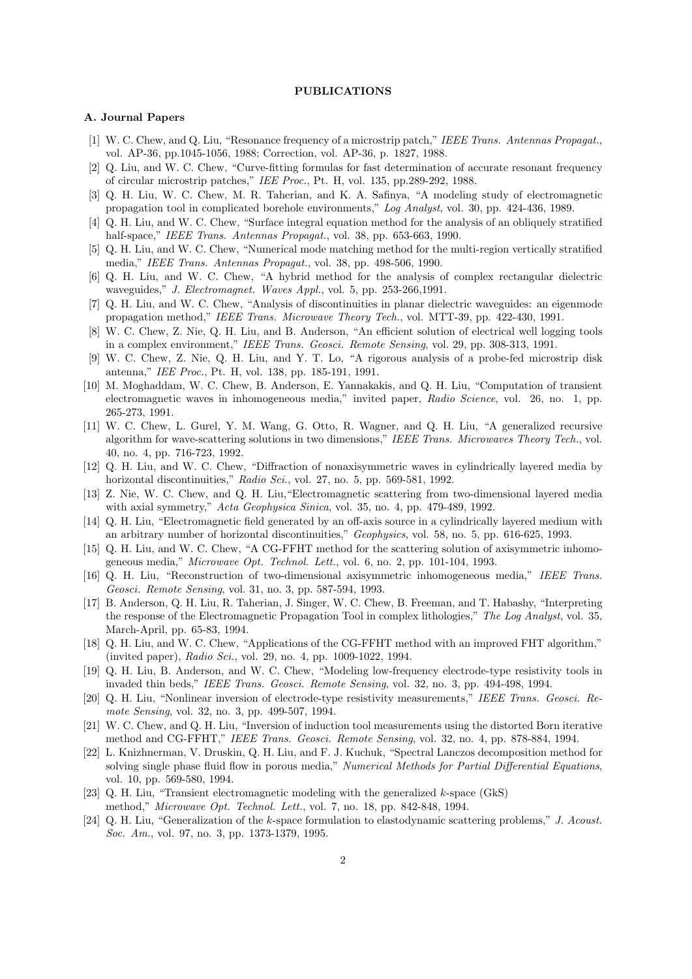### **PUBLICATIONS**

#### **A. Journal Papers**

- [1] W. C. Chew, and Q. Liu, "Resonance frequency of a microstrip patch," *IEEE Trans. Antennas Propagat.*, vol. AP-36, pp.1045-1056, 1988; Correction, vol. AP-36, p. 1827, 1988.
- [2] Q. Liu, and W. C. Chew, "Curve-fitting formulas for fast determination of accurate resonant frequency of circular microstrip patches," *IEE Proc.*, Pt. H, vol. 135, pp.289-292, 1988.
- [3] Q. H. Liu, W. C. Chew, M. R. Taherian, and K. A. Safinya, "A modeling study of electromagnetic propagation tool in complicated borehole environments," *Log Analyst*, vol. 30, pp. 424-436, 1989.
- [4] Q. H. Liu, and W. C. Chew, "Surface integral equation method for the analysis of an obliquely stratified half-space," *IEEE Trans. Antennas Propagat.*, vol. 38, pp. 653-663, 1990.
- [5] Q. H. Liu, and W. C. Chew, "Numerical mode matching method for the multi-region vertically stratified media," *IEEE Trans. Antennas Propagat.*, vol. 38, pp. 498-506, 1990.
- [6] Q. H. Liu, and W. C. Chew, "A hybrid method for the analysis of complex rectangular dielectric waveguides," *J. Electromagnet. Waves Appl.*, vol. 5, pp. 253-266,1991.
- [7] Q. H. Liu, and W. C. Chew, "Analysis of discontinuities in planar dielectric waveguides: an eigenmode propagation method," *IEEE Trans. Microwave Theory Tech.*, vol. MTT-39, pp. 422-430, 1991.
- [8] W. C. Chew, Z. Nie, Q. H. Liu, and B. Anderson, "An efficient solution of electrical well logging tools in a complex environment," *IEEE Trans. Geosci. Remote Sensing*, vol. 29, pp. 308-313, 1991.
- [9] W. C. Chew, Z. Nie, Q. H. Liu, and Y. T. Lo, "A rigorous analysis of a probe-fed microstrip disk antenna," *IEE Proc.*, Pt. H, vol. 138, pp. 185-191, 1991.
- [10] M. Moghaddam, W. C. Chew, B. Anderson, E. Yannakakis, and Q. H. Liu, "Computation of transient electromagnetic waves in inhomogeneous media," invited paper, *Radio Science*, vol. 26, no. 1, pp. 265-273, 1991.
- [11] W. C. Chew, L. Gurel, Y. M. Wang, G. Otto, R. Wagner, and Q. H. Liu, "A generalized recursive algorithm for wave-scattering solutions in two dimensions," *IEEE Trans. Microwaves Theory Tech.*, vol. 40, no. 4, pp. 716-723, 1992.
- [12] Q. H. Liu, and W. C. Chew, "Diffraction of nonaxisymmetric waves in cylindrically layered media by horizontal discontinuities," *Radio Sci.*, vol. 27, no. 5, pp. 569-581, 1992.
- [13] Z. Nie, W. C. Chew, and Q. H. Liu,"Electromagnetic scattering from two-dimensional layered media with axial symmetry," *Acta Geophysica Sinica*, vol. 35, no. 4, pp. 479-489, 1992.
- [14] Q. H. Liu, "Electromagnetic field generated by an off-axis source in a cylindrically layered medium with an arbitrary number of horizontal discontinuities," *Geophysics*, vol. 58, no. 5, pp. 616-625, 1993.
- [15] Q. H. Liu, and W. C. Chew, "A CG-FFHT method for the scattering solution of axisymmetric inhomogeneous media," *Microwave Opt. Technol. Lett.*, vol. 6, no. 2, pp. 101-104, 1993.
- [16] Q. H. Liu, "Reconstruction of two-dimensional axisymmetric inhomogeneous media," *IEEE Trans. Geosci. Remote Sensing*, vol. 31, no. 3, pp. 587-594, 1993.
- [17] B. Anderson, Q. H. Liu, R. Taherian, J. Singer, W. C. Chew, B. Freeman, and T. Habashy, "Interpreting the response of the Electromagnetic Propagation Tool in complex lithologies," *The Log Analyst*, vol. 35, March-April, pp. 65-83, 1994.
- [18] Q. H. Liu, and W. C. Chew, "Applications of the CG-FFHT method with an improved FHT algorithm," (invited paper), *Radio Sci.*, vol. 29, no. 4, pp. 1009-1022, 1994.
- [19] Q. H. Liu, B. Anderson, and W. C. Chew, "Modeling low-frequency electrode-type resistivity tools in invaded thin beds," *IEEE Trans. Geosci. Remote Sensing*, vol. 32, no. 3, pp. 494-498, 1994.
- [20] Q. H. Liu, "Nonlinear inversion of electrode-type resistivity measurements," *IEEE Trans. Geosci. Remote Sensing*, vol. 32, no. 3, pp. 499-507, 1994.
- [21] W. C. Chew, and Q. H. Liu, "Inversion of induction tool measurements using the distorted Born iterative method and CG-FFHT," *IEEE Trans. Geosci. Remote Sensing*, vol. 32, no. 4, pp. 878-884, 1994.
- [22] L. Knizhnerman, V. Druskin, Q. H. Liu, and F. J. Kuchuk, "Spectral Lanczos decomposition method for solving single phase fluid flow in porous media," *Numerical Methods for Partial Differential Equations*, vol. 10, pp. 569-580, 1994.
- [23] Q. H. Liu, "Transient electromagnetic modeling with the generalized *k*-space (GkS) method," *Microwave Opt. Technol. Lett.*, vol. 7, no. 18, pp. 842-848, 1994.
- [24] Q. H. Liu, "Generalization of the *k*-space formulation to elastodynamic scattering problems," *J. Acoust. Soc. Am.*, vol. 97, no. 3, pp. 1373-1379, 1995.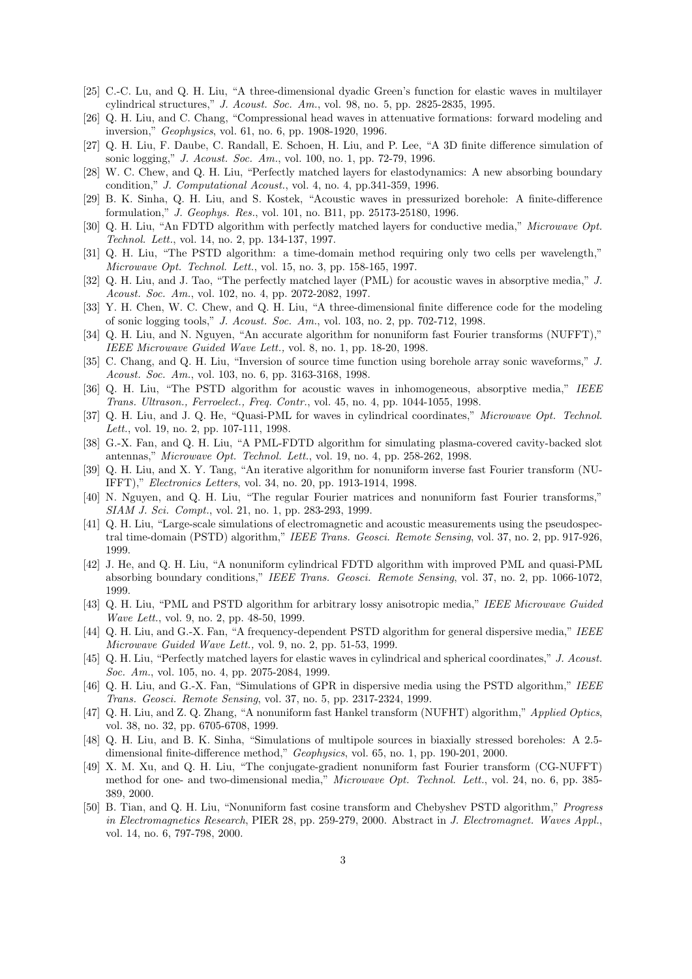- [25] C.-C. Lu, and Q. H. Liu, "A three-dimensional dyadic Green's function for elastic waves in multilayer cylindrical structures," *J. Acoust. Soc. Am.*, vol. 98, no. 5, pp. 2825-2835, 1995.
- [26] Q. H. Liu, and C. Chang, "Compressional head waves in attenuative formations: forward modeling and inversion," *Geophysics*, vol. 61, no. 6, pp. 1908-1920, 1996.
- [27] Q. H. Liu, F. Daube, C. Randall, E. Schoen, H. Liu, and P. Lee, "A 3D finite difference simulation of sonic logging," *J. Acoust. Soc. Am.*, vol. 100, no. 1, pp. 72-79, 1996.
- [28] W. C. Chew, and Q. H. Liu, "Perfectly matched layers for elastodynamics: A new absorbing boundary condition," *J. Computational Acoust.*, vol. 4, no. 4, pp.341-359, 1996.
- [29] B. K. Sinha, Q. H. Liu, and S. Kostek, "Acoustic waves in pressurized borehole: A finite-difference formulation," *J. Geophys. Res.*, vol. 101, no. B11, pp. 25173-25180, 1996.
- [30] Q. H. Liu, "An FDTD algorithm with perfectly matched layers for conductive media," *Microwave Opt. Technol. Lett.*, vol. 14, no. 2, pp. 134-137, 1997.
- [31] Q. H. Liu, "The PSTD algorithm: a time-domain method requiring only two cells per wavelength," *Microwave Opt. Technol. Lett.*, vol. 15, no. 3, pp. 158-165, 1997.
- [32] Q. H. Liu, and J. Tao, "The perfectly matched layer (PML) for acoustic waves in absorptive media," *J. Acoust. Soc. Am.*, vol. 102, no. 4, pp. 2072-2082, 1997.
- [33] Y. H. Chen, W. C. Chew, and Q. H. Liu, "A three-dimensional finite difference code for the modeling of sonic logging tools," *J. Acoust. Soc. Am.*, vol. 103, no. 2, pp. 702-712, 1998.
- [34] Q. H. Liu, and N. Nguyen, "An accurate algorithm for nonuniform fast Fourier transforms (NUFFT)," *IEEE Microwave Guided Wave Lett.,* vol. 8, no. 1, pp. 18-20, 1998.
- [35] C. Chang, and Q. H. Liu, "Inversion of source time function using borehole array sonic waveforms," *J. Acoust. Soc. Am.*, vol. 103, no. 6, pp. 3163-3168, 1998.
- [36] Q. H. Liu, "The PSTD algorithm for acoustic waves in inhomogeneous, absorptive media," *IEEE Trans. Ultrason., Ferroelect., Freq. Contr.*, vol. 45, no. 4, pp. 1044-1055, 1998.
- [37] Q. H. Liu, and J. Q. He, "Quasi-PML for waves in cylindrical coordinates," *Microwave Opt. Technol. Lett.*, vol. 19, no. 2, pp. 107-111, 1998.
- [38] G.-X. Fan, and Q. H. Liu, "A PML-FDTD algorithm for simulating plasma-covered cavity-backed slot antennas," *Microwave Opt. Technol. Lett.*, vol. 19, no. 4, pp. 258-262, 1998.
- [39] Q. H. Liu, and X. Y. Tang, "An iterative algorithm for nonuniform inverse fast Fourier transform (NU-IFFT)," *Electronics Letters*, vol. 34, no. 20, pp. 1913-1914, 1998.
- [40] N. Nguyen, and Q. H. Liu, "The regular Fourier matrices and nonuniform fast Fourier transforms," *SIAM J. Sci. Compt.*, vol. 21, no. 1, pp. 283-293, 1999.
- [41] Q. H. Liu, "Large-scale simulations of electromagnetic and acoustic measurements using the pseudospectral time-domain (PSTD) algorithm," *IEEE Trans. Geosci. Remote Sensing*, vol. 37, no. 2, pp. 917-926, 1999.
- [42] J. He, and Q. H. Liu, "A nonuniform cylindrical FDTD algorithm with improved PML and quasi-PML absorbing boundary conditions," *IEEE Trans. Geosci. Remote Sensing*, vol. 37, no. 2, pp. 1066-1072, 1999.
- [43] Q. H. Liu, "PML and PSTD algorithm for arbitrary lossy anisotropic media," *IEEE Microwave Guided Wave Lett.*, vol. 9, no. 2, pp. 48-50, 1999.
- [44] Q. H. Liu, and G.-X. Fan, "A frequency-dependent PSTD algorithm for general dispersive media," *IEEE Microwave Guided Wave Lett.,* vol. 9, no. 2, pp. 51-53, 1999.
- [45] Q. H. Liu, "Perfectly matched layers for elastic waves in cylindrical and spherical coordinates," *J. Acoust. Soc. Am.*, vol. 105, no. 4, pp. 2075-2084, 1999.
- [46] Q. H. Liu, and G.-X. Fan, "Simulations of GPR in dispersive media using the PSTD algorithm," *IEEE Trans. Geosci. Remote Sensing*, vol. 37, no. 5, pp. 2317-2324, 1999.
- [47] Q. H. Liu, and Z. Q. Zhang, "A nonuniform fast Hankel transform (NUFHT) algorithm," *Applied Optics*, vol. 38, no. 32, pp. 6705-6708, 1999.
- [48] Q. H. Liu, and B. K. Sinha, "Simulations of multipole sources in biaxially stressed boreholes: A 2.5 dimensional finite-difference method," *Geophysics*, vol. 65, no. 1, pp. 190-201, 2000.
- [49] X. M. Xu, and Q. H. Liu, "The conjugate-gradient nonuniform fast Fourier transform (CG-NUFFT) method for one- and two-dimensional media," *Microwave Opt. Technol. Lett.*, vol. 24, no. 6, pp. 385- 389, 2000.
- [50] B. Tian, and Q. H. Liu, "Nonuniform fast cosine transform and Chebyshev PSTD algorithm," *Progress in Electromagnetics Research*, PIER 28, pp. 259-279, 2000. Abstract in *J. Electromagnet. Waves Appl.*, vol. 14, no. 6, 797-798, 2000.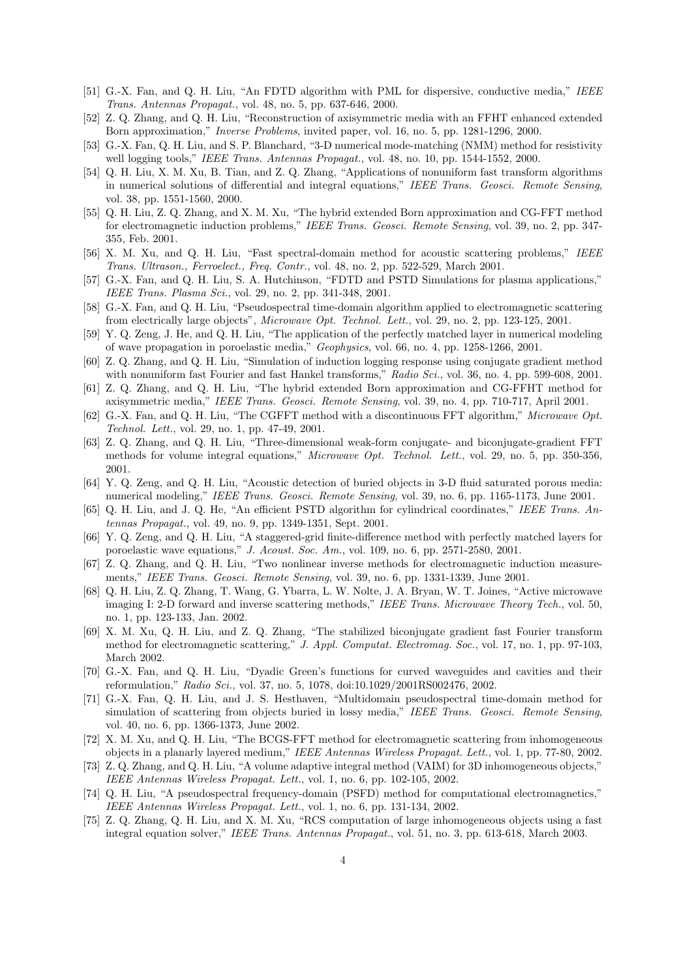- [51] G.-X. Fan, and Q. H. Liu, "An FDTD algorithm with PML for dispersive, conductive media," *IEEE Trans. Antennas Propagat.*, vol. 48, no. 5, pp. 637-646, 2000.
- [52] Z. Q. Zhang, and Q. H. Liu, "Reconstruction of axisymmetric media with an FFHT enhanced extended Born approximation," *Inverse Problems*, invited paper, vol. 16, no. 5, pp. 1281-1296, 2000.
- [53] G.-X. Fan, Q. H. Liu, and S. P. Blanchard, "3-D numerical mode-matching (NMM) method for resistivity well logging tools," *IEEE Trans. Antennas Propagat.*, vol. 48, no. 10, pp. 1544-1552, 2000.
- [54] Q. H. Liu, X. M. Xu, B. Tian, and Z. Q. Zhang, "Applications of nonuniform fast transform algorithms in numerical solutions of differential and integral equations," *IEEE Trans. Geosci. Remote Sensing*, vol. 38, pp. 1551-1560, 2000.
- [55] Q. H. Liu, Z. Q. Zhang, and X. M. Xu, "The hybrid extended Born approximation and CG-FFT method for electromagnetic induction problems," *IEEE Trans. Geosci. Remote Sensing*, vol. 39, no. 2, pp. 347- 355, Feb. 2001.
- [56] X. M. Xu, and Q. H. Liu, "Fast spectral-domain method for acoustic scattering problems," *IEEE Trans. Ultrason., Ferroelect., Freq. Contr.*, vol. 48, no. 2, pp. 522-529, March 2001.
- [57] G.-X. Fan, and Q. H. Liu, S. A. Hutchinson, "FDTD and PSTD Simulations for plasma applications," *IEEE Trans. Plasma Sci.*, vol. 29, no. 2, pp. 341-348, 2001.
- [58] G.-X. Fan, and Q. H. Liu, "Pseudospectral time-domain algorithm applied to electromagnetic scattering from electrically large objects", *Microwave Opt. Technol. Lett.*, vol. 29, no. 2, pp. 123-125, 2001.
- [59] Y. Q. Zeng, J. He, and Q. H. Liu, "The application of the perfectly matched layer in numerical modeling of wave propagation in poroelastic media," *Geophysics*, vol. 66, no. 4, pp. 1258-1266, 2001.
- [60] Z. Q. Zhang, and Q. H. Liu, "Simulation of induction logging response using conjugate gradient method with nonuniform fast Fourier and fast Hankel transforms," *Radio Sci.*, vol. 36, no. 4, pp. 599-608, 2001.
- [61] Z. Q. Zhang, and Q. H. Liu, "The hybrid extended Born approximation and CG-FFHT method for axisymmetric media," *IEEE Trans. Geosci. Remote Sensing*, vol. 39, no. 4, pp. 710-717, April 2001.
- [62] G.-X. Fan, and Q. H. Liu, "The CGFFT method with a discontinuous FFT algorithm," *Microwave Opt. Technol. Lett.*, vol. 29, no. 1, pp. 47-49, 2001.
- [63] Z. Q. Zhang, and Q. H. Liu, "Three-dimensional weak-form conjugate- and biconjugate-gradient FFT methods for volume integral equations," *Microwave Opt. Technol. Lett.*, vol. 29, no. 5, pp. 350-356, 2001.
- [64] Y. Q. Zeng, and Q. H. Liu, "Acoustic detection of buried objects in 3-D fluid saturated porous media: numerical modeling," *IEEE Trans. Geosci. Remote Sensing*, vol. 39, no. 6, pp. 1165-1173, June 2001.
- [65] Q. H. Liu, and J. Q. He, "An efficient PSTD algorithm for cylindrical coordinates," *IEEE Trans. Antennas Propagat.*, vol. 49, no. 9, pp. 1349-1351, Sept. 2001.
- [66] Y. Q. Zeng, and Q. H. Liu, "A staggered-grid finite-difference method with perfectly matched layers for poroelastic wave equations," *J. Acoust. Soc. Am.*, vol. 109, no. 6, pp. 2571-2580, 2001.
- [67] Z. Q. Zhang, and Q. H. Liu, "Two nonlinear inverse methods for electromagnetic induction measurements," *IEEE Trans. Geosci. Remote Sensing*, vol. 39, no. 6, pp. 1331-1339, June 2001.
- [68] Q. H. Liu, Z. Q. Zhang, T. Wang, G. Ybarra, L. W. Nolte, J. A. Bryan, W. T. Joines, "Active microwave imaging I: 2-D forward and inverse scattering methods," *IEEE Trans. Microwave Theory Tech.*, vol. 50, no. 1, pp. 123-133, Jan. 2002.
- [69] X. M. Xu, Q. H. Liu, and Z. Q. Zhang, "The stabilized biconjugate gradient fast Fourier transform method for electromagnetic scattering," *J. Appl. Computat. Electromag. Soc.*, vol. 17, no. 1, pp. 97-103, March 2002.
- [70] G.-X. Fan, and Q. H. Liu, "Dyadic Green's functions for curved waveguides and cavities and their reformulation," *Radio Sci.*, vol. 37, no. 5, 1078, doi:10.1029/2001RS002476, 2002.
- [71] G.-X. Fan, Q. H. Liu, and J. S. Hesthaven, "Multidomain pseudospectral time-domain method for simulation of scattering from objects buried in lossy media," *IEEE Trans. Geosci. Remote Sensing*, vol. 40, no. 6, pp. 1366-1373, June 2002.
- [72] X. M. Xu, and Q. H. Liu, "The BCGS-FFT method for electromagnetic scattering from inhomogeneous objects in a planarly layered medium," *IEEE Antennas Wireless Propagat. Lett.*, vol. 1, pp. 77-80, 2002.
- [73] Z. Q. Zhang, and Q. H. Liu, "A volume adaptive integral method (VAIM) for 3D inhomogeneous objects," *IEEE Antennas Wireless Propagat. Lett.*, vol. 1, no. 6, pp. 102-105, 2002.
- [74] Q. H. Liu, "A pseudospectral frequency-domain (PSFD) method for computational electromagnetics," *IEEE Antennas Wireless Propagat. Lett.*, vol. 1, no. 6, pp. 131-134, 2002.
- [75] Z. Q. Zhang, Q. H. Liu, and X. M. Xu, "RCS computation of large inhomogeneous objects using a fast integral equation solver," *IEEE Trans. Antennas Propagat.*, vol. 51, no. 3, pp. 613-618, March 2003.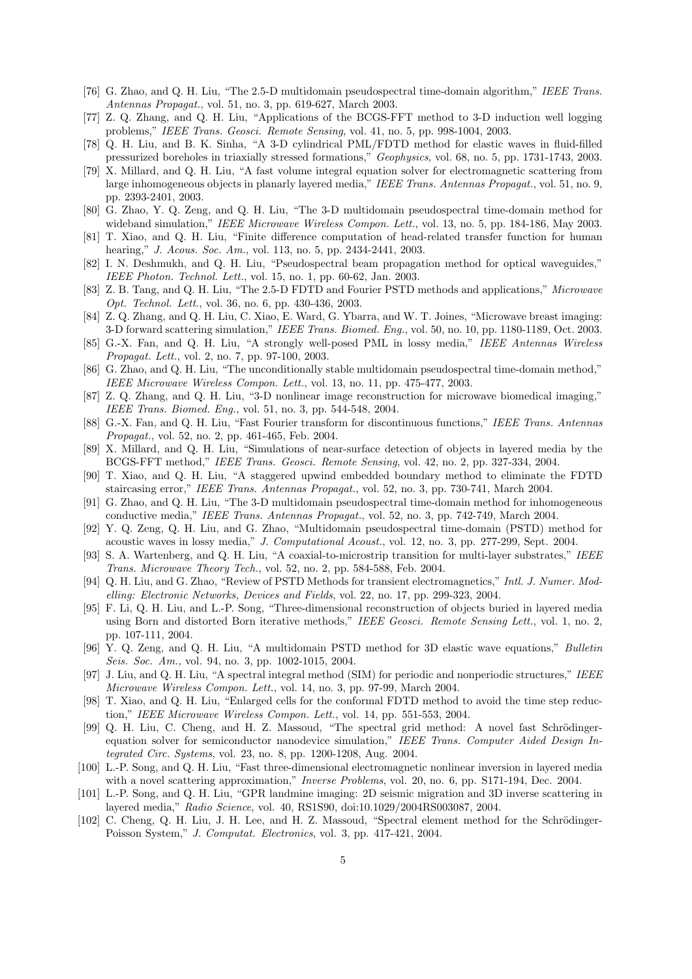- [76] G. Zhao, and Q. H. Liu, "The 2.5-D multidomain pseudospectral time-domain algorithm," *IEEE Trans. Antennas Propagat.*, vol. 51, no. 3, pp. 619-627, March 2003.
- [77] Z. Q. Zhang, and Q. H. Liu, "Applications of the BCGS-FFT method to 3-D induction well logging problems," *IEEE Trans. Geosci. Remote Sensing*, vol. 41, no. 5, pp. 998-1004, 2003.
- [78] Q. H. Liu, and B. K. Sinha, "A 3-D cylindrical PML/FDTD method for elastic waves in fluid-filled pressurized boreholes in triaxially stressed formations," *Geophysics*, vol. 68, no. 5, pp. 1731-1743, 2003.
- [79] X. Millard, and Q. H. Liu, "A fast volume integral equation solver for electromagnetic scattering from large inhomogeneous objects in planarly layered media," *IEEE Trans. Antennas Propagat.*, vol. 51, no. 9, pp. 2393-2401, 2003.
- [80] G. Zhao, Y. Q. Zeng, and Q. H. Liu, "The 3-D multidomain pseudospectral time-domain method for wideband simulation," *IEEE Microwave Wireless Compon. Lett.*, vol. 13, no. 5, pp. 184-186, May 2003.
- [81] T. Xiao, and Q. H. Liu, "Finite difference computation of head-related transfer function for human hearing," *J. Acous. Soc. Am.*, vol. 113, no. 5, pp. 2434-2441, 2003.
- [82] I. N. Deshmukh, and Q. H. Liu, "Pseudospectral beam propagation method for optical waveguides," *IEEE Photon. Technol. Lett.*, vol. 15, no. 1, pp. 60-62, Jan. 2003.
- [83] Z. B. Tang, and Q. H. Liu, "The 2.5-D FDTD and Fourier PSTD methods and applications," *Microwave Opt. Technol. Lett.*, vol. 36, no. 6, pp. 430-436, 2003.
- [84] Z. Q. Zhang, and Q. H. Liu, C. Xiao, E. Ward, G. Ybarra, and W. T. Joines, "Microwave breast imaging: 3-D forward scattering simulation," *IEEE Trans. Biomed. Eng.*, vol. 50, no. 10, pp. 1180-1189, Oct. 2003.
- [85] G.-X. Fan, and Q. H. Liu, "A strongly well-posed PML in lossy media," *IEEE Antennas Wireless Propagat. Lett.*, vol. 2, no. 7, pp. 97-100, 2003.
- [86] G. Zhao, and Q. H. Liu, "The unconditionally stable multidomain pseudospectral time-domain method," *IEEE Microwave Wireless Compon. Lett.*, vol. 13, no. 11, pp. 475-477, 2003.
- [87] Z. Q. Zhang, and Q. H. Liu, "3-D nonlinear image reconstruction for microwave biomedical imaging," *IEEE Trans. Biomed. Eng.*, vol. 51, no. 3, pp. 544-548, 2004.
- [88] G.-X. Fan, and Q. H. Liu, "Fast Fourier transform for discontinuous functions," *IEEE Trans. Antennas Propagat.*, vol. 52, no. 2, pp. 461-465, Feb. 2004.
- [89] X. Millard, and Q. H. Liu, "Simulations of near-surface detection of objects in layered media by the BCGS-FFT method," *IEEE Trans. Geosci. Remote Sensing*, vol. 42, no. 2, pp. 327-334, 2004.
- [90] T. Xiao, and Q. H. Liu, "A staggered upwind embedded boundary method to eliminate the FDTD staircasing error," *IEEE Trans. Antennas Propagat.*, vol. 52, no. 3, pp. 730-741, March 2004.
- [91] G. Zhao, and Q. H. Liu, "The 3-D multidomain pseudospectral time-domain method for inhomogeneous conductive media," *IEEE Trans. Antennas Propagat.*, vol. 52, no. 3, pp. 742-749, March 2004.
- [92] Y. Q. Zeng, Q. H. Liu, and G. Zhao, "Multidomain pseudospectral time-domain (PSTD) method for acoustic waves in lossy media," *J. Computational Acoust.*, vol. 12, no. 3, pp. 277-299, Sept. 2004.
- [93] S. A. Wartenberg, and Q. H. Liu, "A coaxial-to-microstrip transition for multi-layer substrates," *IEEE Trans. Microwave Theory Tech.*, vol. 52, no. 2, pp. 584-588, Feb. 2004.
- [94] Q. H. Liu, and G. Zhao, "Review of PSTD Methods for transient electromagnetics," *Intl. J. Numer. Modelling: Electronic Networks, Devices and Fields*, vol. 22, no. 17, pp. 299-323, 2004.
- [95] F. Li, Q. H. Liu, and L.-P. Song, "Three-dimensional reconstruction of objects buried in layered media using Born and distorted Born iterative methods," *IEEE Geosci. Remote Sensing Lett.*, vol. 1, no. 2, pp. 107-111, 2004.
- [96] Y. Q. Zeng, and Q. H. Liu, "A multidomain PSTD method for 3D elastic wave equations," *Bulletin Seis. Soc. Am.,* vol. 94, no. 3, pp. 1002-1015, 2004.
- [97] J. Liu, and Q. H. Liu, "A spectral integral method (SIM) for periodic and nonperiodic structures," *IEEE Microwave Wireless Compon. Lett.*, vol. 14, no. 3, pp. 97-99, March 2004.
- [98] T. Xiao, and Q. H. Liu, "Enlarged cells for the conformal FDTD method to avoid the time step reduction," *IEEE Microwave Wireless Compon. Lett.*, vol. 14, pp. 551-553, 2004.
- [99] Q. H. Liu, C. Cheng, and H. Z. Massoud, "The spectral grid method: A novel fast Schrödingerequation solver for semiconductor nanodevice simulation," *IEEE Trans. Computer Aided Design Integrated Circ. Systems*, vol. 23, no. 8, pp. 1200-1208, Aug. 2004.
- [100] L.-P. Song, and Q. H. Liu, "Fast three-dimensional electromagnetic nonlinear inversion in layered media with a novel scattering approximation," *Inverse Problems*, vol. 20, no. 6, pp. S171-194, Dec. 2004.
- [101] L.-P. Song, and Q. H. Liu, "GPR landmine imaging: 2D seismic migration and 3D inverse scattering in layered media," *Radio Science*, vol. 40, RS1S90, doi:10.1029/2004RS003087, 2004.
- [102] C. Cheng, Q. H. Liu, J. H. Lee, and H. Z. Massoud, "Spectral element method for the Schrödinger-Poisson System," *J. Computat. Electronics*, vol. 3, pp. 417-421, 2004.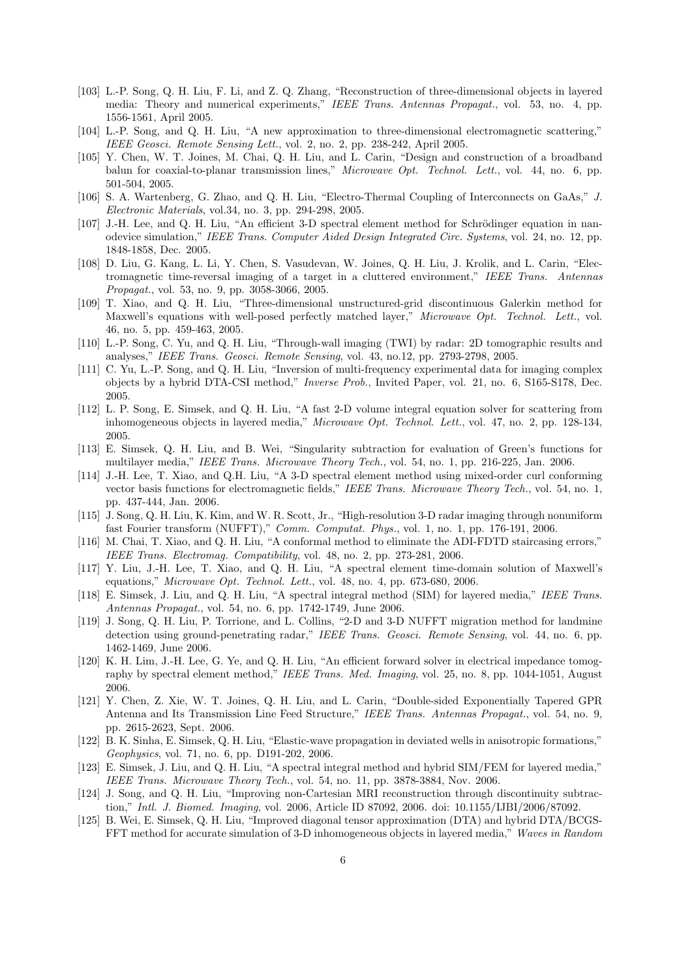- [103] L.-P. Song, Q. H. Liu, F. Li, and Z. Q. Zhang, "Reconstruction of three-dimensional objects in layered media: Theory and numerical experiments," *IEEE Trans. Antennas Propagat.*, vol. 53, no. 4, pp. 1556-1561, April 2005.
- [104] L.-P. Song, and Q. H. Liu, "A new approximation to three-dimensional electromagnetic scattering," *IEEE Geosci. Remote Sensing Lett.*, vol. 2, no. 2, pp. 238-242, April 2005.
- [105] Y. Chen, W. T. Joines, M. Chai, Q. H. Liu, and L. Carin, "Design and construction of a broadband balun for coaxial-to-planar transmission lines," *Microwave Opt. Technol. Lett.*, vol. 44, no. 6, pp. 501-504, 2005.
- [106] S. A. Wartenberg, G. Zhao, and Q. H. Liu, "Electro-Thermal Coupling of Interconnects on GaAs," *J. Electronic Materials*, vol.34, no. 3, pp. 294-298, 2005.
- [107] J.-H. Lee, and Q. H. Liu, "An efficient 3-D spectral element method for Schrödinger equation in nanodevice simulation," *IEEE Trans. Computer Aided Design Integrated Circ. Systems*, vol. 24, no. 12, pp. 1848-1858, Dec. 2005.
- [108] D. Liu, G. Kang, L. Li, Y. Chen, S. Vasudevan, W. Joines, Q. H. Liu, J. Krolik, and L. Carin, "Electromagnetic time-reversal imaging of a target in a cluttered environment," *IEEE Trans. Antennas Propagat.*, vol. 53, no. 9, pp. 3058-3066, 2005.
- [109] T. Xiao, and Q. H. Liu, "Three-dimensional unstructured-grid discontinuous Galerkin method for Maxwell's equations with well-posed perfectly matched layer," *Microwave Opt. Technol. Lett.*, vol. 46, no. 5, pp. 459-463, 2005.
- [110] L.-P. Song, C. Yu, and Q. H. Liu, "Through-wall imaging (TWI) by radar: 2D tomographic results and analyses," *IEEE Trans. Geosci. Remote Sensing*, vol. 43, no.12, pp. 2793-2798, 2005.
- [111] C. Yu, L.-P. Song, and Q. H. Liu, "Inversion of multi-frequency experimental data for imaging complex objects by a hybrid DTA-CSI method," *Inverse Prob.*, Invited Paper, vol. 21, no. 6, S165-S178, Dec. 2005.
- [112] L. P. Song, E. Simsek, and Q. H. Liu, "A fast 2-D volume integral equation solver for scattering from inhomogeneous objects in layered media," *Microwave Opt. Technol. Lett.*, vol. 47, no. 2, pp. 128-134, 2005.
- [113] E. Simsek, Q. H. Liu, and B. Wei, "Singularity subtraction for evaluation of Green's functions for multilayer media," *IEEE Trans. Microwave Theory Tech.*, vol. 54, no. 1, pp. 216-225, Jan. 2006.
- [114] J.-H. Lee, T. Xiao, and Q.H. Liu, "A 3-D spectral element method using mixed-order curl conforming vector basis functions for electromagnetic fields," *IEEE Trans. Microwave Theory Tech.*, vol. 54, no. 1, pp. 437-444, Jan. 2006.
- [115] J. Song, Q. H. Liu, K. Kim, and W. R. Scott, Jr., "High-resolution 3-D radar imaging through nonuniform fast Fourier transform (NUFFT)," *Comm. Computat. Phys.*, vol. 1, no. 1, pp. 176-191, 2006.
- [116] M. Chai, T. Xiao, and Q. H. Liu, "A conformal method to eliminate the ADI-FDTD staircasing errors," *IEEE Trans. Electromag. Compatibility*, vol. 48, no. 2, pp. 273-281, 2006.
- [117] Y. Liu, J.-H. Lee, T. Xiao, and Q. H. Liu, "A spectral element time-domain solution of Maxwell's equations," *Microwave Opt. Technol. Lett.*, vol. 48, no. 4, pp. 673-680, 2006.
- [118] E. Simsek, J. Liu, and Q. H. Liu, "A spectral integral method (SIM) for layered media," *IEEE Trans. Antennas Propagat.*, vol. 54, no. 6, pp. 1742-1749, June 2006.
- [119] J. Song, Q. H. Liu, P. Torrione, and L. Collins, "2-D and 3-D NUFFT migration method for landmine detection using ground-penetrating radar," *IEEE Trans. Geosci. Remote Sensing*, vol. 44, no. 6, pp. 1462-1469, June 2006.
- [120] K. H. Lim, J.-H. Lee, G. Ye, and Q. H. Liu, "An efficient forward solver in electrical impedance tomography by spectral element method," *IEEE Trans. Med. Imaging*, vol. 25, no. 8, pp. 1044-1051, August 2006.
- [121] Y. Chen, Z. Xie, W. T. Joines, Q. H. Liu, and L. Carin, "Double-sided Exponentially Tapered GPR Antenna and Its Transmission Line Feed Structure," *IEEE Trans. Antennas Propagat.*, vol. 54, no. 9, pp. 2615-2623, Sept. 2006.
- [122] B. K. Sinha, E. Simsek, Q. H. Liu, "Elastic-wave propagation in deviated wells in anisotropic formations," *Geophysics*, vol. 71, no. 6, pp. D191-202, 2006.
- [123] E. Simsek, J. Liu, and Q. H. Liu, "A spectral integral method and hybrid SIM/FEM for layered media," *IEEE Trans. Microwave Theory Tech.*, vol. 54, no. 11, pp. 3878-3884, Nov. 2006.
- [124] J. Song, and Q. H. Liu, "Improving non-Cartesian MRI reconstruction through discontinuity subtraction," *Intl. J. Biomed. Imaging*, vol. 2006, Article ID 87092, 2006. doi: 10.1155/IJBI/2006/87092.
- [125] B. Wei, E. Simsek, Q. H. Liu, "Improved diagonal tensor approximation (DTA) and hybrid DTA/BCGS-FFT method for accurate simulation of 3-D inhomogeneous objects in layered media," *Waves in Random*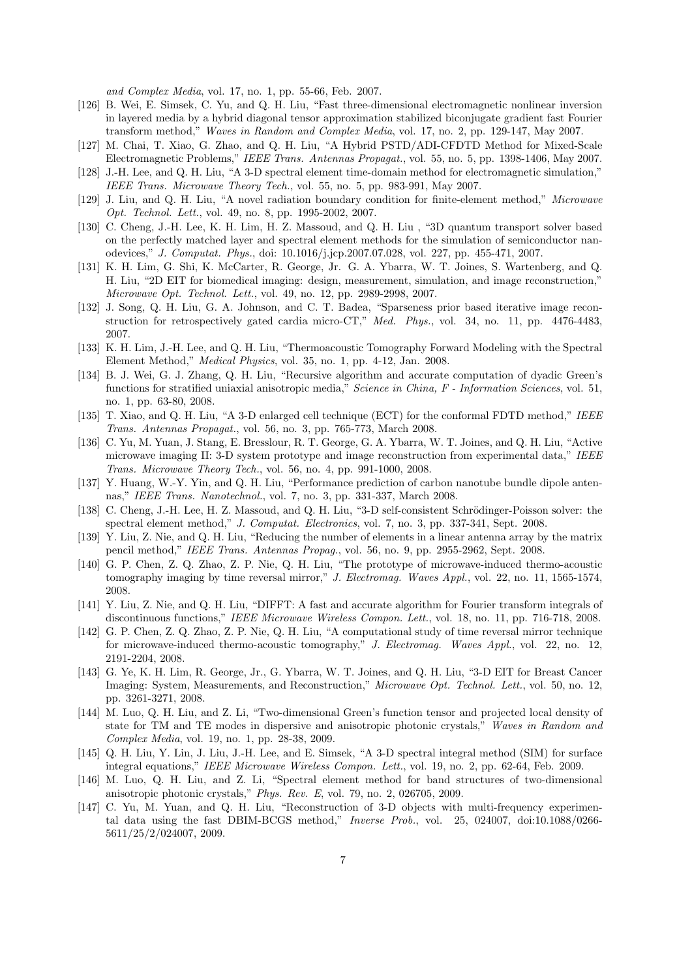*and Complex Media*, vol. 17, no. 1, pp. 55-66, Feb. 2007.

- [126] B. Wei, E. Simsek, C. Yu, and Q. H. Liu, "Fast three-dimensional electromagnetic nonlinear inversion in layered media by a hybrid diagonal tensor approximation stabilized biconjugate gradient fast Fourier transform method," *Waves in Random and Complex Media*, vol. 17, no. 2, pp. 129-147, May 2007.
- [127] M. Chai, T. Xiao, G. Zhao, and Q. H. Liu, "A Hybrid PSTD/ADI-CFDTD Method for Mixed-Scale Electromagnetic Problems," *IEEE Trans. Antennas Propagat.*, vol. 55, no. 5, pp. 1398-1406, May 2007.
- [128] J.-H. Lee, and Q. H. Liu, "A 3-D spectral element time-domain method for electromagnetic simulation," *IEEE Trans. Microwave Theory Tech.*, vol. 55, no. 5, pp. 983-991, May 2007.
- [129] J. Liu, and Q. H. Liu, "A novel radiation boundary condition for finite-element method," *Microwave Opt. Technol. Lett.*, vol. 49, no. 8, pp. 1995-2002, 2007.
- [130] C. Cheng, J.-H. Lee, K. H. Lim, H. Z. Massoud, and Q. H. Liu , "3D quantum transport solver based on the perfectly matched layer and spectral element methods for the simulation of semiconductor nanodevices," *J. Computat. Phys.*, doi: 10.1016/j.jcp.2007.07.028, vol. 227, pp. 455-471, 2007.
- [131] K. H. Lim, G. Shi, K. McCarter, R. George, Jr. G. A. Ybarra, W. T. Joines, S. Wartenberg, and Q. H. Liu, "2D EIT for biomedical imaging: design, measurement, simulation, and image reconstruction," *Microwave Opt. Technol. Lett.*, vol. 49, no. 12, pp. 2989-2998, 2007.
- [132] J. Song, Q. H. Liu, G. A. Johnson, and C. T. Badea, "Sparseness prior based iterative image reconstruction for retrospectively gated cardia micro-CT," *Med. Phys.*, vol. 34, no. 11, pp. 4476-4483, 2007.
- [133] K. H. Lim, J.-H. Lee, and Q. H. Liu, "Thermoacoustic Tomography Forward Modeling with the Spectral Element Method," *Medical Physics*, vol. 35, no. 1, pp. 4-12, Jan. 2008.
- [134] B. J. Wei, G. J. Zhang, Q. H. Liu, "Recursive algorithm and accurate computation of dyadic Green's functions for stratified uniaxial anisotropic media," *Science in China, F - Information Sciences*, vol. 51, no. 1, pp. 63-80, 2008.
- [135] T. Xiao, and Q. H. Liu, "A 3-D enlarged cell technique (ECT) for the conformal FDTD method," *IEEE Trans. Antennas Propagat.*, vol. 56, no. 3, pp. 765-773, March 2008.
- [136] C. Yu, M. Yuan, J. Stang, E. Bresslour, R. T. George, G. A. Ybarra, W. T. Joines, and Q. H. Liu, "Active microwave imaging II: 3-D system prototype and image reconstruction from experimental data," *IEEE Trans. Microwave Theory Tech.*, vol. 56, no. 4, pp. 991-1000, 2008.
- [137] Y. Huang, W.-Y. Yin, and Q. H. Liu, "Performance prediction of carbon nanotube bundle dipole antennas," *IEEE Trans. Nanotechnol.*, vol. 7, no. 3, pp. 331-337, March 2008.
- [138] C. Cheng, J.-H. Lee, H. Z. Massoud, and Q. H. Liu, "3-D self-consistent Schrödinger-Poisson solver: the spectral element method," *J. Computat. Electronics*, vol. 7, no. 3, pp. 337-341, Sept. 2008.
- [139] Y. Liu, Z. Nie, and Q. H. Liu, "Reducing the number of elements in a linear antenna array by the matrix pencil method," *IEEE Trans. Antennas Propag.*, vol. 56, no. 9, pp. 2955-2962, Sept. 2008.
- [140] G. P. Chen, Z. Q. Zhao, Z. P. Nie, Q. H. Liu, "The prototype of microwave-induced thermo-acoustic tomography imaging by time reversal mirror," *J. Electromag. Waves Appl.*, vol. 22, no. 11, 1565-1574, 2008.
- [141] Y. Liu, Z. Nie, and Q. H. Liu, "DIFFT: A fast and accurate algorithm for Fourier transform integrals of discontinuous functions," *IEEE Microwave Wireless Compon. Lett.*, vol. 18, no. 11, pp. 716-718, 2008.
- [142] G. P. Chen, Z. Q. Zhao, Z. P. Nie, Q. H. Liu, "A computational study of time reversal mirror technique for microwave-induced thermo-acoustic tomography," *J. Electromag. Waves Appl.*, vol. 22, no. 12, 2191-2204, 2008.
- [143] G. Ye, K. H. Lim, R. George, Jr., G. Ybarra, W. T. Joines, and Q. H. Liu, "3-D EIT for Breast Cancer Imaging: System, Measurements, and Reconstruction," *Microwave Opt. Technol. Lett.*, vol. 50, no. 12, pp. 3261-3271, 2008.
- [144] M. Luo, Q. H. Liu, and Z. Li, "Two-dimensional Green's function tensor and projected local density of state for TM and TE modes in dispersive and anisotropic photonic crystals," *Waves in Random and Complex Media*, vol. 19, no. 1, pp. 28-38, 2009.
- [145] Q. H. Liu, Y. Lin, J. Liu, J.-H. Lee, and E. Simsek, "A 3-D spectral integral method (SIM) for surface integral equations," *IEEE Microwave Wireless Compon. Lett.*, vol. 19, no. 2, pp. 62-64, Feb. 2009.
- [146] M. Luo, Q. H. Liu, and Z. Li, "Spectral element method for band structures of two-dimensional anisotropic photonic crystals," *Phys. Rev. E*, vol. 79, no. 2, 026705, 2009.
- [147] C. Yu, M. Yuan, and Q. H. Liu, "Reconstruction of 3-D objects with multi-frequency experimental data using the fast DBIM-BCGS method," *Inverse Prob.*, vol. 25, 024007, doi:10.1088/0266- 5611/25/2/024007, 2009.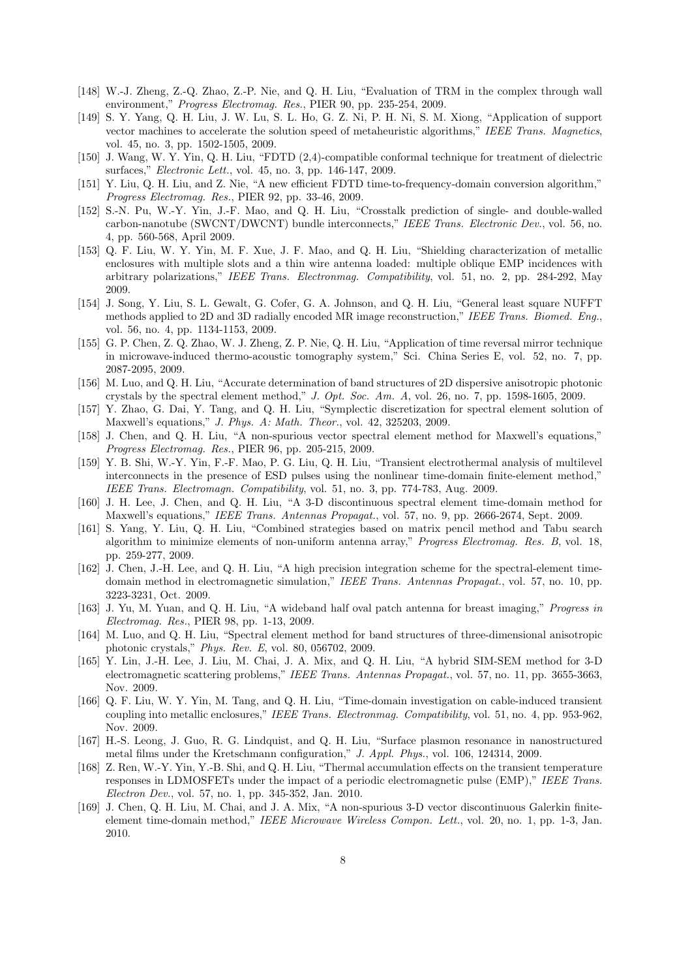- [148] W.-J. Zheng, Z.-Q. Zhao, Z.-P. Nie, and Q. H. Liu, "Evaluation of TRM in the complex through wall environment," *Progress Electromag. Res.*, PIER 90, pp. 235-254, 2009.
- [149] S. Y. Yang, Q. H. Liu, J. W. Lu, S. L. Ho, G. Z. Ni, P. H. Ni, S. M. Xiong, "Application of support vector machines to accelerate the solution speed of metaheuristic algorithms," *IEEE Trans. Magnetics*, vol. 45, no. 3, pp. 1502-1505, 2009.
- [150] J. Wang, W. Y. Yin, Q. H. Liu, "FDTD (2,4)-compatible conformal technique for treatment of dielectric surfaces," *Electronic Lett.*, vol. 45, no. 3, pp. 146-147, 2009.
- [151] Y. Liu, Q. H. Liu, and Z. Nie, "A new efficient FDTD time-to-frequency-domain conversion algorithm," *Progress Electromag. Res.*, PIER 92, pp. 33-46, 2009.
- [152] S.-N. Pu, W.-Y. Yin, J.-F. Mao, and Q. H. Liu, "Crosstalk prediction of single- and double-walled carbon-nanotube (SWCNT/DWCNT) bundle interconnects," *IEEE Trans. Electronic Dev.*, vol. 56, no. 4, pp. 560-568, April 2009.
- [153] Q. F. Liu, W. Y. Yin, M. F. Xue, J. F. Mao, and Q. H. Liu, "Shielding characterization of metallic enclosures with multiple slots and a thin wire antenna loaded: multiple oblique EMP incidences with arbitrary polarizations," *IEEE Trans. Electronmag. Compatibility*, vol. 51, no. 2, pp. 284-292, May 2009.
- [154] J. Song, Y. Liu, S. L. Gewalt, G. Cofer, G. A. Johnson, and Q. H. Liu, "General least square NUFFT methods applied to 2D and 3D radially encoded MR image reconstruction," *IEEE Trans. Biomed. Eng.*, vol. 56, no. 4, pp. 1134-1153, 2009.
- [155] G. P. Chen, Z. Q. Zhao, W. J. Zheng, Z. P. Nie, Q. H. Liu, "Application of time reversal mirror technique in microwave-induced thermo-acoustic tomography system," Sci. China Series E, vol. 52, no. 7, pp. 2087-2095, 2009.
- [156] M. Luo, and Q. H. Liu, "Accurate determination of band structures of 2D dispersive anisotropic photonic crystals by the spectral element method," *J. Opt. Soc. Am. A*, vol. 26, no. 7, pp. 1598-1605, 2009.
- [157] Y. Zhao, G. Dai, Y. Tang, and Q. H. Liu, "Symplectic discretization for spectral element solution of Maxwell's equations," *J. Phys. A: Math. Theor.*, vol. 42, 325203, 2009.
- [158] J. Chen, and Q. H. Liu, "A non-spurious vector spectral element method for Maxwell's equations," *Progress Electromag. Res.*, PIER 96, pp. 205-215, 2009.
- [159] Y. B. Shi, W.-Y. Yin, F.-F. Mao, P. G. Liu, Q. H. Liu, "Transient electrothermal analysis of multilevel interconnects in the presence of ESD pulses using the nonlinear time-domain finite-element method," *IEEE Trans. Electromagn. Compatibility*, vol. 51, no. 3, pp. 774-783, Aug. 2009.
- [160] J. H. Lee, J. Chen, and Q. H. Liu, "A 3-D discontinuous spectral element time-domain method for Maxwell's equations," *IEEE Trans. Antennas Propagat.*, vol. 57, no. 9, pp. 2666-2674, Sept. 2009.
- [161] S. Yang, Y. Liu, Q. H. Liu, "Combined strategies based on matrix pencil method and Tabu search algorithm to minimize elements of non-uniform antenna array," *Progress Electromag. Res. B*, vol. 18, pp. 259-277, 2009.
- [162] J. Chen, J.-H. Lee, and Q. H. Liu, "A high precision integration scheme for the spectral-element timedomain method in electromagnetic simulation," *IEEE Trans. Antennas Propagat.*, vol. 57, no. 10, pp. 3223-3231, Oct. 2009.
- [163] J. Yu, M. Yuan, and Q. H. Liu, "A wideband half oval patch antenna for breast imaging," *Progress in Electromag. Res.*, PIER 98, pp. 1-13, 2009.
- [164] M. Luo, and Q. H. Liu, "Spectral element method for band structures of three-dimensional anisotropic photonic crystals," *Phys. Rev. E*, vol. 80, 056702, 2009.
- [165] Y. Lin, J.-H. Lee, J. Liu, M. Chai, J. A. Mix, and Q. H. Liu, "A hybrid SIM-SEM method for 3-D electromagnetic scattering problems," *IEEE Trans. Antennas Propagat.*, vol. 57, no. 11, pp. 3655-3663, Nov. 2009.
- [166] Q. F. Liu, W. Y. Yin, M. Tang, and Q. H. Liu, "Time-domain investigation on cable-induced transient coupling into metallic enclosures," *IEEE Trans. Electronmag. Compatibility*, vol. 51, no. 4, pp. 953-962, Nov. 2009.
- [167] H.-S. Leong, J. Guo, R. G. Lindquist, and Q. H. Liu, "Surface plasmon resonance in nanostructured metal films under the Kretschmann configuration," *J. Appl. Phys.*, vol. 106, 124314, 2009.
- [168] Z. Ren, W.-Y. Yin, Y.-B. Shi, and Q. H. Liu, "Thermal accumulation effects on the transient temperature responses in LDMOSFETs under the impact of a periodic electromagnetic pulse (EMP)," *IEEE Trans. Electron Dev.*, vol. 57, no. 1, pp. 345-352, Jan. 2010.
- [169] J. Chen, Q. H. Liu, M. Chai, and J. A. Mix, "A non-spurious 3-D vector discontinuous Galerkin finiteelement time-domain method," *IEEE Microwave Wireless Compon. Lett.*, vol. 20, no. 1, pp. 1-3, Jan. 2010.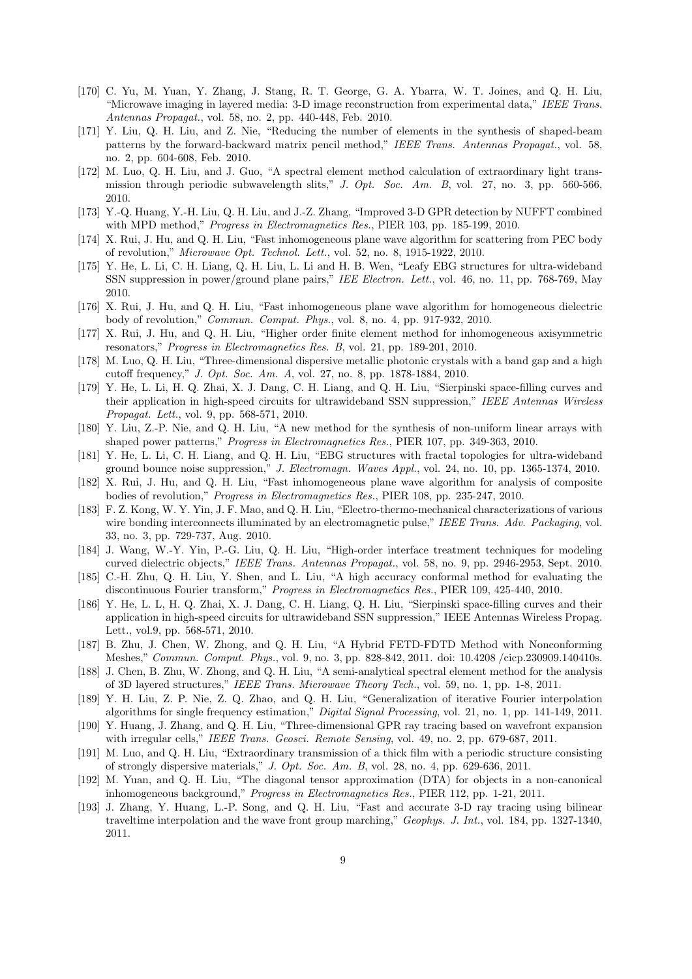- [170] C. Yu, M. Yuan, Y. Zhang, J. Stang, R. T. George, G. A. Ybarra, W. T. Joines, and Q. H. Liu, "Microwave imaging in layered media: 3-D image reconstruction from experimental data," *IEEE Trans. Antennas Propagat.*, vol. 58, no. 2, pp. 440-448, Feb. 2010.
- [171] Y. Liu, Q. H. Liu, and Z. Nie, "Reducing the number of elements in the synthesis of shaped-beam patterns by the forward-backward matrix pencil method," *IEEE Trans. Antennas Propagat.*, vol. 58, no. 2, pp. 604-608, Feb. 2010.
- [172] M. Luo, Q. H. Liu, and J. Guo, "A spectral element method calculation of extraordinary light transmission through periodic subwavelength slits," *J. Opt. Soc. Am. B*, vol. 27, no. 3, pp. 560-566, 2010.
- [173] Y.-Q. Huang, Y.-H. Liu, Q. H. Liu, and J.-Z. Zhang, "Improved 3-D GPR detection by NUFFT combined with MPD method," *Progress in Electromagnetics Res.*, PIER 103, pp. 185-199, 2010.
- [174] X. Rui, J. Hu, and Q. H. Liu, "Fast inhomogeneous plane wave algorithm for scattering from PEC body of revolution," *Microwave Opt. Technol. Lett.*, vol. 52, no. 8, 1915-1922, 2010.
- [175] Y. He, L. Li, C. H. Liang, Q. H. Liu, L. Li and H. B. Wen, "Leafy EBG structures for ultra-wideband SSN suppression in power/ground plane pairs," *IEE Electron. Lett.*, vol. 46, no. 11, pp. 768-769, May 2010.
- [176] X. Rui, J. Hu, and Q. H. Liu, "Fast inhomogeneous plane wave algorithm for homogeneous dielectric body of revolution," *Commun. Comput. Phys.*, vol. 8, no. 4, pp. 917-932, 2010.
- [177] X. Rui, J. Hu, and Q. H. Liu, "Higher order finite element method for inhomogeneous axisymmetric resonators," *Progress in Electromagnetics Res. B*, vol. 21, pp. 189-201, 2010.
- [178] M. Luo, Q. H. Liu, "Three-dimensional dispersive metallic photonic crystals with a band gap and a high cutoff frequency," *J. Opt. Soc. Am. A*, vol. 27, no. 8, pp. 1878-1884, 2010.
- [179] Y. He, L. Li, H. Q. Zhai, X. J. Dang, C. H. Liang, and Q. H. Liu, "Sierpinski space-filling curves and their application in high-speed circuits for ultrawideband SSN suppression," *IEEE Antennas Wireless Propagat. Lett.*, vol. 9, pp. 568-571, 2010.
- [180] Y. Liu, Z.-P. Nie, and Q. H. Liu, "A new method for the synthesis of non-uniform linear arrays with shaped power patterns," *Progress in Electromagnetics Res.*, PIER 107, pp. 349-363, 2010.
- [181] Y. He, L. Li, C. H. Liang, and Q. H. Liu, "EBG structures with fractal topologies for ultra-wideband ground bounce noise suppression," *J. Electromagn. Waves Appl.*, vol. 24, no. 10, pp. 1365-1374, 2010.
- [182] X. Rui, J. Hu, and Q. H. Liu, "Fast inhomogeneous plane wave algorithm for analysis of composite bodies of revolution," *Progress in Electromagnetics Res.*, PIER 108, pp. 235-247, 2010.
- [183] F. Z. Kong, W. Y. Yin, J. F. Mao, and Q. H. Liu, "Electro-thermo-mechanical characterizations of various wire bonding interconnects illuminated by an electromagnetic pulse," *IEEE Trans. Adv. Packaging*, vol. 33, no. 3, pp. 729-737, Aug. 2010.
- [184] J. Wang, W.-Y. Yin, P.-G. Liu, Q. H. Liu, "High-order interface treatment techniques for modeling curved dielectric objects," *IEEE Trans. Antennas Propagat.*, vol. 58, no. 9, pp. 2946-2953, Sept. 2010.
- [185] C.-H. Zhu, Q. H. Liu, Y. Shen, and L. Liu, "A high accuracy conformal method for evaluating the discontinuous Fourier transform," *Progress in Electromagnetics Res.*, PIER 109, 425-440, 2010.
- [186] Y. He, L. L, H. Q. Zhai, X. J. Dang, C. H. Liang, Q. H. Liu, "Sierpinski space-filling curves and their application in high-speed circuits for ultrawideband SSN suppression," IEEE Antennas Wireless Propag. Lett., vol.9, pp. 568-571, 2010.
- [187] B. Zhu, J. Chen, W. Zhong, and Q. H. Liu, "A Hybrid FETD-FDTD Method with Nonconforming Meshes," *Commun. Comput. Phys.*, vol. 9, no. 3, pp. 828-842, 2011. doi: 10.4208 /cicp.230909.140410s.
- [188] J. Chen, B. Zhu, W. Zhong, and Q. H. Liu, "A semi-analytical spectral element method for the analysis of 3D layered structures," *IEEE Trans. Microwave Theory Tech.*, vol. 59, no. 1, pp. 1-8, 2011.
- [189] Y. H. Liu, Z. P. Nie, Z. Q. Zhao, and Q. H. Liu, "Generalization of iterative Fourier interpolation algorithms for single frequency estimation," *Digital Signal Processing*, vol. 21, no. 1, pp. 141-149, 2011.
- [190] Y. Huang, J. Zhang, and Q. H. Liu, "Three-dimensional GPR ray tracing based on wavefront expansion with irregular cells," *IEEE Trans. Geosci. Remote Sensing*, vol. 49, no. 2, pp. 679-687, 2011.
- [191] M. Luo, and Q. H. Liu, "Extraordinary transmission of a thick film with a periodic structure consisting of strongly dispersive materials," *J. Opt. Soc. Am. B*, vol. 28, no. 4, pp. 629-636, 2011.
- [192] M. Yuan, and Q. H. Liu, "The diagonal tensor approximation (DTA) for objects in a non-canonical inhomogeneous background," *Progress in Electromagnetics Res.*, PIER 112, pp. 1-21, 2011.
- [193] J. Zhang, Y. Huang, L.-P. Song, and Q. H. Liu, "Fast and accurate 3-D ray tracing using bilinear traveltime interpolation and the wave front group marching," *Geophys. J. Int.*, vol. 184, pp. 1327-1340, 2011.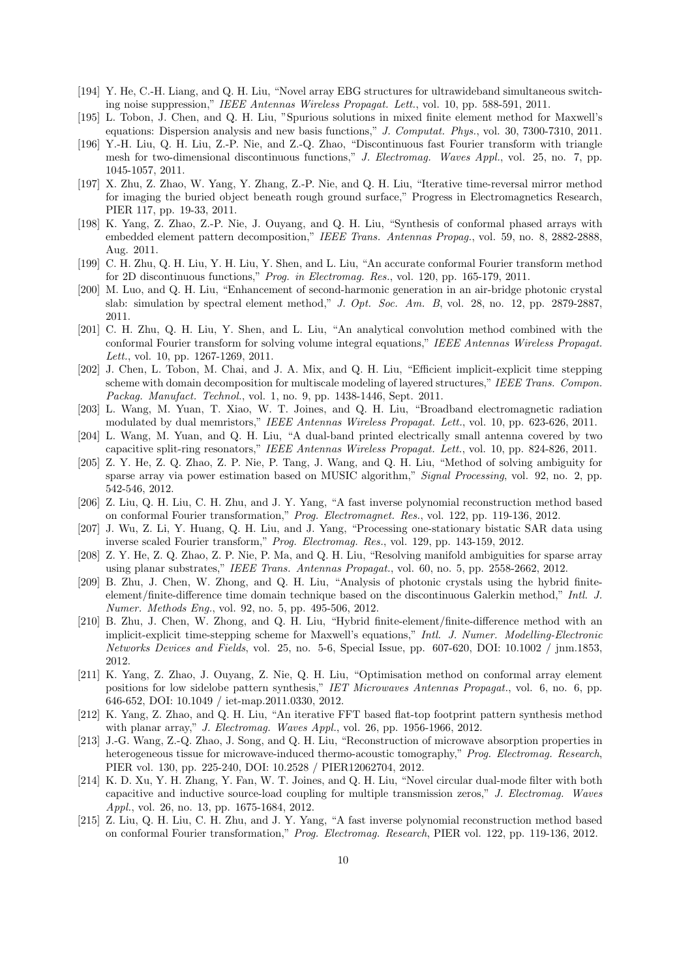- [194] Y. He, C.-H. Liang, and Q. H. Liu, "Novel array EBG structures for ultrawideband simultaneous switching noise suppression," *IEEE Antennas Wireless Propagat. Lett.*, vol. 10, pp. 588-591, 2011.
- [195] L. Tobon, J. Chen, and Q. H. Liu, "Spurious solutions in mixed finite element method for Maxwell's equations: Dispersion analysis and new basis functions," *J. Computat. Phys.*, vol. 30, 7300-7310, 2011.
- [196] Y.-H. Liu, Q. H. Liu, Z.-P. Nie, and Z.-Q. Zhao, "Discontinuous fast Fourier transform with triangle mesh for two-dimensional discontinuous functions," *J. Electromag. Waves Appl.*, vol. 25, no. 7, pp. 1045-1057, 2011.
- [197] X. Zhu, Z. Zhao, W. Yang, Y. Zhang, Z.-P. Nie, and Q. H. Liu, "Iterative time-reversal mirror method for imaging the buried object beneath rough ground surface," Progress in Electromagnetics Research, PIER 117, pp. 19-33, 2011.
- [198] K. Yang, Z. Zhao, Z.-P. Nie, J. Ouyang, and Q. H. Liu, "Synthesis of conformal phased arrays with embedded element pattern decomposition," *IEEE Trans. Antennas Propag.*, vol. 59, no. 8, 2882-2888, Aug. 2011.
- [199] C. H. Zhu, Q. H. Liu, Y. H. Liu, Y. Shen, and L. Liu, "An accurate conformal Fourier transform method for 2D discontinuous functions," *Prog. in Electromag. Res.*, vol. 120, pp. 165-179, 2011.
- [200] M. Luo, and Q. H. Liu, "Enhancement of second-harmonic generation in an air-bridge photonic crystal slab: simulation by spectral element method," *J. Opt. Soc. Am. B*, vol. 28, no. 12, pp. 2879-2887, 2011.
- [201] C. H. Zhu, Q. H. Liu, Y. Shen, and L. Liu, "An analytical convolution method combined with the conformal Fourier transform for solving volume integral equations," *IEEE Antennas Wireless Propagat. Lett.*, vol. 10, pp. 1267-1269, 2011.
- [202] J. Chen, L. Tobon, M. Chai, and J. A. Mix, and Q. H. Liu, "Efficient implicit-explicit time stepping scheme with domain decomposition for multiscale modeling of layered structures," *IEEE Trans. Compon. Packag. Manufact. Technol.*, vol. 1, no. 9, pp. 1438-1446, Sept. 2011.
- [203] L. Wang, M. Yuan, T. Xiao, W. T. Joines, and Q. H. Liu, "Broadband electromagnetic radiation modulated by dual memristors," *IEEE Antennas Wireless Propagat. Lett.*, vol. 10, pp. 623-626, 2011.
- [204] L. Wang, M. Yuan, and Q. H. Liu, "A dual-band printed electrically small antenna covered by two capacitive split-ring resonators," *IEEE Antennas Wireless Propagat. Lett.*, vol. 10, pp. 824-826, 2011.
- [205] Z. Y. He, Z. Q. Zhao, Z. P. Nie, P. Tang, J. Wang, and Q. H. Liu, "Method of solving ambiguity for sparse array via power estimation based on MUSIC algorithm," *Signal Processing*, vol. 92, no. 2, pp. 542-546, 2012.
- [206] Z. Liu, Q. H. Liu, C. H. Zhu, and J. Y. Yang, "A fast inverse polynomial reconstruction method based on conformal Fourier transformation," *Prog. Electromagnet. Res.*, vol. 122, pp. 119-136, 2012.
- [207] J. Wu, Z. Li, Y. Huang, Q. H. Liu, and J. Yang, "Processing one-stationary bistatic SAR data using inverse scaled Fourier transform," *Prog. Electromag. Res.*, vol. 129, pp. 143-159, 2012.
- [208] Z. Y. He, Z. Q. Zhao, Z. P. Nie, P. Ma, and Q. H. Liu, "Resolving manifold ambiguities for sparse array using planar substrates," *IEEE Trans. Antennas Propagat.*, vol. 60, no. 5, pp. 2558-2662, 2012.
- [209] B. Zhu, J. Chen, W. Zhong, and Q. H. Liu, "Analysis of photonic crystals using the hybrid finiteelement/finite-difference time domain technique based on the discontinuous Galerkin method," *Intl. J. Numer. Methods Eng.*, vol. 92, no. 5, pp. 495-506, 2012.
- [210] B. Zhu, J. Chen, W. Zhong, and Q. H. Liu, "Hybrid finite-element/finite-difference method with an implicit-explicit time-stepping scheme for Maxwell's equations," *Intl. J. Numer. Modelling-Electronic Networks Devices and Fields*, vol. 25, no. 5-6, Special Issue, pp. 607-620, DOI: 10.1002 / jnm.1853, 2012.
- [211] K. Yang, Z. Zhao, J. Ouyang, Z. Nie, Q. H. Liu, "Optimisation method on conformal array element positions for low sidelobe pattern synthesis," *IET Microwaves Antennas Propagat.*, vol. 6, no. 6, pp. 646-652, DOI: 10.1049 / iet-map.2011.0330, 2012.
- [212] K. Yang, Z. Zhao, and Q. H. Liu, "An iterative FFT based flat-top footprint pattern synthesis method with planar array," *J. Electromag. Waves Appl.*, vol. 26, pp. 1956-1966, 2012.
- [213] J.-G. Wang, Z.-Q. Zhao, J. Song, and Q. H. Liu, "Reconstruction of microwave absorption properties in heterogeneous tissue for microwave-induced thermo-acoustic tomography," *Prog. Electromag. Research*, PIER vol. 130, pp. 225-240, DOI: 10.2528 / PIER12062704, 2012.
- [214] K. D. Xu, Y. H. Zhang, Y. Fan, W. T. Joines, and Q. H. Liu, "Novel circular dual-mode filter with both capacitive and inductive source-load coupling for multiple transmission zeros," *J. Electromag. Waves Appl.*, vol. 26, no. 13, pp. 1675-1684, 2012.
- [215] Z. Liu, Q. H. Liu, C. H. Zhu, and J. Y. Yang, "A fast inverse polynomial reconstruction method based on conformal Fourier transformation," *Prog. Electromag. Research*, PIER vol. 122, pp. 119-136, 2012.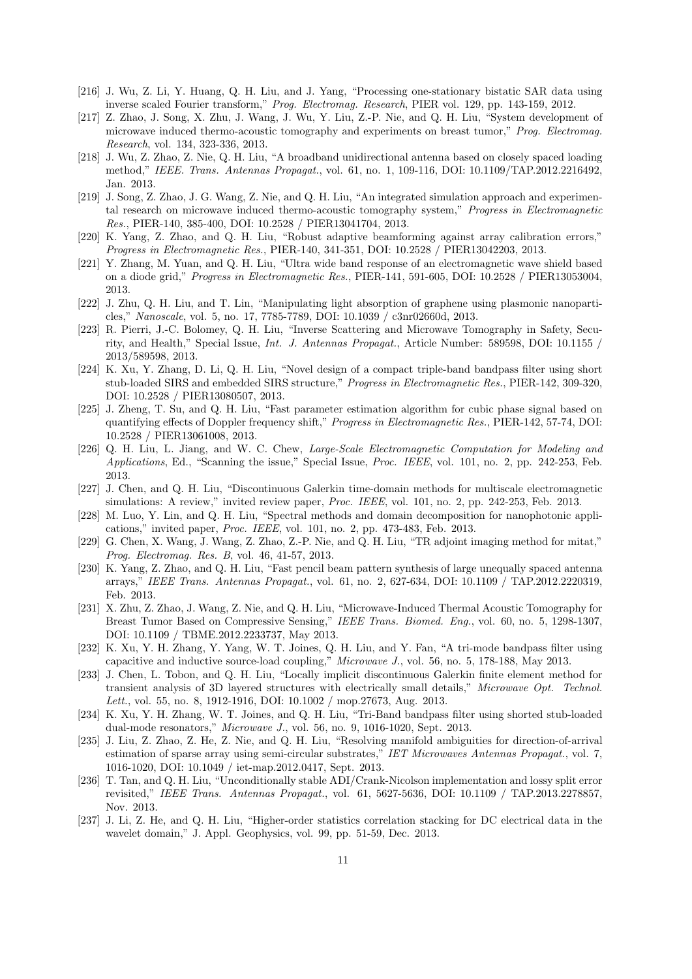- [216] J. Wu, Z. Li, Y. Huang, Q. H. Liu, and J. Yang, "Processing one-stationary bistatic SAR data using inverse scaled Fourier transform," *Prog. Electromag. Research*, PIER vol. 129, pp. 143-159, 2012.
- [217] Z. Zhao, J. Song, X. Zhu, J. Wang, J. Wu, Y. Liu, Z.-P. Nie, and Q. H. Liu, "System development of microwave induced thermo-acoustic tomography and experiments on breast tumor," *Prog. Electromag. Research*, vol. 134, 323-336, 2013.
- [218] J. Wu, Z. Zhao, Z. Nie, Q. H. Liu, "A broadband unidirectional antenna based on closely spaced loading method," *IEEE. Trans. Antennas Propagat.*, vol. 61, no. 1, 109-116, DOI: 10.1109/TAP.2012.2216492, Jan. 2013.
- [219] J. Song, Z. Zhao, J. G. Wang, Z. Nie, and Q. H. Liu, "An integrated simulation approach and experimental research on microwave induced thermo-acoustic tomography system," *Progress in Electromagnetic Res.*, PIER-140, 385-400, DOI: 10.2528 / PIER13041704, 2013.
- [220] K. Yang, Z. Zhao, and Q. H. Liu, "Robust adaptive beamforming against array calibration errors," *Progress in Electromagnetic Res.*, PIER-140, 341-351, DOI: 10.2528 / PIER13042203, 2013.
- [221] Y. Zhang, M. Yuan, and Q. H. Liu, "Ultra wide band response of an electromagnetic wave shield based on a diode grid," *Progress in Electromagnetic Res.*, PIER-141, 591-605, DOI: 10.2528 / PIER13053004, 2013.
- [222] J. Zhu, Q. H. Liu, and T. Lin, "Manipulating light absorption of graphene using plasmonic nanoparticles," *Nanoscale*, vol. 5, no. 17, 7785-7789, DOI: 10.1039 / c3nr02660d, 2013.
- [223] R. Pierri, J.-C. Bolomey, Q. H. Liu, "Inverse Scattering and Microwave Tomography in Safety, Security, and Health," Special Issue, *Int. J. Antennas Propagat.*, Article Number: 589598, DOI: 10.1155 / 2013/589598, 2013.
- [224] K. Xu, Y. Zhang, D. Li, Q. H. Liu, "Novel design of a compact triple-band bandpass filter using short stub-loaded SIRS and embedded SIRS structure," *Progress in Electromagnetic Res.*, PIER-142, 309-320, DOI: 10.2528 / PIER13080507, 2013.
- [225] J. Zheng, T. Su, and Q. H. Liu, "Fast parameter estimation algorithm for cubic phase signal based on quantifying effects of Doppler frequency shift," *Progress in Electromagnetic Res.*, PIER-142, 57-74, DOI: 10.2528 / PIER13061008, 2013.
- [226] Q. H. Liu, L. Jiang, and W. C. Chew, *Large-Scale Electromagnetic Computation for Modeling and Applications*, Ed., "Scanning the issue," Special Issue, *Proc. IEEE*, vol. 101, no. 2, pp. 242-253, Feb. 2013.
- [227] J. Chen, and Q. H. Liu, "Discontinuous Galerkin time-domain methods for multiscale electromagnetic simulations: A review," invited review paper, *Proc. IEEE*, vol. 101, no. 2, pp. 242-253, Feb. 2013.
- [228] M. Luo, Y. Lin, and Q. H. Liu, "Spectral methods and domain decomposition for nanophotonic applications," invited paper, *Proc. IEEE*, vol. 101, no. 2, pp. 473-483, Feb. 2013.
- [229] G. Chen, X. Wang, J. Wang, Z. Zhao, Z.-P. Nie, and Q. H. Liu, "TR adjoint imaging method for mitat," *Prog. Electromag. Res. B*, vol. 46, 41-57, 2013.
- [230] K. Yang, Z. Zhao, and Q. H. Liu, "Fast pencil beam pattern synthesis of large unequally spaced antenna arrays," *IEEE Trans. Antennas Propagat.*, vol. 61, no. 2, 627-634, DOI: 10.1109 / TAP.2012.2220319, Feb. 2013.
- [231] X. Zhu, Z. Zhao, J. Wang, Z. Nie, and Q. H. Liu, "Microwave-Induced Thermal Acoustic Tomography for Breast Tumor Based on Compressive Sensing," *IEEE Trans. Biomed. Eng.*, vol. 60, no. 5, 1298-1307, DOI: 10.1109 / TBME.2012.2233737, May 2013.
- [232] K. Xu, Y. H. Zhang, Y. Yang, W. T. Joines, Q. H. Liu, and Y. Fan, "A tri-mode bandpass filter using capacitive and inductive source-load coupling," *Microwave J.*, vol. 56, no. 5, 178-188, May 2013.
- [233] J. Chen, L. Tobon, and Q. H. Liu, "Locally implicit discontinuous Galerkin finite element method for transient analysis of 3D layered structures with electrically small details," *Microwave Opt. Technol. Lett.*, vol. 55, no. 8, 1912-1916, DOI: 10.1002 / mop.27673, Aug. 2013.
- [234] K. Xu, Y. H. Zhang, W. T. Joines, and Q. H. Liu, "Tri-Band bandpass filter using shorted stub-loaded dual-mode resonators," *Microwave J.*, vol. 56, no. 9, 1016-1020, Sept. 2013.
- [235] J. Liu, Z. Zhao, Z. He, Z. Nie, and Q. H. Liu, "Resolving manifold ambiguities for direction-of-arrival estimation of sparse array using semi-circular substrates," *IET Microwaves Antennas Propagat.*, vol. 7, 1016-1020, DOI: 10.1049 / iet-map.2012.0417, Sept. 2013.
- [236] T. Tan, and Q. H. Liu, "Unconditionally stable ADI/Crank-Nicolson implementation and lossy split error revisited," *IEEE Trans. Antennas Propagat.*, vol. 61, 5627-5636, DOI: 10.1109 / TAP.2013.2278857, Nov. 2013.
- [237] J. Li, Z. He, and Q. H. Liu, "Higher-order statistics correlation stacking for DC electrical data in the wavelet domain," J. Appl. Geophysics, vol. 99, pp. 51-59, Dec. 2013.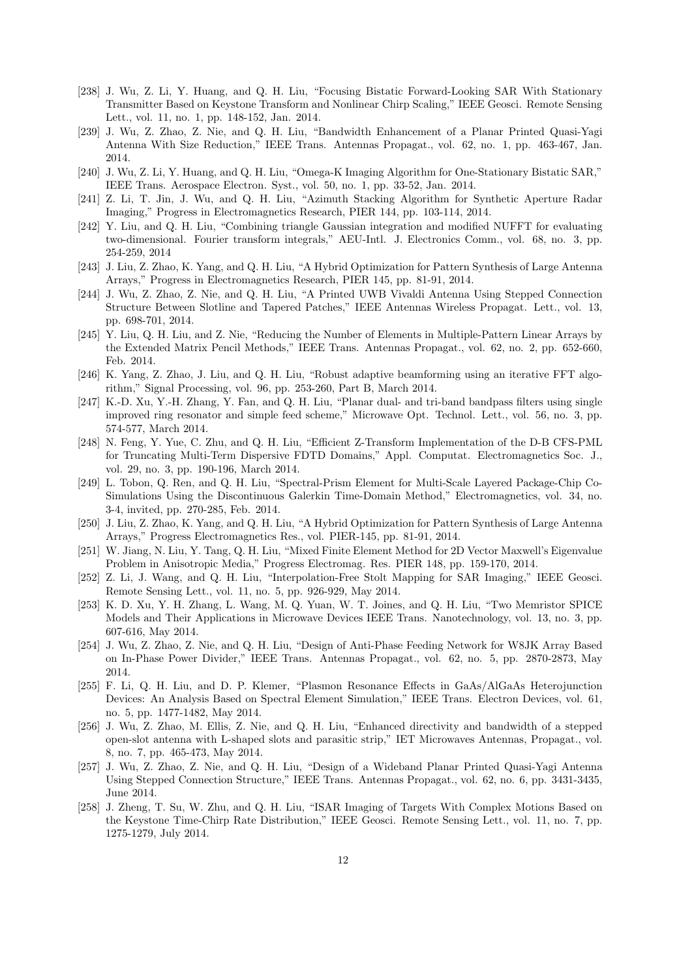- [238] J. Wu, Z. Li, Y. Huang, and Q. H. Liu, "Focusing Bistatic Forward-Looking SAR With Stationary Transmitter Based on Keystone Transform and Nonlinear Chirp Scaling," IEEE Geosci. Remote Sensing Lett., vol. 11, no. 1, pp. 148-152, Jan. 2014.
- [239] J. Wu, Z. Zhao, Z. Nie, and Q. H. Liu, "Bandwidth Enhancement of a Planar Printed Quasi-Yagi Antenna With Size Reduction," IEEE Trans. Antennas Propagat., vol. 62, no. 1, pp. 463-467, Jan. 2014.
- [240] J. Wu, Z. Li, Y. Huang, and Q. H. Liu, "Omega-K Imaging Algorithm for One-Stationary Bistatic SAR," IEEE Trans. Aerospace Electron. Syst., vol. 50, no. 1, pp. 33-52, Jan. 2014.
- [241] Z. Li, T. Jin, J. Wu, and Q. H. Liu, "Azimuth Stacking Algorithm for Synthetic Aperture Radar Imaging," Progress in Electromagnetics Research, PIER 144, pp. 103-114, 2014.
- [242] Y. Liu, and Q. H. Liu, "Combining triangle Gaussian integration and modified NUFFT for evaluating two-dimensional. Fourier transform integrals," AEU-Intl. J. Electronics Comm., vol. 68, no. 3, pp. 254-259, 2014
- [243] J. Liu, Z. Zhao, K. Yang, and Q. H. Liu, "A Hybrid Optimization for Pattern Synthesis of Large Antenna Arrays," Progress in Electromagnetics Research, PIER 145, pp. 81-91, 2014.
- [244] J. Wu, Z. Zhao, Z. Nie, and Q. H. Liu, "A Printed UWB Vivaldi Antenna Using Stepped Connection Structure Between Slotline and Tapered Patches," IEEE Antennas Wireless Propagat. Lett., vol. 13, pp. 698-701, 2014.
- [245] Y. Liu, Q. H. Liu, and Z. Nie, "Reducing the Number of Elements in Multiple-Pattern Linear Arrays by the Extended Matrix Pencil Methods," IEEE Trans. Antennas Propagat., vol. 62, no. 2, pp. 652-660, Feb. 2014.
- [246] K. Yang, Z. Zhao, J. Liu, and Q. H. Liu, "Robust adaptive beamforming using an iterative FFT algorithm," Signal Processing, vol. 96, pp. 253-260, Part B, March 2014.
- [247] K.-D. Xu, Y.-H. Zhang, Y. Fan, and Q. H. Liu, "Planar dual- and tri-band bandpass filters using single improved ring resonator and simple feed scheme," Microwave Opt. Technol. Lett., vol. 56, no. 3, pp. 574-577, March 2014.
- [248] N. Feng, Y. Yue, C. Zhu, and Q. H. Liu, "Efficient Z-Transform Implementation of the D-B CFS-PML for Truncating Multi-Term Dispersive FDTD Domains," Appl. Computat. Electromagnetics Soc. J., vol. 29, no. 3, pp. 190-196, March 2014.
- [249] L. Tobon, Q. Ren, and Q. H. Liu, "Spectral-Prism Element for Multi-Scale Layered Package-Chip Co-Simulations Using the Discontinuous Galerkin Time-Domain Method," Electromagnetics, vol. 34, no. 3-4, invited, pp. 270-285, Feb. 2014.
- [250] J. Liu, Z. Zhao, K. Yang, and Q. H. Liu, "A Hybrid Optimization for Pattern Synthesis of Large Antenna Arrays," Progress Electromagnetics Res., vol. PIER-145, pp. 81-91, 2014.
- [251] W. Jiang, N. Liu, Y. Tang, Q. H. Liu, "Mixed Finite Element Method for 2D Vector Maxwell's Eigenvalue Problem in Anisotropic Media," Progress Electromag. Res. PIER 148, pp. 159-170, 2014.
- [252] Z. Li, J. Wang, and Q. H. Liu, "Interpolation-Free Stolt Mapping for SAR Imaging," IEEE Geosci. Remote Sensing Lett., vol. 11, no. 5, pp. 926-929, May 2014.
- [253] K. D. Xu, Y. H. Zhang, L. Wang, M. Q. Yuan, W. T. Joines, and Q. H. Liu, "Two Memristor SPICE Models and Their Applications in Microwave Devices IEEE Trans. Nanotechnology, vol. 13, no. 3, pp. 607-616, May 2014.
- [254] J. Wu, Z. Zhao, Z. Nie, and Q. H. Liu, "Design of Anti-Phase Feeding Network for W8JK Array Based on In-Phase Power Divider," IEEE Trans. Antennas Propagat., vol. 62, no. 5, pp. 2870-2873, May 2014.
- [255] F. Li, Q. H. Liu, and D. P. Klemer, "Plasmon Resonance Effects in GaAs/AlGaAs Heterojunction Devices: An Analysis Based on Spectral Element Simulation," IEEE Trans. Electron Devices, vol. 61, no. 5, pp. 1477-1482, May 2014.
- [256] J. Wu, Z. Zhao, M. Ellis, Z. Nie, and Q. H. Liu, "Enhanced directivity and bandwidth of a stepped open-slot antenna with L-shaped slots and parasitic strip," IET Microwaves Antennas, Propagat., vol. 8, no. 7, pp. 465-473, May 2014.
- [257] J. Wu, Z. Zhao, Z. Nie, and Q. H. Liu, "Design of a Wideband Planar Printed Quasi-Yagi Antenna Using Stepped Connection Structure," IEEE Trans. Antennas Propagat., vol. 62, no. 6, pp. 3431-3435, June 2014.
- [258] J. Zheng, T. Su, W. Zhu, and Q. H. Liu, "ISAR Imaging of Targets With Complex Motions Based on the Keystone Time-Chirp Rate Distribution," IEEE Geosci. Remote Sensing Lett., vol. 11, no. 7, pp. 1275-1279, July 2014.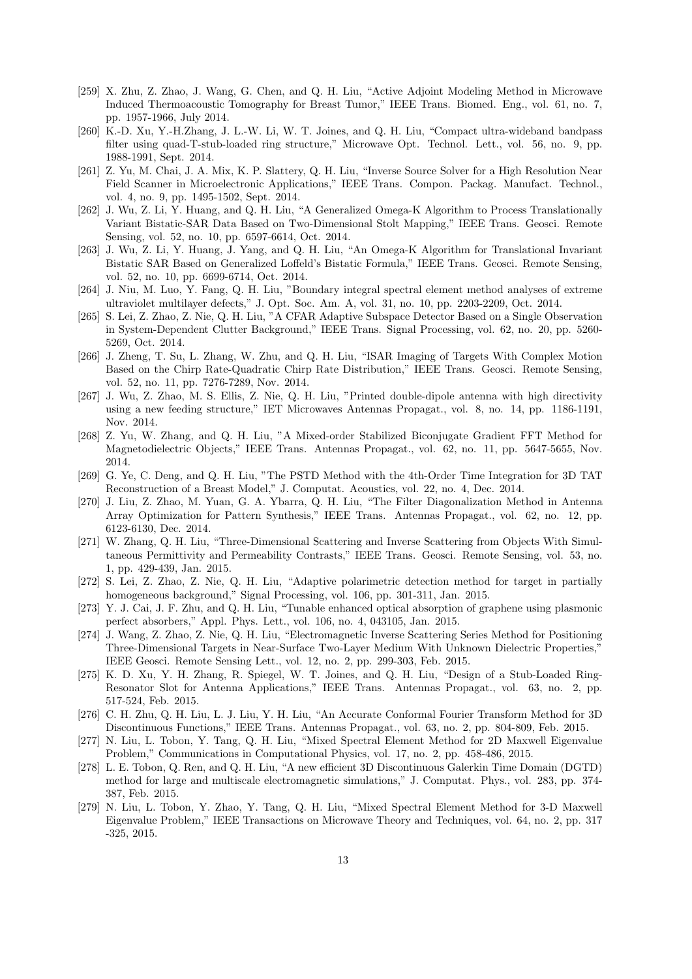- [259] X. Zhu, Z. Zhao, J. Wang, G. Chen, and Q. H. Liu, "Active Adjoint Modeling Method in Microwave Induced Thermoacoustic Tomography for Breast Tumor," IEEE Trans. Biomed. Eng., vol. 61, no. 7, pp. 1957-1966, July 2014.
- [260] K.-D. Xu, Y.-H.Zhang, J. L.-W. Li, W. T. Joines, and Q. H. Liu, "Compact ultra-wideband bandpass filter using quad-T-stub-loaded ring structure," Microwave Opt. Technol. Lett., vol. 56, no. 9, pp. 1988-1991, Sept. 2014.
- [261] Z. Yu, M. Chai, J. A. Mix, K. P. Slattery, Q. H. Liu, "Inverse Source Solver for a High Resolution Near Field Scanner in Microelectronic Applications," IEEE Trans. Compon. Packag. Manufact. Technol., vol. 4, no. 9, pp. 1495-1502, Sept. 2014.
- [262] J. Wu, Z. Li, Y. Huang, and Q. H. Liu, "A Generalized Omega-K Algorithm to Process Translationally Variant Bistatic-SAR Data Based on Two-Dimensional Stolt Mapping," IEEE Trans. Geosci. Remote Sensing, vol. 52, no. 10, pp. 6597-6614, Oct. 2014.
- [263] J. Wu, Z. Li, Y. Huang, J. Yang, and Q. H. Liu, "An Omega-K Algorithm for Translational Invariant Bistatic SAR Based on Generalized Loffeld's Bistatic Formula," IEEE Trans. Geosci. Remote Sensing, vol. 52, no. 10, pp. 6699-6714, Oct. 2014.
- [264] J. Niu, M. Luo, Y. Fang, Q. H. Liu, "Boundary integral spectral element method analyses of extreme ultraviolet multilayer defects," J. Opt. Soc. Am. A, vol. 31, no. 10, pp. 2203-2209, Oct. 2014.
- [265] S. Lei, Z. Zhao, Z. Nie, Q. H. Liu, "A CFAR Adaptive Subspace Detector Based on a Single Observation in System-Dependent Clutter Background," IEEE Trans. Signal Processing, vol. 62, no. 20, pp. 5260- 5269, Oct. 2014.
- [266] J. Zheng, T. Su, L. Zhang, W. Zhu, and Q. H. Liu, "ISAR Imaging of Targets With Complex Motion Based on the Chirp Rate-Quadratic Chirp Rate Distribution," IEEE Trans. Geosci. Remote Sensing, vol. 52, no. 11, pp. 7276-7289, Nov. 2014.
- [267] J. Wu, Z. Zhao, M. S. Ellis, Z. Nie, Q. H. Liu, "Printed double-dipole antenna with high directivity using a new feeding structure," IET Microwaves Antennas Propagat., vol. 8, no. 14, pp. 1186-1191, Nov. 2014.
- [268] Z. Yu, W. Zhang, and Q. H. Liu, "A Mixed-order Stabilized Biconjugate Gradient FFT Method for Magnetodielectric Objects," IEEE Trans. Antennas Propagat., vol. 62, no. 11, pp. 5647-5655, Nov. 2014.
- [269] G. Ye, C. Deng, and Q. H. Liu, "The PSTD Method with the 4th-Order Time Integration for 3D TAT Reconstruction of a Breast Model," J. Computat. Acoustics, vol. 22, no. 4, Dec. 2014.
- [270] J. Liu, Z. Zhao, M. Yuan, G. A. Ybarra, Q. H. Liu, "The Filter Diagonalization Method in Antenna Array Optimization for Pattern Synthesis," IEEE Trans. Antennas Propagat., vol. 62, no. 12, pp. 6123-6130, Dec. 2014.
- [271] W. Zhang, Q. H. Liu, "Three-Dimensional Scattering and Inverse Scattering from Objects With Simultaneous Permittivity and Permeability Contrasts," IEEE Trans. Geosci. Remote Sensing, vol. 53, no. 1, pp. 429-439, Jan. 2015.
- [272] S. Lei, Z. Zhao, Z. Nie, Q. H. Liu, "Adaptive polarimetric detection method for target in partially homogeneous background," Signal Processing, vol. 106, pp. 301-311, Jan. 2015.
- [273] Y. J. Cai, J. F. Zhu, and Q. H. Liu, "Tunable enhanced optical absorption of graphene using plasmonic perfect absorbers," Appl. Phys. Lett., vol. 106, no. 4, 043105, Jan. 2015.
- [274] J. Wang, Z. Zhao, Z. Nie, Q. H. Liu, "Electromagnetic Inverse Scattering Series Method for Positioning Three-Dimensional Targets in Near-Surface Two-Layer Medium With Unknown Dielectric Properties," IEEE Geosci. Remote Sensing Lett., vol. 12, no. 2, pp. 299-303, Feb. 2015.
- [275] K. D. Xu, Y. H. Zhang, R. Spiegel, W. T. Joines, and Q. H. Liu, "Design of a Stub-Loaded Ring-Resonator Slot for Antenna Applications," IEEE Trans. Antennas Propagat., vol. 63, no. 2, pp. 517-524, Feb. 2015.
- [276] C. H. Zhu, Q. H. Liu, L. J. Liu, Y. H. Liu, "An Accurate Conformal Fourier Transform Method for 3D Discontinuous Functions," IEEE Trans. Antennas Propagat., vol. 63, no. 2, pp. 804-809, Feb. 2015.
- [277] N. Liu, L. Tobon, Y. Tang, Q. H. Liu, "Mixed Spectral Element Method for 2D Maxwell Eigenvalue Problem," Communications in Computational Physics, vol. 17, no. 2, pp. 458-486, 2015.
- [278] L. E. Tobon, Q. Ren, and Q. H. Liu, "A new efficient 3D Discontinuous Galerkin Time Domain (DGTD) method for large and multiscale electromagnetic simulations," J. Computat. Phys., vol. 283, pp. 374- 387, Feb. 2015.
- [279] N. Liu, L. Tobon, Y. Zhao, Y. Tang, Q. H. Liu, "Mixed Spectral Element Method for 3-D Maxwell Eigenvalue Problem," IEEE Transactions on Microwave Theory and Techniques, vol. 64, no. 2, pp. 317 -325, 2015.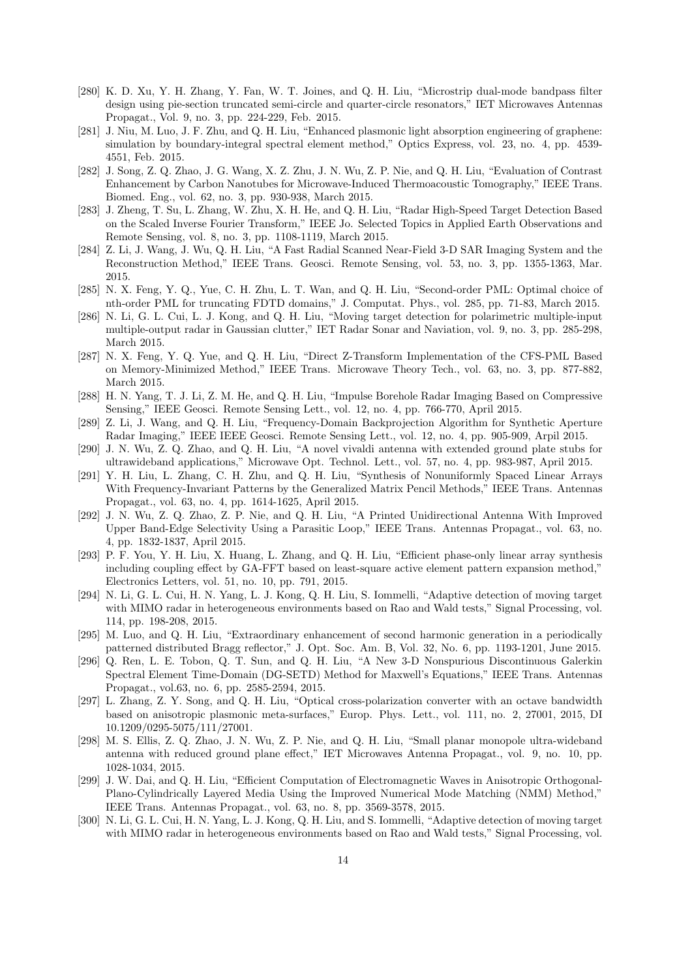- [280] K. D. Xu, Y. H. Zhang, Y. Fan, W. T. Joines, and Q. H. Liu, "Microstrip dual-mode bandpass filter design using pie-section truncated semi-circle and quarter-circle resonators," IET Microwaves Antennas Propagat., Vol. 9, no. 3, pp. 224-229, Feb. 2015.
- [281] J. Niu, M. Luo, J. F. Zhu, and Q. H. Liu, "Enhanced plasmonic light absorption engineering of graphene: simulation by boundary-integral spectral element method," Optics Express, vol. 23, no. 4, pp. 4539- 4551, Feb. 2015.
- [282] J. Song, Z. Q. Zhao, J. G. Wang, X. Z. Zhu, J. N. Wu, Z. P. Nie, and Q. H. Liu, "Evaluation of Contrast Enhancement by Carbon Nanotubes for Microwave-Induced Thermoacoustic Tomography," IEEE Trans. Biomed. Eng., vol. 62, no. 3, pp. 930-938, March 2015.
- [283] J. Zheng, T. Su, L. Zhang, W. Zhu, X. H. He, and Q. H. Liu, "Radar High-Speed Target Detection Based on the Scaled Inverse Fourier Transform," IEEE Jo. Selected Topics in Applied Earth Observations and Remote Sensing, vol. 8, no. 3, pp. 1108-1119, March 2015.
- [284] Z. Li, J. Wang, J. Wu, Q. H. Liu, "A Fast Radial Scanned Near-Field 3-D SAR Imaging System and the Reconstruction Method," IEEE Trans. Geosci. Remote Sensing, vol. 53, no. 3, pp. 1355-1363, Mar. 2015.
- [285] N. X. Feng, Y. Q., Yue, C. H. Zhu, L. T. Wan, and Q. H. Liu, "Second-order PML: Optimal choice of nth-order PML for truncating FDTD domains," J. Computat. Phys., vol. 285, pp. 71-83, March 2015.
- [286] N. Li, G. L. Cui, L. J. Kong, and Q. H. Liu, "Moving target detection for polarimetric multiple-input multiple-output radar in Gaussian clutter," IET Radar Sonar and Naviation, vol. 9, no. 3, pp. 285-298, March 2015.
- [287] N. X. Feng, Y. Q. Yue, and Q. H. Liu, "Direct Z-Transform Implementation of the CFS-PML Based on Memory-Minimized Method," IEEE Trans. Microwave Theory Tech., vol. 63, no. 3, pp. 877-882, March 2015.
- [288] H. N. Yang, T. J. Li, Z. M. He, and Q. H. Liu, "Impulse Borehole Radar Imaging Based on Compressive Sensing," IEEE Geosci. Remote Sensing Lett., vol. 12, no. 4, pp. 766-770, April 2015.
- [289] Z. Li, J. Wang, and Q. H. Liu, "Frequency-Domain Backprojection Algorithm for Synthetic Aperture Radar Imaging," IEEE IEEE Geosci. Remote Sensing Lett., vol. 12, no. 4, pp. 905-909, Arpil 2015.
- [290] J. N. Wu, Z. Q. Zhao, and Q. H. Liu, "A novel vivaldi antenna with extended ground plate stubs for ultrawideband applications," Microwave Opt. Technol. Lett., vol. 57, no. 4, pp. 983-987, April 2015.
- [291] Y. H. Liu, L. Zhang, C. H. Zhu, and Q. H. Liu, "Synthesis of Nonuniformly Spaced Linear Arrays With Frequency-Invariant Patterns by the Generalized Matrix Pencil Methods," IEEE Trans. Antennas Propagat., vol. 63, no. 4, pp. 1614-1625, April 2015.
- [292] J. N. Wu, Z. Q. Zhao, Z. P. Nie, and Q. H. Liu, "A Printed Unidirectional Antenna With Improved Upper Band-Edge Selectivity Using a Parasitic Loop," IEEE Trans. Antennas Propagat., vol. 63, no. 4, pp. 1832-1837, April 2015.
- [293] P. F. You, Y. H. Liu, X. Huang, L. Zhang, and Q. H. Liu, "Efficient phase-only linear array synthesis including coupling effect by GA-FFT based on least-square active element pattern expansion method," Electronics Letters, vol. 51, no. 10, pp. 791, 2015.
- [294] N. Li, G. L. Cui, H. N. Yang, L. J. Kong, Q. H. Liu, S. Iommelli, "Adaptive detection of moving target with MIMO radar in heterogeneous environments based on Rao and Wald tests," Signal Processing, vol. 114, pp. 198-208, 2015.
- [295] M. Luo, and Q. H. Liu, "Extraordinary enhancement of second harmonic generation in a periodically patterned distributed Bragg reflector," J. Opt. Soc. Am. B, Vol. 32, No. 6, pp. 1193-1201, June 2015.
- [296] Q. Ren, L. E. Tobon, Q. T. Sun, and Q. H. Liu, "A New 3-D Nonspurious Discontinuous Galerkin Spectral Element Time-Domain (DG-SETD) Method for Maxwell's Equations," IEEE Trans. Antennas Propagat., vol.63, no. 6, pp. 2585-2594, 2015.
- [297] L. Zhang, Z. Y. Song, and Q. H. Liu, "Optical cross-polarization converter with an octave bandwidth based on anisotropic plasmonic meta-surfaces," Europ. Phys. Lett., vol. 111, no. 2, 27001, 2015, DI 10.1209/0295-5075/111/27001.
- [298] M. S. Ellis, Z. Q. Zhao, J. N. Wu, Z. P. Nie, and Q. H. Liu, "Small planar monopole ultra-wideband antenna with reduced ground plane effect," IET Microwaves Antenna Propagat., vol. 9, no. 10, pp. 1028-1034, 2015.
- [299] J. W. Dai, and Q. H. Liu, "Efficient Computation of Electromagnetic Waves in Anisotropic Orthogonal-Plano-Cylindrically Layered Media Using the Improved Numerical Mode Matching (NMM) Method," IEEE Trans. Antennas Propagat., vol. 63, no. 8, pp. 3569-3578, 2015.
- [300] N. Li, G. L. Cui, H. N. Yang, L. J. Kong, Q. H. Liu, and S. Iommelli, "Adaptive detection of moving target with MIMO radar in heterogeneous environments based on Rao and Wald tests," Signal Processing, vol.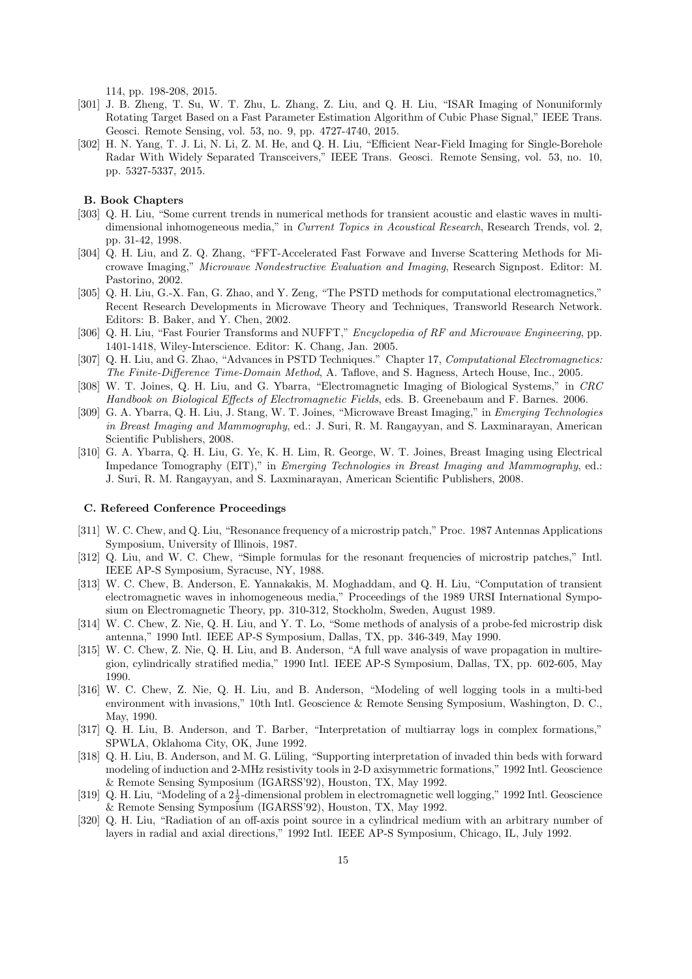114, pp. 198-208, 2015.

- [301] J. B. Zheng, T. Su, W. T. Zhu, L. Zhang, Z. Liu, and Q. H. Liu, "ISAR Imaging of Nonuniformly Rotating Target Based on a Fast Parameter Estimation Algorithm of Cubic Phase Signal," IEEE Trans. Geosci. Remote Sensing, vol. 53, no. 9, pp. 4727-4740, 2015.
- [302] H. N. Yang, T. J. Li, N. Li, Z. M. He, and Q. H. Liu, "Efficient Near-Field Imaging for Single-Borehole Radar With Widely Separated Transceivers," IEEE Trans. Geosci. Remote Sensing, vol. 53, no. 10, pp. 5327-5337, 2015.

# **B. Book Chapters**

- [303] Q. H. Liu, "Some current trends in numerical methods for transient acoustic and elastic waves in multidimensional inhomogeneous media," in *Current Topics in Acoustical Research*, Research Trends, vol. 2, pp. 31-42, 1998.
- [304] Q. H. Liu, and Z. Q. Zhang, "FFT-Accelerated Fast Forwave and Inverse Scattering Methods for Microwave Imaging," *Microwave Nondestructive Evaluation and Imaging*, Research Signpost. Editor: M. Pastorino, 2002.
- [305] Q. H. Liu, G.-X. Fan, G. Zhao, and Y. Zeng, "The PSTD methods for computational electromagnetics," Recent Research Developments in Microwave Theory and Techniques, Transworld Research Network. Editors: B. Baker, and Y. Chen, 2002.
- [306] Q. H. Liu, "Fast Fourier Transforms and NUFFT," *Encyclopedia of RF and Microwave Engineering*, pp. 1401-1418, Wiley-Interscience. Editor: K. Chang, Jan. 2005.
- [307] Q. H. Liu, and G. Zhao, "Advances in PSTD Techniques." Chapter 17, *Computational Electromagnetics: The Finite-Difference Time-Domain Method*, A. Taflove, and S. Hagness, Artech House, Inc., 2005.
- [308] W. T. Joines, Q. H. Liu, and G. Ybarra, "Electromagnetic Imaging of Biological Systems," in *CRC Handbook on Biological Effects of Electromagnetic Fields*, eds. B. Greenebaum and F. Barnes. 2006.
- [309] G. A. Ybarra, Q. H. Liu, J. Stang, W. T. Joines, "Microwave Breast Imaging," in *Emerging Technologies in Breast Imaging and Mammography*, ed.: J. Suri, R. M. Rangayyan, and S. Laxminarayan, American Scientific Publishers, 2008.
- [310] G. A. Ybarra, Q. H. Liu, G. Ye, K. H. Lim, R. George, W. T. Joines, Breast Imaging using Electrical Impedance Tomography (EIT)," in *Emerging Technologies in Breast Imaging and Mammography*, ed.: J. Suri, R. M. Rangayyan, and S. Laxminarayan, American Scientific Publishers, 2008.

## **C. Refereed Conference Proceedings**

- [311] W. C. Chew, and Q. Liu, "Resonance frequency of a microstrip patch," Proc. 1987 Antennas Applications Symposium, University of Illinois, 1987.
- [312] Q. Liu, and W. C. Chew, "Simple formulas for the resonant frequencies of microstrip patches," Intl. IEEE AP-S Symposium, Syracuse, NY, 1988.
- [313] W. C. Chew, B. Anderson, E. Yannakakis, M. Moghaddam, and Q. H. Liu, "Computation of transient electromagnetic waves in inhomogeneous media," Proceedings of the 1989 URSI International Symposium on Electromagnetic Theory, pp. 310-312, Stockholm, Sweden, August 1989.
- [314] W. C. Chew, Z. Nie, Q. H. Liu, and Y. T. Lo, "Some methods of analysis of a probe-fed microstrip disk antenna," 1990 Intl. IEEE AP-S Symposium, Dallas, TX, pp. 346-349, May 1990.
- [315] W. C. Chew, Z. Nie, Q. H. Liu, and B. Anderson, "A full wave analysis of wave propagation in multiregion, cylindrically stratified media," 1990 Intl. IEEE AP-S Symposium, Dallas, TX, pp. 602-605, May 1990.
- [316] W. C. Chew, Z. Nie, Q. H. Liu, and B. Anderson, "Modeling of well logging tools in a multi-bed environment with invasions," 10th Intl. Geoscience & Remote Sensing Symposium, Washington, D. C., May, 1990.
- [317] Q. H. Liu, B. Anderson, and T. Barber, "Interpretation of multiarray logs in complex formations," SPWLA, Oklahoma City, OK, June 1992.
- [318] Q. H. Liu, B. Anderson, and M. G. Lüling, "Supporting interpretation of invaded thin beds with forward modeling of induction and 2-MHz resistivity tools in 2-D axisymmetric formations," 1992 Intl. Geoscience & Remote Sensing Symposium (IGARSS'92), Houston, TX, May 1992.
- [319] Q. H. Liu, "Modeling of a  $2\frac{1}{2}$ -dimensional problem in electromagnetic well logging," 1992 Intl. Geoscience & Remote Sensing Symposium (IGARSS'92), Houston, TX, May 1992.
- [320] Q. H. Liu, "Radiation of an off-axis point source in a cylindrical medium with an arbitrary number of layers in radial and axial directions," 1992 Intl. IEEE AP-S Symposium, Chicago, IL, July 1992.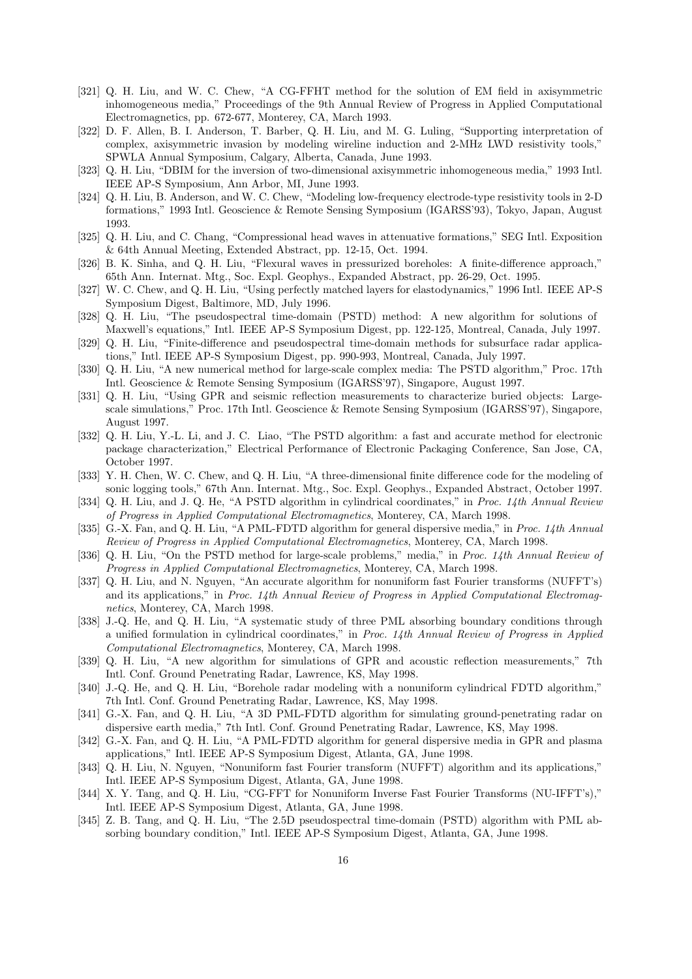- [321] Q. H. Liu, and W. C. Chew, "A CG-FFHT method for the solution of EM field in axisymmetric inhomogeneous media," Proceedings of the 9th Annual Review of Progress in Applied Computational Electromagnetics, pp. 672-677, Monterey, CA, March 1993.
- [322] D. F. Allen, B. I. Anderson, T. Barber, Q. H. Liu, and M. G. Luling, "Supporting interpretation of complex, axisymmetric invasion by modeling wireline induction and 2-MHz LWD resistivity tools," SPWLA Annual Symposium, Calgary, Alberta, Canada, June 1993.
- [323] Q. H. Liu, "DBIM for the inversion of two-dimensional axisymmetric inhomogeneous media," 1993 Intl. IEEE AP-S Symposium, Ann Arbor, MI, June 1993.
- [324] Q. H. Liu, B. Anderson, and W. C. Chew, "Modeling low-frequency electrode-type resistivity tools in 2-D formations," 1993 Intl. Geoscience & Remote Sensing Symposium (IGARSS'93), Tokyo, Japan, August 1993.
- [325] Q. H. Liu, and C. Chang, "Compressional head waves in attenuative formations," SEG Intl. Exposition & 64th Annual Meeting, Extended Abstract, pp. 12-15, Oct. 1994.
- [326] B. K. Sinha, and Q. H. Liu, "Flexural waves in pressurized boreholes: A finite-difference approach," 65th Ann. Internat. Mtg., Soc. Expl. Geophys., Expanded Abstract, pp. 26-29, Oct. 1995.
- [327] W. C. Chew, and Q. H. Liu, "Using perfectly matched layers for elastodynamics," 1996 Intl. IEEE AP-S Symposium Digest, Baltimore, MD, July 1996.
- [328] Q. H. Liu, "The pseudospectral time-domain (PSTD) method: A new algorithm for solutions of Maxwell's equations," Intl. IEEE AP-S Symposium Digest, pp. 122-125, Montreal, Canada, July 1997.
- [329] Q. H. Liu, "Finite-difference and pseudospectral time-domain methods for subsurface radar applications," Intl. IEEE AP-S Symposium Digest, pp. 990-993, Montreal, Canada, July 1997.
- [330] Q. H. Liu, "A new numerical method for large-scale complex media: The PSTD algorithm," Proc. 17th Intl. Geoscience & Remote Sensing Symposium (IGARSS'97), Singapore, August 1997.
- [331] Q. H. Liu, "Using GPR and seismic reflection measurements to characterize buried objects: Largescale simulations," Proc. 17th Intl. Geoscience & Remote Sensing Symposium (IGARSS'97), Singapore, August 1997.
- [332] Q. H. Liu, Y.-L. Li, and J. C. Liao, "The PSTD algorithm: a fast and accurate method for electronic package characterization," Electrical Performance of Electronic Packaging Conference, San Jose, CA, October 1997.
- [333] Y. H. Chen, W. C. Chew, and Q. H. Liu, "A three-dimensional finite difference code for the modeling of sonic logging tools," 67th Ann. Internat. Mtg., Soc. Expl. Geophys., Expanded Abstract, October 1997.
- [334] Q. H. Liu, and J. Q. He, "A PSTD algorithm in cylindrical coordinates," in *Proc. 14th Annual Review of Progress in Applied Computational Electromagnetics*, Monterey, CA, March 1998.
- [335] G.-X. Fan, and Q. H. Liu, "A PML-FDTD algorithm for general dispersive media," in *Proc. 14th Annual Review of Progress in Applied Computational Electromagnetics*, Monterey, CA, March 1998.
- [336] Q. H. Liu, "On the PSTD method for large-scale problems," media," in *Proc. 14th Annual Review of Progress in Applied Computational Electromagnetics*, Monterey, CA, March 1998.
- [337] Q. H. Liu, and N. Nguyen, "An accurate algorithm for nonuniform fast Fourier transforms (NUFFT's) and its applications," in *Proc. 14th Annual Review of Progress in Applied Computational Electromagnetics*, Monterey, CA, March 1998.
- [338] J.-Q. He, and Q. H. Liu, "A systematic study of three PML absorbing boundary conditions through a unified formulation in cylindrical coordinates," in *Proc. 14th Annual Review of Progress in Applied Computational Electromagnetics*, Monterey, CA, March 1998.
- [339] Q. H. Liu, "A new algorithm for simulations of GPR and acoustic reflection measurements," 7th Intl. Conf. Ground Penetrating Radar, Lawrence, KS, May 1998.
- [340] J.-Q. He, and Q. H. Liu, "Borehole radar modeling with a nonuniform cylindrical FDTD algorithm," 7th Intl. Conf. Ground Penetrating Radar, Lawrence, KS, May 1998.
- [341] G.-X. Fan, and Q. H. Liu, "A 3D PML-FDTD algorithm for simulating ground-penetrating radar on dispersive earth media," 7th Intl. Conf. Ground Penetrating Radar, Lawrence, KS, May 1998.
- [342] G.-X. Fan, and Q. H. Liu, "A PML-FDTD algorithm for general dispersive media in GPR and plasma applications," Intl. IEEE AP-S Symposium Digest, Atlanta, GA, June 1998.
- [343] Q. H. Liu, N. Nguyen, "Nonuniform fast Fourier transform (NUFFT) algorithm and its applications," Intl. IEEE AP-S Symposium Digest, Atlanta, GA, June 1998.
- [344] X. Y. Tang, and Q. H. Liu, "CG-FFT for Nonuniform Inverse Fast Fourier Transforms (NU-IFFT's)," Intl. IEEE AP-S Symposium Digest, Atlanta, GA, June 1998.
- [345] Z. B. Tang, and Q. H. Liu, "The 2.5D pseudospectral time-domain (PSTD) algorithm with PML absorbing boundary condition," Intl. IEEE AP-S Symposium Digest, Atlanta, GA, June 1998.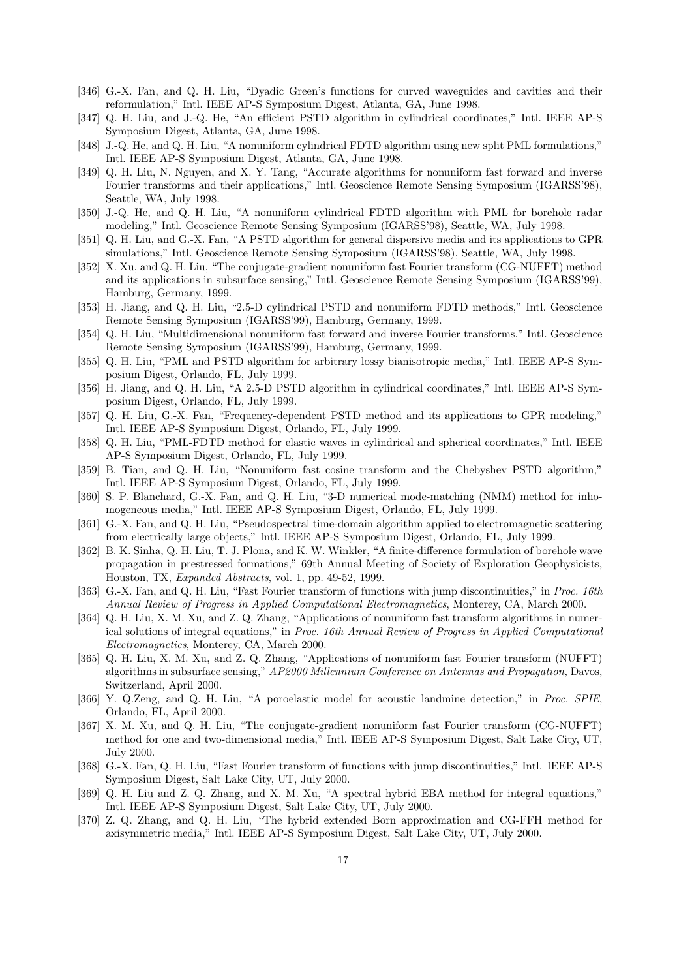- [346] G.-X. Fan, and Q. H. Liu, "Dyadic Green's functions for curved waveguides and cavities and their reformulation," Intl. IEEE AP-S Symposium Digest, Atlanta, GA, June 1998.
- [347] Q. H. Liu, and J.-Q. He, "An efficient PSTD algorithm in cylindrical coordinates," Intl. IEEE AP-S Symposium Digest, Atlanta, GA, June 1998.
- [348] J.-Q. He, and Q. H. Liu, "A nonuniform cylindrical FDTD algorithm using new split PML formulations," Intl. IEEE AP-S Symposium Digest, Atlanta, GA, June 1998.
- [349] Q. H. Liu, N. Nguyen, and X. Y. Tang, "Accurate algorithms for nonuniform fast forward and inverse Fourier transforms and their applications," Intl. Geoscience Remote Sensing Symposium (IGARSS'98), Seattle, WA, July 1998.
- [350] J.-Q. He, and Q. H. Liu, "A nonuniform cylindrical FDTD algorithm with PML for borehole radar modeling," Intl. Geoscience Remote Sensing Symposium (IGARSS'98), Seattle, WA, July 1998.
- [351] Q. H. Liu, and G.-X. Fan, "A PSTD algorithm for general dispersive media and its applications to GPR simulations," Intl. Geoscience Remote Sensing Symposium (IGARSS'98), Seattle, WA, July 1998.
- [352] X. Xu, and Q. H. Liu, "The conjugate-gradient nonuniform fast Fourier transform (CG-NUFFT) method and its applications in subsurface sensing," Intl. Geoscience Remote Sensing Symposium (IGARSS'99), Hamburg, Germany, 1999.
- [353] H. Jiang, and Q. H. Liu, "2.5-D cylindrical PSTD and nonuniform FDTD methods," Intl. Geoscience Remote Sensing Symposium (IGARSS'99), Hamburg, Germany, 1999.
- [354] Q. H. Liu, "Multidimensional nonuniform fast forward and inverse Fourier transforms," Intl. Geoscience Remote Sensing Symposium (IGARSS'99), Hamburg, Germany, 1999.
- [355] Q. H. Liu, "PML and PSTD algorithm for arbitrary lossy bianisotropic media," Intl. IEEE AP-S Symposium Digest, Orlando, FL, July 1999.
- [356] H. Jiang, and Q. H. Liu, "A 2.5-D PSTD algorithm in cylindrical coordinates," Intl. IEEE AP-S Symposium Digest, Orlando, FL, July 1999.
- [357] Q. H. Liu, G.-X. Fan, "Frequency-dependent PSTD method and its applications to GPR modeling," Intl. IEEE AP-S Symposium Digest, Orlando, FL, July 1999.
- [358] Q. H. Liu, "PML-FDTD method for elastic waves in cylindrical and spherical coordinates," Intl. IEEE AP-S Symposium Digest, Orlando, FL, July 1999.
- [359] B. Tian, and Q. H. Liu, "Nonuniform fast cosine transform and the Chebyshev PSTD algorithm," Intl. IEEE AP-S Symposium Digest, Orlando, FL, July 1999.
- [360] S. P. Blanchard, G.-X. Fan, and Q. H. Liu, "3-D numerical mode-matching (NMM) method for inhomogeneous media," Intl. IEEE AP-S Symposium Digest, Orlando, FL, July 1999.
- [361] G.-X. Fan, and Q. H. Liu, "Pseudospectral time-domain algorithm applied to electromagnetic scattering from electrically large objects," Intl. IEEE AP-S Symposium Digest, Orlando, FL, July 1999.
- [362] B. K. Sinha, Q. H. Liu, T. J. Plona, and K. W. Winkler, "A finite-difference formulation of borehole wave propagation in prestressed formations," 69th Annual Meeting of Society of Exploration Geophysicists, Houston, TX, *Expanded Abstracts*, vol. 1, pp. 49-52, 1999.
- [363] G.-X. Fan, and Q. H. Liu, "Fast Fourier transform of functions with jump discontinuities," in *Proc. 16th Annual Review of Progress in Applied Computational Electromagnetics*, Monterey, CA, March 2000.
- [364] Q. H. Liu, X. M. Xu, and Z. Q. Zhang, "Applications of nonuniform fast transform algorithms in numerical solutions of integral equations," in *Proc. 16th Annual Review of Progress in Applied Computational Electromagnetics*, Monterey, CA, March 2000.
- [365] Q. H. Liu, X. M. Xu, and Z. Q. Zhang, "Applications of nonuniform fast Fourier transform (NUFFT) algorithms in subsurface sensing," *AP2000 Millennium Conference on Antennas and Propagation,* Davos, Switzerland, April 2000.
- [366] Y. Q.Zeng, and Q. H. Liu, "A poroelastic model for acoustic landmine detection," in *Proc. SPIE*, Orlando, FL, April 2000.
- [367] X. M. Xu, and Q. H. Liu, "The conjugate-gradient nonuniform fast Fourier transform (CG-NUFFT) method for one and two-dimensional media," Intl. IEEE AP-S Symposium Digest, Salt Lake City, UT, July 2000.
- [368] G.-X. Fan, Q. H. Liu, "Fast Fourier transform of functions with jump discontinuities," Intl. IEEE AP-S Symposium Digest, Salt Lake City, UT, July 2000.
- [369] Q. H. Liu and Z. Q. Zhang, and X. M. Xu, "A spectral hybrid EBA method for integral equations," Intl. IEEE AP-S Symposium Digest, Salt Lake City, UT, July 2000.
- [370] Z. Q. Zhang, and Q. H. Liu, "The hybrid extended Born approximation and CG-FFH method for axisymmetric media," Intl. IEEE AP-S Symposium Digest, Salt Lake City, UT, July 2000.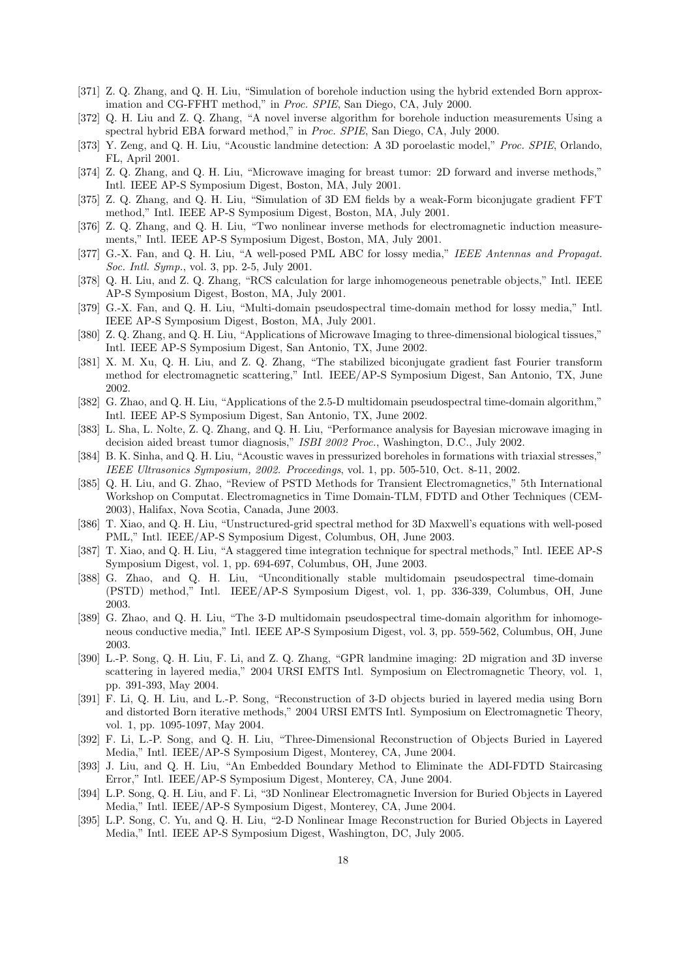- [371] Z. Q. Zhang, and Q. H. Liu, "Simulation of borehole induction using the hybrid extended Born approximation and CG-FFHT method," in *Proc. SPIE*, San Diego, CA, July 2000.
- [372] Q. H. Liu and Z. Q. Zhang, "A novel inverse algorithm for borehole induction measurements Using a spectral hybrid EBA forward method," in *Proc. SPIE*, San Diego, CA, July 2000.
- [373] Y. Zeng, and Q. H. Liu, "Acoustic landmine detection: A 3D poroelastic model," *Proc. SPIE*, Orlando, FL, April 2001.
- [374] Z. Q. Zhang, and Q. H. Liu, "Microwave imaging for breast tumor: 2D forward and inverse methods," Intl. IEEE AP-S Symposium Digest, Boston, MA, July 2001.
- [375] Z. Q. Zhang, and Q. H. Liu, "Simulation of 3D EM fields by a weak-Form biconjugate gradient FFT method," Intl. IEEE AP-S Symposium Digest, Boston, MA, July 2001.
- [376] Z. Q. Zhang, and Q. H. Liu, "Two nonlinear inverse methods for electromagnetic induction measurements," Intl. IEEE AP-S Symposium Digest, Boston, MA, July 2001.
- [377] G.-X. Fan, and Q. H. Liu, "A well-posed PML ABC for lossy media," *IEEE Antennas and Propagat. Soc. Intl. Symp.*, vol. 3, pp. 2-5, July 2001.
- [378] Q. H. Liu, and Z. Q. Zhang, "RCS calculation for large inhomogeneous penetrable objects," Intl. IEEE AP-S Symposium Digest, Boston, MA, July 2001.
- [379] G.-X. Fan, and Q. H. Liu, "Multi-domain pseudospectral time-domain method for lossy media," Intl. IEEE AP-S Symposium Digest, Boston, MA, July 2001.
- [380] Z. Q. Zhang, and Q. H. Liu, "Applications of Microwave Imaging to three-dimensional biological tissues," Intl. IEEE AP-S Symposium Digest, San Antonio, TX, June 2002.
- [381] X. M. Xu, Q. H. Liu, and Z. Q. Zhang, "The stabilized biconjugate gradient fast Fourier transform method for electromagnetic scattering," Intl. IEEE/AP-S Symposium Digest, San Antonio, TX, June 2002.
- [382] G. Zhao, and Q. H. Liu, "Applications of the 2.5-D multidomain pseudospectral time-domain algorithm," Intl. IEEE AP-S Symposium Digest, San Antonio, TX, June 2002.
- [383] L. Sha, L. Nolte, Z. Q. Zhang, and Q. H. Liu, "Performance analysis for Bayesian microwave imaging in decision aided breast tumor diagnosis," *ISBI 2002 Proc.*, Washington, D.C., July 2002.
- [384] B. K. Sinha, and Q. H. Liu, "Acoustic waves in pressurized boreholes in formations with triaxial stresses," *IEEE Ultrasonics Symposium, 2002. Proceedings*, vol. 1, pp. 505-510, Oct. 8-11, 2002.
- [385] Q. H. Liu, and G. Zhao, "Review of PSTD Methods for Transient Electromagnetics," 5th International Workshop on Computat. Electromagnetics in Time Domain-TLM, FDTD and Other Techniques (CEM-2003), Halifax, Nova Scotia, Canada, June 2003.
- [386] T. Xiao, and Q. H. Liu, "Unstructured-grid spectral method for 3D Maxwell's equations with well-posed PML," Intl. IEEE/AP-S Symposium Digest, Columbus, OH, June 2003.
- [387] T. Xiao, and Q. H. Liu, "A staggered time integration technique for spectral methods," Intl. IEEE AP-S Symposium Digest, vol. 1, pp. 694-697, Columbus, OH, June 2003.
- [388] G. Zhao, and Q. H. Liu, "Unconditionally stable multidomain pseudospectral time-domain (PSTD) method," Intl. IEEE/AP-S Symposium Digest, vol. 1, pp. 336-339, Columbus, OH, June 2003.
- [389] G. Zhao, and Q. H. Liu, "The 3-D multidomain pseudospectral time-domain algorithm for inhomogeneous conductive media," Intl. IEEE AP-S Symposium Digest, vol. 3, pp. 559-562, Columbus, OH, June 2003.
- [390] L.-P. Song, Q. H. Liu, F. Li, and Z. Q. Zhang, "GPR landmine imaging: 2D migration and 3D inverse scattering in layered media," 2004 URSI EMTS Intl. Symposium on Electromagnetic Theory, vol. 1, pp. 391-393, May 2004.
- [391] F. Li, Q. H. Liu, and L.-P. Song, "Reconstruction of 3-D objects buried in layered media using Born and distorted Born iterative methods," 2004 URSI EMTS Intl. Symposium on Electromagnetic Theory, vol. 1, pp. 1095-1097, May 2004.
- [392] F. Li, L.-P. Song, and Q. H. Liu, "Three-Dimensional Reconstruction of Objects Buried in Layered Media," Intl. IEEE/AP-S Symposium Digest, Monterey, CA, June 2004.
- [393] J. Liu, and Q. H. Liu, "An Embedded Boundary Method to Eliminate the ADI-FDTD Staircasing Error," Intl. IEEE/AP-S Symposium Digest, Monterey, CA, June 2004.
- [394] L.P. Song, Q. H. Liu, and F. Li, "3D Nonlinear Electromagnetic Inversion for Buried Objects in Layered Media," Intl. IEEE/AP-S Symposium Digest, Monterey, CA, June 2004.
- [395] L.P. Song, C. Yu, and Q. H. Liu, "2-D Nonlinear Image Reconstruction for Buried Objects in Layered Media," Intl. IEEE AP-S Symposium Digest, Washington, DC, July 2005.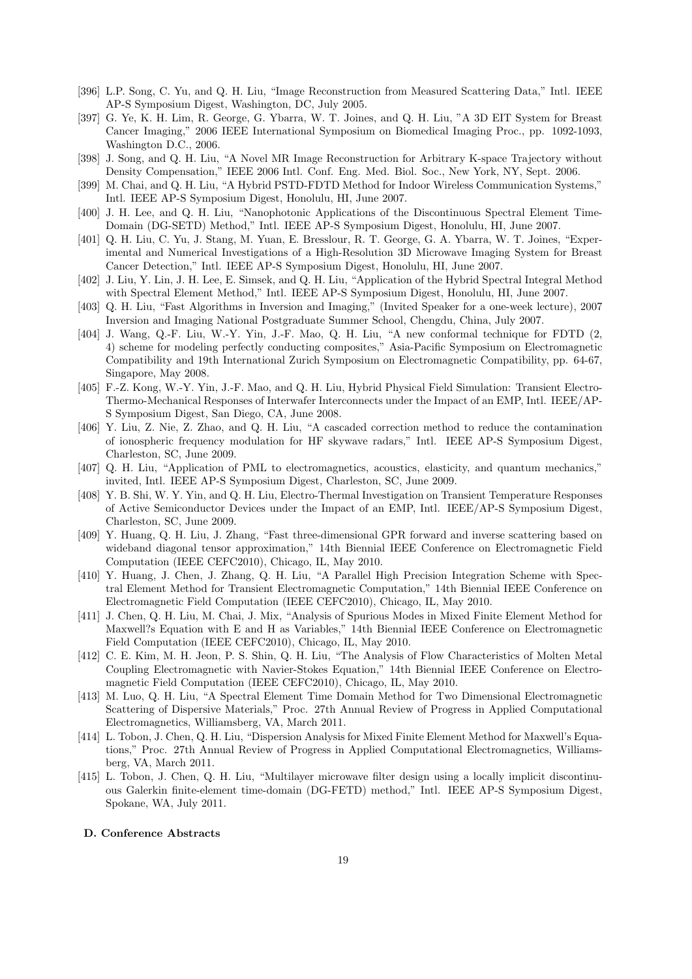- [396] L.P. Song, C. Yu, and Q. H. Liu, "Image Reconstruction from Measured Scattering Data," Intl. IEEE AP-S Symposium Digest, Washington, DC, July 2005.
- [397] G. Ye, K. H. Lim, R. George, G. Ybarra, W. T. Joines, and Q. H. Liu, "A 3D EIT System for Breast Cancer Imaging," 2006 IEEE International Symposium on Biomedical Imaging Proc., pp. 1092-1093, Washington D.C., 2006.
- [398] J. Song, and Q. H. Liu, "A Novel MR Image Reconstruction for Arbitrary K-space Trajectory without Density Compensation," IEEE 2006 Intl. Conf. Eng. Med. Biol. Soc., New York, NY, Sept. 2006.
- [399] M. Chai, and Q. H. Liu, "A Hybrid PSTD-FDTD Method for Indoor Wireless Communication Systems," Intl. IEEE AP-S Symposium Digest, Honolulu, HI, June 2007.
- [400] J. H. Lee, and Q. H. Liu, "Nanophotonic Applications of the Discontinuous Spectral Element Time-Domain (DG-SETD) Method," Intl. IEEE AP-S Symposium Digest, Honolulu, HI, June 2007.
- [401] Q. H. Liu, C. Yu, J. Stang, M. Yuan, E. Bresslour, R. T. George, G. A. Ybarra, W. T. Joines, "Experimental and Numerical Investigations of a High-Resolution 3D Microwave Imaging System for Breast Cancer Detection," Intl. IEEE AP-S Symposium Digest, Honolulu, HI, June 2007.
- [402] J. Liu, Y. Lin, J. H. Lee, E. Simsek, and Q. H. Liu, "Application of the Hybrid Spectral Integral Method with Spectral Element Method," Intl. IEEE AP-S Symposium Digest, Honolulu, HI, June 2007.
- [403] Q. H. Liu, "Fast Algorithms in Inversion and Imaging," (Invited Speaker for a one-week lecture), 2007 Inversion and Imaging National Postgraduate Summer School, Chengdu, China, July 2007.
- [404] J. Wang, Q.-F. Liu, W.-Y. Yin, J.-F. Mao, Q. H. Liu, "A new conformal technique for FDTD (2, 4) scheme for modeling perfectly conducting composites," Asia-Pacific Symposium on Electromagnetic Compatibility and 19th International Zurich Symposium on Electromagnetic Compatibility, pp. 64-67, Singapore, May 2008.
- [405] F.-Z. Kong, W.-Y. Yin, J.-F. Mao, and Q. H. Liu, Hybrid Physical Field Simulation: Transient Electro-Thermo-Mechanical Responses of Interwafer Interconnects under the Impact of an EMP, Intl. IEEE/AP-S Symposium Digest, San Diego, CA, June 2008.
- [406] Y. Liu, Z. Nie, Z. Zhao, and Q. H. Liu, "A cascaded correction method to reduce the contamination of ionospheric frequency modulation for HF skywave radars," Intl. IEEE AP-S Symposium Digest, Charleston, SC, June 2009.
- [407] Q. H. Liu, "Application of PML to electromagnetics, acoustics, elasticity, and quantum mechanics," invited, Intl. IEEE AP-S Symposium Digest, Charleston, SC, June 2009.
- [408] Y. B. Shi, W. Y. Yin, and Q. H. Liu, Electro-Thermal Investigation on Transient Temperature Responses of Active Semiconductor Devices under the Impact of an EMP, Intl. IEEE/AP-S Symposium Digest, Charleston, SC, June 2009.
- [409] Y. Huang, Q. H. Liu, J. Zhang, "Fast three-dimensional GPR forward and inverse scattering based on wideband diagonal tensor approximation," 14th Biennial IEEE Conference on Electromagnetic Field Computation (IEEE CEFC2010), Chicago, IL, May 2010.
- [410] Y. Huang, J. Chen, J. Zhang, Q. H. Liu, "A Parallel High Precision Integration Scheme with Spectral Element Method for Transient Electromagnetic Computation," 14th Biennial IEEE Conference on Electromagnetic Field Computation (IEEE CEFC2010), Chicago, IL, May 2010.
- [411] J. Chen, Q. H. Liu, M. Chai, J. Mix, "Analysis of Spurious Modes in Mixed Finite Element Method for Maxwell?s Equation with E and H as Variables," 14th Biennial IEEE Conference on Electromagnetic Field Computation (IEEE CEFC2010), Chicago, IL, May 2010.
- [412] C. E. Kim, M. H. Jeon, P. S. Shin, Q. H. Liu, "The Analysis of Flow Characteristics of Molten Metal Coupling Electromagnetic with Navier-Stokes Equation," 14th Biennial IEEE Conference on Electromagnetic Field Computation (IEEE CEFC2010), Chicago, IL, May 2010.
- [413] M. Luo, Q. H. Liu, "A Spectral Element Time Domain Method for Two Dimensional Electromagnetic Scattering of Dispersive Materials," Proc. 27th Annual Review of Progress in Applied Computational Electromagnetics, Williamsberg, VA, March 2011.
- [414] L. Tobon, J. Chen, Q. H. Liu, "Dispersion Analysis for Mixed Finite Element Method for Maxwell's Equations," Proc. 27th Annual Review of Progress in Applied Computational Electromagnetics, Williamsberg, VA, March 2011.
- [415] L. Tobon, J. Chen, Q. H. Liu, "Multilayer microwave filter design using a locally implicit discontinuous Galerkin finite-element time-domain (DG-FETD) method," Intl. IEEE AP-S Symposium Digest, Spokane, WA, July 2011.
- **D. Conference Abstracts**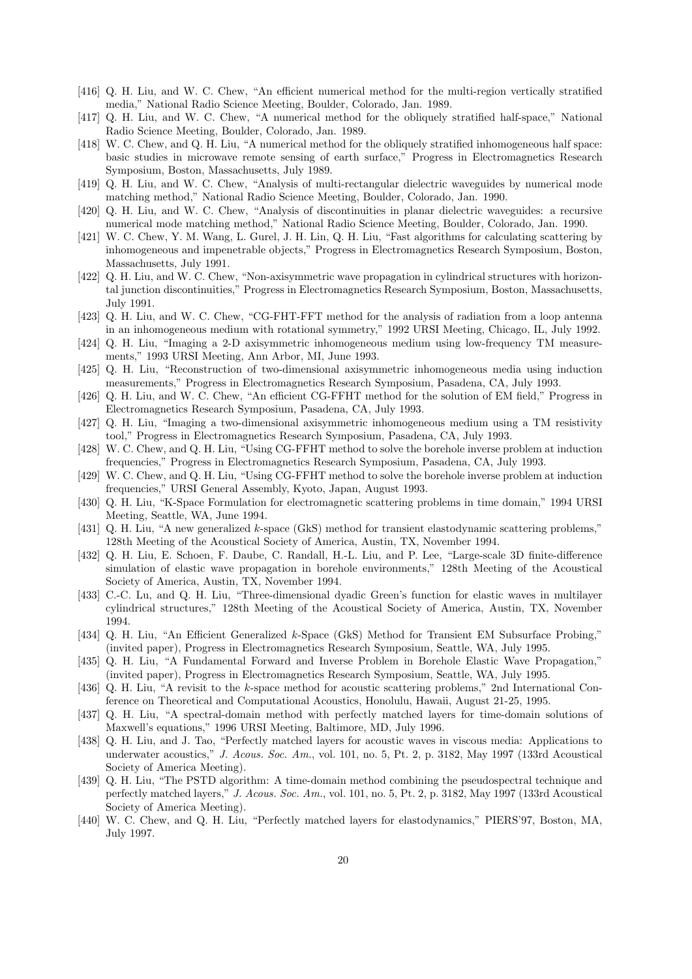- [416] Q. H. Liu, and W. C. Chew, "An efficient numerical method for the multi-region vertically stratified media," National Radio Science Meeting, Boulder, Colorado, Jan. 1989.
- [417] Q. H. Liu, and W. C. Chew, "A numerical method for the obliquely stratified half-space," National Radio Science Meeting, Boulder, Colorado, Jan. 1989.
- [418] W. C. Chew, and Q. H. Liu, "A numerical method for the obliquely stratified inhomogeneous half space: basic studies in microwave remote sensing of earth surface," Progress in Electromagnetics Research Symposium, Boston, Massachusetts, July 1989.
- [419] Q. H. Liu, and W. C. Chew, "Analysis of multi-rectangular dielectric waveguides by numerical mode matching method," National Radio Science Meeting, Boulder, Colorado, Jan. 1990.
- [420] Q. H. Liu, and W. C. Chew, "Analysis of discontinuities in planar dielectric waveguides: a recursive numerical mode matching method," National Radio Science Meeting, Boulder, Colorado, Jan. 1990.
- [421] W. C. Chew, Y. M. Wang, L. Gurel, J. H. Lin, Q. H. Liu, "Fast algorithms for calculating scattering by inhomogeneous and impenetrable objects," Progress in Electromagnetics Research Symposium, Boston, Massachusetts, July 1991.
- [422] Q. H. Liu, and W. C. Chew, "Non-axisymmetric wave propagation in cylindrical structures with horizontal junction discontinuities," Progress in Electromagnetics Research Symposium, Boston, Massachusetts, July 1991.
- [423] Q. H. Liu, and W. C. Chew, "CG-FHT-FFT method for the analysis of radiation from a loop antenna in an inhomogeneous medium with rotational symmetry," 1992 URSI Meeting, Chicago, IL, July 1992.
- [424] Q. H. Liu, "Imaging a 2-D axisymmetric inhomogeneous medium using low-frequency TM measurements," 1993 URSI Meeting, Ann Arbor, MI, June 1993.
- [425] Q. H. Liu, "Reconstruction of two-dimensional axisymmetric inhomogeneous media using induction measurements," Progress in Electromagnetics Research Symposium, Pasadena, CA, July 1993.
- [426] Q. H. Liu, and W. C. Chew, "An efficient CG-FFHT method for the solution of EM field," Progress in Electromagnetics Research Symposium, Pasadena, CA, July 1993.
- [427] Q. H. Liu, "Imaging a two-dimensional axisymmetric inhomogeneous medium using a TM resistivity tool," Progress in Electromagnetics Research Symposium, Pasadena, CA, July 1993.
- [428] W. C. Chew, and Q. H. Liu, "Using CG-FFHT method to solve the borehole inverse problem at induction frequencies," Progress in Electromagnetics Research Symposium, Pasadena, CA, July 1993.
- [429] W. C. Chew, and Q. H. Liu, "Using CG-FFHT method to solve the borehole inverse problem at induction frequencies," URSI General Assembly, Kyoto, Japan, August 1993.
- [430] Q. H. Liu, "K-Space Formulation for electromagnetic scattering problems in time domain," 1994 URSI Meeting, Seattle, WA, June 1994.
- [431] Q. H. Liu, "A new generalized *k*-space (GkS) method for transient elastodynamic scattering problems," 128th Meeting of the Acoustical Society of America, Austin, TX, November 1994.
- [432] Q. H. Liu, E. Schoen, F. Daube, C. Randall, H.-L. Liu, and P. Lee, "Large-scale 3D finite-difference simulation of elastic wave propagation in borehole environments," 128th Meeting of the Acoustical Society of America, Austin, TX, November 1994.
- [433] C.-C. Lu, and Q. H. Liu, "Three-dimensional dyadic Green's function for elastic waves in multilayer cylindrical structures," 128th Meeting of the Acoustical Society of America, Austin, TX, November 1994.
- [434] Q. H. Liu, "An Efficient Generalized *k*-Space (GkS) Method for Transient EM Subsurface Probing," (invited paper), Progress in Electromagnetics Research Symposium, Seattle, WA, July 1995.
- [435] Q. H. Liu, "A Fundamental Forward and Inverse Problem in Borehole Elastic Wave Propagation," (invited paper), Progress in Electromagnetics Research Symposium, Seattle, WA, July 1995.
- [436] Q. H. Liu, "A revisit to the *k*-space method for acoustic scattering problems," 2nd International Conference on Theoretical and Computational Acoustics, Honolulu, Hawaii, August 21-25, 1995.
- [437] Q. H. Liu, "A spectral-domain method with perfectly matched layers for time-domain solutions of Maxwell's equations," 1996 URSI Meeting, Baltimore, MD, July 1996.
- [438] Q. H. Liu, and J. Tao, "Perfectly matched layers for acoustic waves in viscous media: Applications to underwater acoustics," *J. Acous. Soc. Am.*, vol. 101, no. 5, Pt. 2, p. 3182, May 1997 (133rd Acoustical Society of America Meeting).
- [439] Q. H. Liu, "The PSTD algorithm: A time-domain method combining the pseudospectral technique and perfectly matched layers," *J. Acous. Soc. Am.*, vol. 101, no. 5, Pt. 2, p. 3182, May 1997 (133rd Acoustical Society of America Meeting).
- [440] W. C. Chew, and Q. H. Liu, "Perfectly matched layers for elastodynamics," PIERS'97, Boston, MA, July 1997.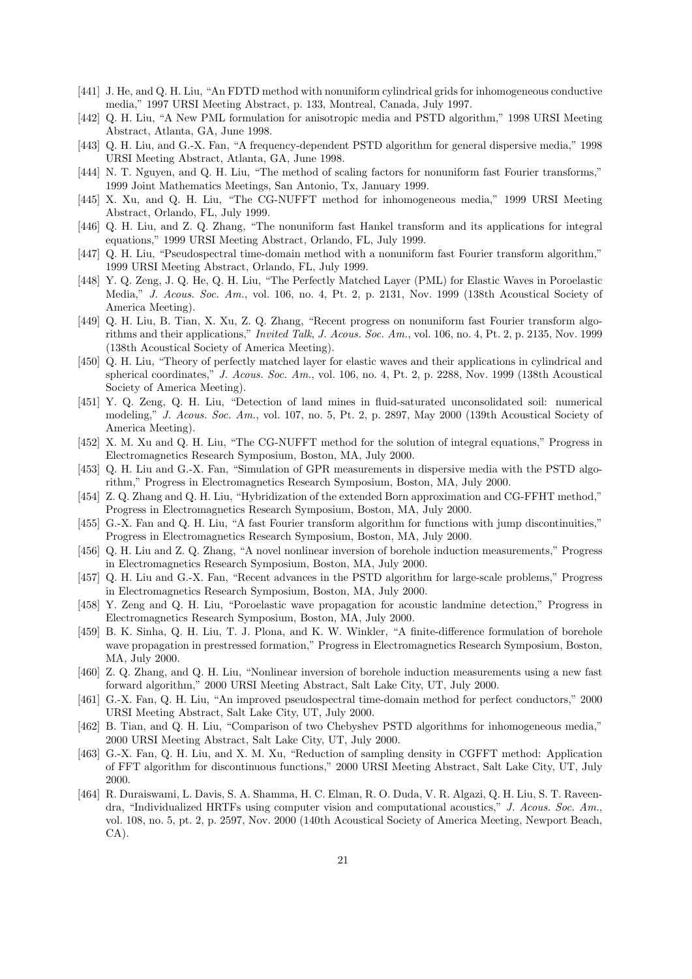- [441] J. He, and Q. H. Liu, "An FDTD method with nonuniform cylindrical grids for inhomogeneous conductive media," 1997 URSI Meeting Abstract, p. 133, Montreal, Canada, July 1997.
- [442] Q. H. Liu, "A New PML formulation for anisotropic media and PSTD algorithm," 1998 URSI Meeting Abstract, Atlanta, GA, June 1998.
- [443] Q. H. Liu, and G.-X. Fan, "A frequency-dependent PSTD algorithm for general dispersive media," 1998 URSI Meeting Abstract, Atlanta, GA, June 1998.
- [444] N. T. Nguyen, and Q. H. Liu, "The method of scaling factors for nonuniform fast Fourier transforms," 1999 Joint Mathematics Meetings, San Antonio, Tx, January 1999.
- [445] X. Xu, and Q. H. Liu, "The CG-NUFFT method for inhomogeneous media," 1999 URSI Meeting Abstract, Orlando, FL, July 1999.
- [446] Q. H. Liu, and Z. Q. Zhang, "The nonuniform fast Hankel transform and its applications for integral equations," 1999 URSI Meeting Abstract, Orlando, FL, July 1999.
- [447] Q. H. Liu, "Pseudospectral time-domain method with a nonuniform fast Fourier transform algorithm," 1999 URSI Meeting Abstract, Orlando, FL, July 1999.
- [448] Y. Q. Zeng, J. Q. He, Q. H. Liu, "The Perfectly Matched Layer (PML) for Elastic Waves in Poroelastic Media," *J. Acous. Soc. Am.*, vol. 106, no. 4, Pt. 2, p. 2131, Nov. 1999 (138th Acoustical Society of America Meeting).
- [449] Q. H. Liu, B. Tian, X. Xu, Z. Q. Zhang, "Recent progress on nonuniform fast Fourier transform algorithms and their applications," *Invited Talk*, *J. Acous. Soc. Am.*, vol. 106, no. 4, Pt. 2, p. 2135, Nov. 1999 (138th Acoustical Society of America Meeting).
- [450] Q. H. Liu, "Theory of perfectly matched layer for elastic waves and their applications in cylindrical and spherical coordinates," *J. Acous. Soc. Am.*, vol. 106, no. 4, Pt. 2, p. 2288, Nov. 1999 (138th Acoustical Society of America Meeting).
- [451] Y. Q. Zeng, Q. H. Liu, "Detection of land mines in fluid-saturated unconsolidated soil: numerical modeling," *J. Acous. Soc. Am.*, vol. 107, no. 5, Pt. 2, p. 2897, May 2000 (139th Acoustical Society of America Meeting).
- [452] X. M. Xu and Q. H. Liu, "The CG-NUFFT method for the solution of integral equations," Progress in Electromagnetics Research Symposium, Boston, MA, July 2000.
- [453] Q. H. Liu and G.-X. Fan, "Simulation of GPR measurements in dispersive media with the PSTD algorithm," Progress in Electromagnetics Research Symposium, Boston, MA, July 2000.
- [454] Z. Q. Zhang and Q. H. Liu, "Hybridization of the extended Born approximation and CG-FFHT method," Progress in Electromagnetics Research Symposium, Boston, MA, July 2000.
- [455] G.-X. Fan and Q. H. Liu, "A fast Fourier transform algorithm for functions with jump discontinuities," Progress in Electromagnetics Research Symposium, Boston, MA, July 2000.
- [456] Q. H. Liu and Z. Q. Zhang, "A novel nonlinear inversion of borehole induction measurements," Progress in Electromagnetics Research Symposium, Boston, MA, July 2000.
- [457] Q. H. Liu and G.-X. Fan, "Recent advances in the PSTD algorithm for large-scale problems," Progress in Electromagnetics Research Symposium, Boston, MA, July 2000.
- [458] Y. Zeng and Q. H. Liu, "Poroelastic wave propagation for acoustic landmine detection," Progress in Electromagnetics Research Symposium, Boston, MA, July 2000.
- [459] B. K. Sinha, Q. H. Liu, T. J. Plona, and K. W. Winkler, "A finite-difference formulation of borehole wave propagation in prestressed formation," Progress in Electromagnetics Research Symposium, Boston, MA, July 2000.
- [460] Z. Q. Zhang, and Q. H. Liu, "Nonlinear inversion of borehole induction measurements using a new fast forward algorithm," 2000 URSI Meeting Abstract, Salt Lake City, UT, July 2000.
- [461] G.-X. Fan, Q. H. Liu, "An improved pseudospectral time-domain method for perfect conductors," 2000 URSI Meeting Abstract, Salt Lake City, UT, July 2000.
- [462] B. Tian, and Q. H. Liu, "Comparison of two Chebyshev PSTD algorithms for inhomogeneous media," 2000 URSI Meeting Abstract, Salt Lake City, UT, July 2000.
- [463] G.-X. Fan, Q. H. Liu, and X. M. Xu, "Reduction of sampling density in CGFFT method: Application of FFT algorithm for discontinuous functions," 2000 URSI Meeting Abstract, Salt Lake City, UT, July 2000.
- [464] R. Duraiswami, L. Davis, S. A. Shamma, H. C. Elman, R. O. Duda, V. R. Algazi, Q. H. Liu, S. T. Raveendra, "Individualized HRTFs using computer vision and computational acoustics," *J. Acous. Soc. Am.*, vol. 108, no. 5, pt. 2, p. 2597, Nov. 2000 (140th Acoustical Society of America Meeting, Newport Beach, CA).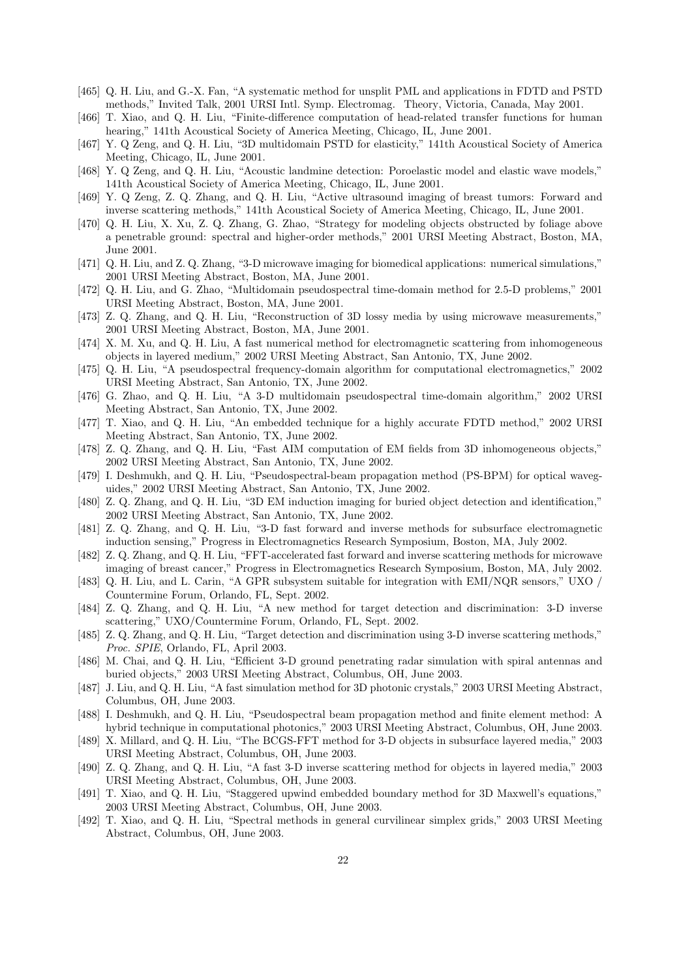- [465] Q. H. Liu, and G.-X. Fan, "A systematic method for unsplit PML and applications in FDTD and PSTD methods," Invited Talk, 2001 URSI Intl. Symp. Electromag. Theory, Victoria, Canada, May 2001.
- [466] T. Xiao, and Q. H. Liu, "Finite-difference computation of head-related transfer functions for human hearing," 141th Acoustical Society of America Meeting, Chicago, IL, June 2001.
- [467] Y. Q Zeng, and Q. H. Liu, "3D multidomain PSTD for elasticity," 141th Acoustical Society of America Meeting, Chicago, IL, June 2001.
- [468] Y. Q Zeng, and Q. H. Liu, "Acoustic landmine detection: Poroelastic model and elastic wave models," 141th Acoustical Society of America Meeting, Chicago, IL, June 2001.
- [469] Y. Q Zeng, Z. Q. Zhang, and Q. H. Liu, "Active ultrasound imaging of breast tumors: Forward and inverse scattering methods," 141th Acoustical Society of America Meeting, Chicago, IL, June 2001.
- [470] Q. H. Liu, X. Xu, Z. Q. Zhang, G. Zhao, "Strategy for modeling objects obstructed by foliage above a penetrable ground: spectral and higher-order methods," 2001 URSI Meeting Abstract, Boston, MA, June 2001.
- [471] Q. H. Liu, and Z. Q. Zhang, "3-D microwave imaging for biomedical applications: numerical simulations," 2001 URSI Meeting Abstract, Boston, MA, June 2001.
- [472] Q. H. Liu, and G. Zhao, "Multidomain pseudospectral time-domain method for 2.5-D problems," 2001 URSI Meeting Abstract, Boston, MA, June 2001.
- [473] Z. Q. Zhang, and Q. H. Liu, "Reconstruction of 3D lossy media by using microwave measurements," 2001 URSI Meeting Abstract, Boston, MA, June 2001.
- [474] X. M. Xu, and Q. H. Liu, A fast numerical method for electromagnetic scattering from inhomogeneous objects in layered medium," 2002 URSI Meeting Abstract, San Antonio, TX, June 2002.
- [475] Q. H. Liu, "A pseudospectral frequency-domain algorithm for computational electromagnetics," 2002 URSI Meeting Abstract, San Antonio, TX, June 2002.
- [476] G. Zhao, and Q. H. Liu, "A 3-D multidomain pseudospectral time-domain algorithm," 2002 URSI Meeting Abstract, San Antonio, TX, June 2002.
- [477] T. Xiao, and Q. H. Liu, "An embedded technique for a highly accurate FDTD method," 2002 URSI Meeting Abstract, San Antonio, TX, June 2002.
- [478] Z. Q. Zhang, and Q. H. Liu, "Fast AIM computation of EM fields from 3D inhomogeneous objects," 2002 URSI Meeting Abstract, San Antonio, TX, June 2002.
- [479] I. Deshmukh, and Q. H. Liu, "Pseudospectral-beam propagation method (PS-BPM) for optical waveguides," 2002 URSI Meeting Abstract, San Antonio, TX, June 2002.
- [480] Z. Q. Zhang, and Q. H. Liu, "3D EM induction imaging for buried object detection and identification," 2002 URSI Meeting Abstract, San Antonio, TX, June 2002.
- [481] Z. Q. Zhang, and Q. H. Liu, "3-D fast forward and inverse methods for subsurface electromagnetic induction sensing," Progress in Electromagnetics Research Symposium, Boston, MA, July 2002.
- [482] Z. Q. Zhang, and Q. H. Liu, "FFT-accelerated fast forward and inverse scattering methods for microwave imaging of breast cancer," Progress in Electromagnetics Research Symposium, Boston, MA, July 2002.
- [483] Q. H. Liu, and L. Carin, "A GPR subsystem suitable for integration with EMI/NQR sensors," UXO / Countermine Forum, Orlando, FL, Sept. 2002.
- [484] Z. Q. Zhang, and Q. H. Liu, "A new method for target detection and discrimination: 3-D inverse scattering," UXO/Countermine Forum, Orlando, FL, Sept. 2002.
- [485] Z. Q. Zhang, and Q. H. Liu, "Target detection and discrimination using 3-D inverse scattering methods," *Proc. SPIE*, Orlando, FL, April 2003.
- [486] M. Chai, and Q. H. Liu, "Efficient 3-D ground penetrating radar simulation with spiral antennas and buried objects," 2003 URSI Meeting Abstract, Columbus, OH, June 2003.
- [487] J. Liu, and Q. H. Liu, "A fast simulation method for 3D photonic crystals," 2003 URSI Meeting Abstract, Columbus, OH, June 2003.
- [488] I. Deshmukh, and Q. H. Liu, "Pseudospectral beam propagation method and finite element method: A hybrid technique in computational photonics," 2003 URSI Meeting Abstract, Columbus, OH, June 2003.
- [489] X. Millard, and Q. H. Liu, "The BCGS-FFT method for 3-D objects in subsurface layered media," 2003 URSI Meeting Abstract, Columbus, OH, June 2003.
- [490] Z. Q. Zhang, and Q. H. Liu, "A fast 3-D inverse scattering method for objects in layered media," 2003 URSI Meeting Abstract, Columbus, OH, June 2003.
- [491] T. Xiao, and Q. H. Liu, "Staggered upwind embedded boundary method for 3D Maxwell's equations," 2003 URSI Meeting Abstract, Columbus, OH, June 2003.
- [492] T. Xiao, and Q. H. Liu, "Spectral methods in general curvilinear simplex grids," 2003 URSI Meeting Abstract, Columbus, OH, June 2003.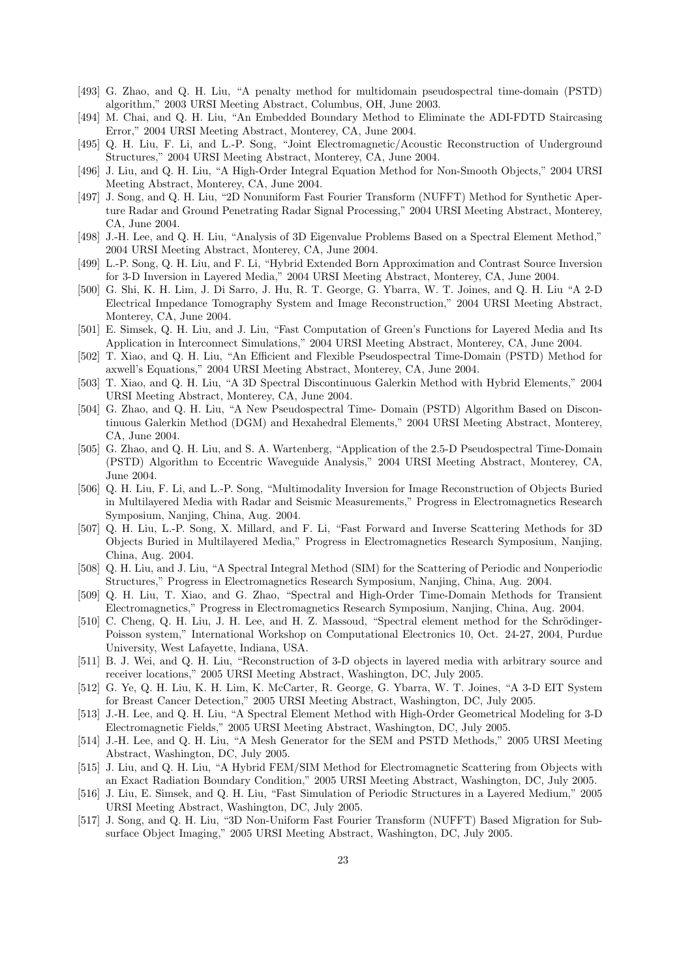- [493] G. Zhao, and Q. H. Liu, "A penalty method for multidomain pseudospectral time-domain (PSTD) algorithm," 2003 URSI Meeting Abstract, Columbus, OH, June 2003.
- [494] M. Chai, and Q. H. Liu, "An Embedded Boundary Method to Eliminate the ADI-FDTD Staircasing Error," 2004 URSI Meeting Abstract, Monterey, CA, June 2004.
- [495] Q. H. Liu, F. Li, and L.-P. Song, "Joint Electromagnetic/Acoustic Reconstruction of Underground Structures," 2004 URSI Meeting Abstract, Monterey, CA, June 2004.
- [496] J. Liu, and Q. H. Liu, "A High-Order Integral Equation Method for Non-Smooth Objects," 2004 URSI Meeting Abstract, Monterey, CA, June 2004.
- [497] J. Song, and Q. H. Liu, "2D Nonuniform Fast Fourier Transform (NUFFT) Method for Synthetic Aperture Radar and Ground Penetrating Radar Signal Processing," 2004 URSI Meeting Abstract, Monterey, CA, June 2004.
- [498] J.-H. Lee, and Q. H. Liu, "Analysis of 3D Eigenvalue Problems Based on a Spectral Element Method," 2004 URSI Meeting Abstract, Monterey, CA, June 2004.
- [499] L.-P. Song, Q. H. Liu, and F. Li, "Hybrid Extended Born Approximation and Contrast Source Inversion for 3-D Inversion in Layered Media," 2004 URSI Meeting Abstract, Monterey, CA, June 2004.
- [500] G. Shi, K. H. Lim, J. Di Sarro, J. Hu, R. T. George, G. Ybarra, W. T. Joines, and Q. H. Liu "A 2-D Electrical Impedance Tomography System and Image Reconstruction," 2004 URSI Meeting Abstract, Monterey, CA, June 2004.
- [501] E. Simsek, Q. H. Liu, and J. Liu, "Fast Computation of Green's Functions for Layered Media and Its Application in Interconnect Simulations," 2004 URSI Meeting Abstract, Monterey, CA, June 2004.
- [502] T. Xiao, and Q. H. Liu, "An Efficient and Flexible Pseudospectral Time-Domain (PSTD) Method for axwell's Equations," 2004 URSI Meeting Abstract, Monterey, CA, June 2004.
- [503] T. Xiao, and Q. H. Liu, "A 3D Spectral Discontinuous Galerkin Method with Hybrid Elements," 2004 URSI Meeting Abstract, Monterey, CA, June 2004.
- [504] G. Zhao, and Q. H. Liu, "A New Pseudospectral Time- Domain (PSTD) Algorithm Based on Discontinuous Galerkin Method (DGM) and Hexahedral Elements," 2004 URSI Meeting Abstract, Monterey, CA, June 2004.
- [505] G. Zhao, and Q. H. Liu, and S. A. Wartenberg, "Application of the 2.5-D Pseudospectral Time-Domain (PSTD) Algorithm to Eccentric Waveguide Analysis," 2004 URSI Meeting Abstract, Monterey, CA, June 2004.
- [506] Q. H. Liu, F. Li, and L.-P. Song, "Multimodality Inversion for Image Reconstruction of Objects Buried in Multilayered Media with Radar and Seismic Measurements," Progress in Electromagnetics Research Symposium, Nanjing, China, Aug. 2004.
- [507] Q. H. Liu, L.-P. Song, X. Millard, and F. Li, "Fast Forward and Inverse Scattering Methods for 3D Objects Buried in Multilayered Media," Progress in Electromagnetics Research Symposium, Nanjing, China, Aug. 2004.
- [508] Q. H. Liu, and J. Liu, "A Spectral Integral Method (SIM) for the Scattering of Periodic and Nonperiodic Structures," Progress in Electromagnetics Research Symposium, Nanjing, China, Aug. 2004.
- [509] Q. H. Liu, T. Xiao, and G. Zhao, "Spectral and High-Order Time-Domain Methods for Transient Electromagnetics," Progress in Electromagnetics Research Symposium, Nanjing, China, Aug. 2004.
- [510] C. Cheng, Q. H. Liu, J. H. Lee, and H. Z. Massoud, "Spectral element method for the Schrödinger-Poisson system," International Workshop on Computational Electronics 10, Oct. 24-27, 2004, Purdue University, West Lafayette, Indiana, USA.
- [511] B. J. Wei, and Q. H. Liu, "Reconstruction of 3-D objects in layered media with arbitrary source and receiver locations," 2005 URSI Meeting Abstract, Washington, DC, July 2005.
- [512] G. Ye, Q. H. Liu, K. H. Lim, K. McCarter, R. George, G. Ybarra, W. T. Joines, "A 3-D EIT System for Breast Cancer Detection," 2005 URSI Meeting Abstract, Washington, DC, July 2005.
- [513] J.-H. Lee, and Q. H. Liu, "A Spectral Element Method with High-Order Geometrical Modeling for 3-D Electromagnetic Fields," 2005 URSI Meeting Abstract, Washington, DC, July 2005.
- [514] J.-H. Lee, and Q. H. Liu, "A Mesh Generator for the SEM and PSTD Methods," 2005 URSI Meeting Abstract, Washington, DC, July 2005.
- [515] J. Liu, and Q. H. Liu, "A Hybrid FEM/SIM Method for Electromagnetic Scattering from Objects with an Exact Radiation Boundary Condition," 2005 URSI Meeting Abstract, Washington, DC, July 2005.
- [516] J. Liu, E. Simsek, and Q. H. Liu, "Fast Simulation of Periodic Structures in a Layered Medium," 2005 URSI Meeting Abstract, Washington, DC, July 2005.
- [517] J. Song, and Q. H. Liu, "3D Non-Uniform Fast Fourier Transform (NUFFT) Based Migration for Subsurface Object Imaging," 2005 URSI Meeting Abstract, Washington, DC, July 2005.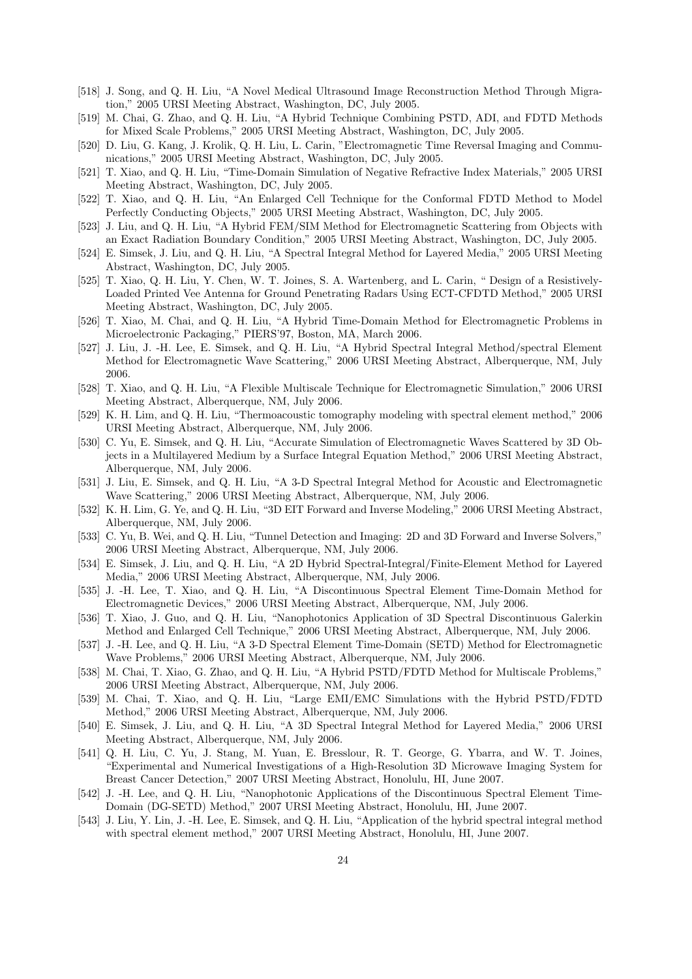- [518] J. Song, and Q. H. Liu, "A Novel Medical Ultrasound Image Reconstruction Method Through Migration," 2005 URSI Meeting Abstract, Washington, DC, July 2005.
- [519] M. Chai, G. Zhao, and Q. H. Liu, "A Hybrid Technique Combining PSTD, ADI, and FDTD Methods for Mixed Scale Problems," 2005 URSI Meeting Abstract, Washington, DC, July 2005.
- [520] D. Liu, G. Kang, J. Krolik, Q. H. Liu, L. Carin, "Electromagnetic Time Reversal Imaging and Communications," 2005 URSI Meeting Abstract, Washington, DC, July 2005.
- [521] T. Xiao, and Q. H. Liu, "Time-Domain Simulation of Negative Refractive Index Materials," 2005 URSI Meeting Abstract, Washington, DC, July 2005.
- [522] T. Xiao, and Q. H. Liu, "An Enlarged Cell Technique for the Conformal FDTD Method to Model Perfectly Conducting Objects," 2005 URSI Meeting Abstract, Washington, DC, July 2005.
- [523] J. Liu, and Q. H. Liu, "A Hybrid FEM/SIM Method for Electromagnetic Scattering from Objects with an Exact Radiation Boundary Condition," 2005 URSI Meeting Abstract, Washington, DC, July 2005.
- [524] E. Simsek, J. Liu, and Q. H. Liu, "A Spectral Integral Method for Layered Media," 2005 URSI Meeting Abstract, Washington, DC, July 2005.
- [525] T. Xiao, Q. H. Liu, Y. Chen, W. T. Joines, S. A. Wartenberg, and L. Carin, " Design of a Resistively-Loaded Printed Vee Antenna for Ground Penetrating Radars Using ECT-CFDTD Method," 2005 URSI Meeting Abstract, Washington, DC, July 2005.
- [526] T. Xiao, M. Chai, and Q. H. Liu, "A Hybrid Time-Domain Method for Electromagnetic Problems in Microelectronic Packaging," PIERS'97, Boston, MA, March 2006.
- [527] J. Liu, J. -H. Lee, E. Simsek, and Q. H. Liu, "A Hybrid Spectral Integral Method/spectral Element Method for Electromagnetic Wave Scattering," 2006 URSI Meeting Abstract, Alberquerque, NM, July 2006.
- [528] T. Xiao, and Q. H. Liu, "A Flexible Multiscale Technique for Electromagnetic Simulation," 2006 URSI Meeting Abstract, Alberquerque, NM, July 2006.
- [529] K. H. Lim, and Q. H. Liu, "Thermoacoustic tomography modeling with spectral element method," 2006 URSI Meeting Abstract, Alberquerque, NM, July 2006.
- [530] C. Yu, E. Simsek, and Q. H. Liu, "Accurate Simulation of Electromagnetic Waves Scattered by 3D Objects in a Multilayered Medium by a Surface Integral Equation Method," 2006 URSI Meeting Abstract, Alberquerque, NM, July 2006.
- [531] J. Liu, E. Simsek, and Q. H. Liu, "A 3-D Spectral Integral Method for Acoustic and Electromagnetic Wave Scattering," 2006 URSI Meeting Abstract, Alberquerque, NM, July 2006.
- [532] K. H. Lim, G. Ye, and Q. H. Liu, "3D EIT Forward and Inverse Modeling," 2006 URSI Meeting Abstract, Alberquerque, NM, July 2006.
- [533] C. Yu, B. Wei, and Q. H. Liu, "Tunnel Detection and Imaging: 2D and 3D Forward and Inverse Solvers," 2006 URSI Meeting Abstract, Alberquerque, NM, July 2006.
- [534] E. Simsek, J. Liu, and Q. H. Liu, "A 2D Hybrid Spectral-Integral/Finite-Element Method for Layered Media," 2006 URSI Meeting Abstract, Alberquerque, NM, July 2006.
- [535] J. -H. Lee, T. Xiao, and Q. H. Liu, "A Discontinuous Spectral Element Time-Domain Method for Electromagnetic Devices," 2006 URSI Meeting Abstract, Alberquerque, NM, July 2006.
- [536] T. Xiao, J. Guo, and Q. H. Liu, "Nanophotonics Application of 3D Spectral Discontinuous Galerkin Method and Enlarged Cell Technique," 2006 URSI Meeting Abstract, Alberquerque, NM, July 2006.
- [537] J. -H. Lee, and Q. H. Liu, "A 3-D Spectral Element Time-Domain (SETD) Method for Electromagnetic Wave Problems," 2006 URSI Meeting Abstract, Alberquerque, NM, July 2006.
- [538] M. Chai, T. Xiao, G. Zhao, and Q. H. Liu, "A Hybrid PSTD/FDTD Method for Multiscale Problems," 2006 URSI Meeting Abstract, Alberquerque, NM, July 2006.
- [539] M. Chai, T. Xiao, and Q. H. Liu, "Large EMI/EMC Simulations with the Hybrid PSTD/FDTD Method," 2006 URSI Meeting Abstract, Alberquerque, NM, July 2006.
- [540] E. Simsek, J. Liu, and Q. H. Liu, "A 3D Spectral Integral Method for Layered Media," 2006 URSI Meeting Abstract, Alberquerque, NM, July 2006.
- [541] Q. H. Liu, C. Yu, J. Stang, M. Yuan, E. Bresslour, R. T. George, G. Ybarra, and W. T. Joines, "Experimental and Numerical Investigations of a High-Resolution 3D Microwave Imaging System for Breast Cancer Detection," 2007 URSI Meeting Abstract, Honolulu, HI, June 2007.
- [542] J. -H. Lee, and Q. H. Liu, "Nanophotonic Applications of the Discontinuous Spectral Element Time-Domain (DG-SETD) Method," 2007 URSI Meeting Abstract, Honolulu, HI, June 2007.
- [543] J. Liu, Y. Lin, J. -H. Lee, E. Simsek, and Q. H. Liu, "Application of the hybrid spectral integral method with spectral element method," 2007 URSI Meeting Abstract, Honolulu, HI, June 2007.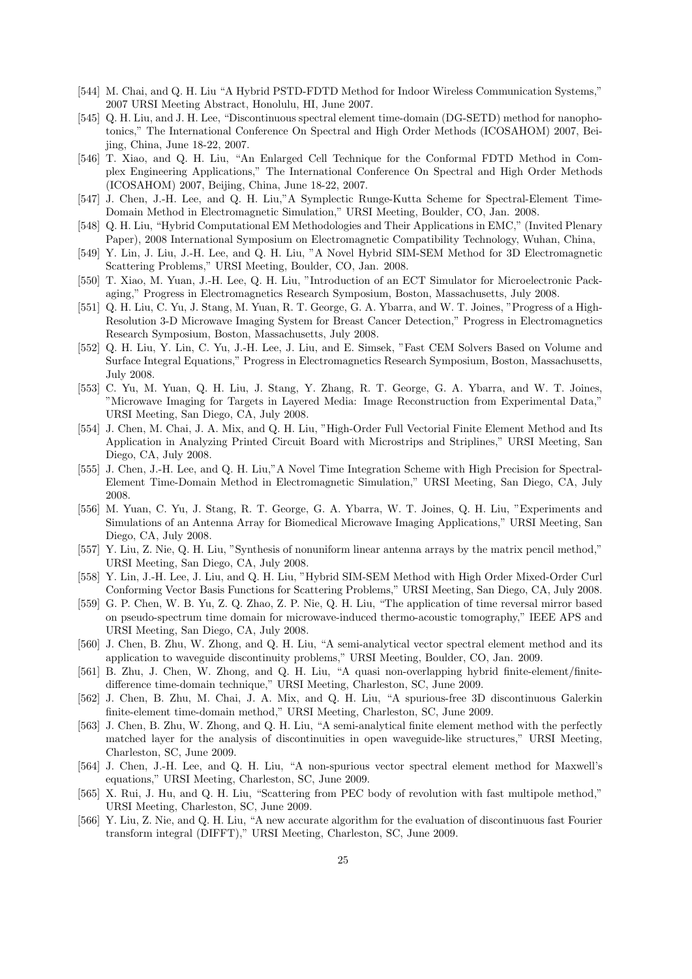- [544] M. Chai, and Q. H. Liu "A Hybrid PSTD-FDTD Method for Indoor Wireless Communication Systems," 2007 URSI Meeting Abstract, Honolulu, HI, June 2007.
- [545] Q. H. Liu, and J. H. Lee, "Discontinuous spectral element time-domain (DG-SETD) method for nanophotonics," The International Conference On Spectral and High Order Methods (ICOSAHOM) 2007, Beijing, China, June 18-22, 2007.
- [546] T. Xiao, and Q. H. Liu, "An Enlarged Cell Technique for the Conformal FDTD Method in Complex Engineering Applications," The International Conference On Spectral and High Order Methods (ICOSAHOM) 2007, Beijing, China, June 18-22, 2007.
- [547] J. Chen, J.-H. Lee, and Q. H. Liu,"A Symplectic Runge-Kutta Scheme for Spectral-Element Time-Domain Method in Electromagnetic Simulation," URSI Meeting, Boulder, CO, Jan. 2008.
- [548] Q. H. Liu, "Hybrid Computational EM Methodologies and Their Applications in EMC," (Invited Plenary Paper), 2008 International Symposium on Electromagnetic Compatibility Technology, Wuhan, China,
- [549] Y. Lin, J. Liu, J.-H. Lee, and Q. H. Liu, "A Novel Hybrid SIM-SEM Method for 3D Electromagnetic Scattering Problems," URSI Meeting, Boulder, CO, Jan. 2008.
- [550] T. Xiao, M. Yuan, J.-H. Lee, Q. H. Liu, "Introduction of an ECT Simulator for Microelectronic Packaging," Progress in Electromagnetics Research Symposium, Boston, Massachusetts, July 2008.
- [551] Q. H. Liu, C. Yu, J. Stang, M. Yuan, R. T. George, G. A. Ybarra, and W. T. Joines, "Progress of a High-Resolution 3-D Microwave Imaging System for Breast Cancer Detection," Progress in Electromagnetics Research Symposium, Boston, Massachusetts, July 2008.
- [552] Q. H. Liu, Y. Lin, C. Yu, J.-H. Lee, J. Liu, and E. Simsek, "Fast CEM Solvers Based on Volume and Surface Integral Equations," Progress in Electromagnetics Research Symposium, Boston, Massachusetts, July 2008.
- [553] C. Yu, M. Yuan, Q. H. Liu, J. Stang, Y. Zhang, R. T. George, G. A. Ybarra, and W. T. Joines, "Microwave Imaging for Targets in Layered Media: Image Reconstruction from Experimental Data," URSI Meeting, San Diego, CA, July 2008.
- [554] J. Chen, M. Chai, J. A. Mix, and Q. H. Liu, "High-Order Full Vectorial Finite Element Method and Its Application in Analyzing Printed Circuit Board with Microstrips and Striplines," URSI Meeting, San Diego, CA, July 2008.
- [555] J. Chen, J.-H. Lee, and Q. H. Liu,"A Novel Time Integration Scheme with High Precision for Spectral-Element Time-Domain Method in Electromagnetic Simulation," URSI Meeting, San Diego, CA, July 2008.
- [556] M. Yuan, C. Yu, J. Stang, R. T. George, G. A. Ybarra, W. T. Joines, Q. H. Liu, "Experiments and Simulations of an Antenna Array for Biomedical Microwave Imaging Applications," URSI Meeting, San Diego, CA, July 2008.
- [557] Y. Liu, Z. Nie, Q. H. Liu, "Synthesis of nonuniform linear antenna arrays by the matrix pencil method," URSI Meeting, San Diego, CA, July 2008.
- [558] Y. Lin, J.-H. Lee, J. Liu, and Q. H. Liu, "Hybrid SIM-SEM Method with High Order Mixed-Order Curl Conforming Vector Basis Functions for Scattering Problems," URSI Meeting, San Diego, CA, July 2008.
- [559] G. P. Chen, W. B. Yu, Z. Q. Zhao, Z. P. Nie, Q. H. Liu, "The application of time reversal mirror based on pseudo-spectrum time domain for microwave-induced thermo-acoustic tomography," IEEE APS and URSI Meeting, San Diego, CA, July 2008.
- [560] J. Chen, B. Zhu, W. Zhong, and Q. H. Liu, "A semi-analytical vector spectral element method and its application to waveguide discontinuity problems," URSI Meeting, Boulder, CO, Jan. 2009.
- [561] B. Zhu, J. Chen, W. Zhong, and Q. H. Liu, "A quasi non-overlapping hybrid finite-element/finitedifference time-domain technique," URSI Meeting, Charleston, SC, June 2009.
- [562] J. Chen, B. Zhu, M. Chai, J. A. Mix, and Q. H. Liu, "A spurious-free 3D discontinuous Galerkin finite-element time-domain method," URSI Meeting, Charleston, SC, June 2009.
- [563] J. Chen, B. Zhu, W. Zhong, and Q. H. Liu, "A semi-analytical finite element method with the perfectly matched layer for the analysis of discontinuities in open waveguide-like structures," URSI Meeting, Charleston, SC, June 2009.
- [564] J. Chen, J.-H. Lee, and Q. H. Liu, "A non-spurious vector spectral element method for Maxwell's equations," URSI Meeting, Charleston, SC, June 2009.
- [565] X. Rui, J. Hu, and Q. H. Liu, "Scattering from PEC body of revolution with fast multipole method," URSI Meeting, Charleston, SC, June 2009.
- [566] Y. Liu, Z. Nie, and Q. H. Liu, "A new accurate algorithm for the evaluation of discontinuous fast Fourier transform integral (DIFFT)," URSI Meeting, Charleston, SC, June 2009.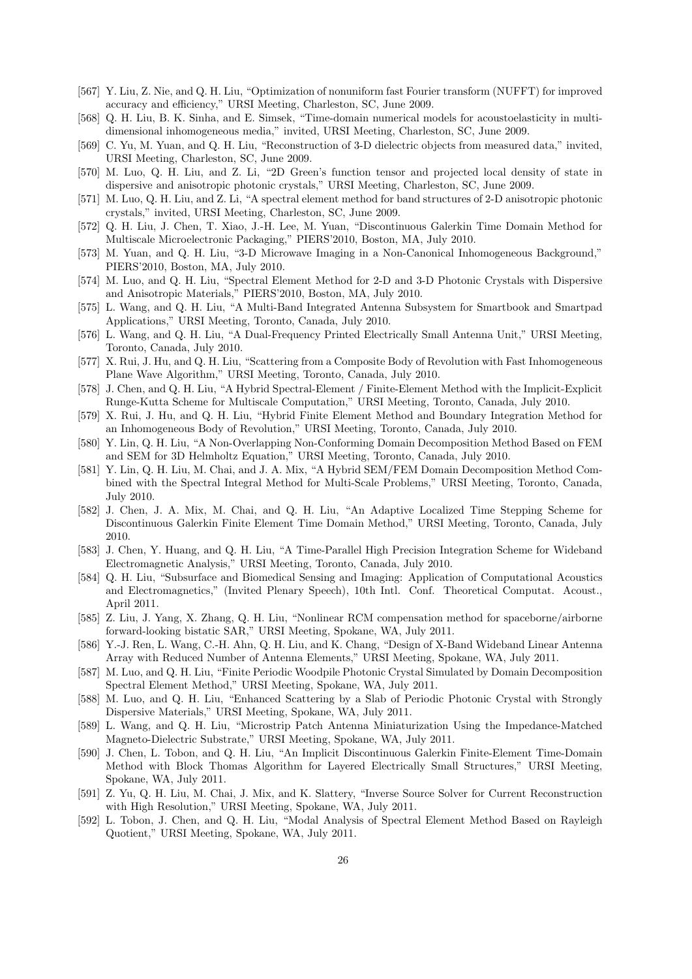- [567] Y. Liu, Z. Nie, and Q. H. Liu, "Optimization of nonuniform fast Fourier transform (NUFFT) for improved accuracy and efficiency," URSI Meeting, Charleston, SC, June 2009.
- [568] Q. H. Liu, B. K. Sinha, and E. Simsek, "Time-domain numerical models for acoustoelasticity in multidimensional inhomogeneous media," invited, URSI Meeting, Charleston, SC, June 2009.
- [569] C. Yu, M. Yuan, and Q. H. Liu, "Reconstruction of 3-D dielectric objects from measured data," invited, URSI Meeting, Charleston, SC, June 2009.
- [570] M. Luo, Q. H. Liu, and Z. Li, "2D Green's function tensor and projected local density of state in dispersive and anisotropic photonic crystals," URSI Meeting, Charleston, SC, June 2009.
- [571] M. Luo, Q. H. Liu, and Z. Li, "A spectral element method for band structures of 2-D anisotropic photonic crystals," invited, URSI Meeting, Charleston, SC, June 2009.
- [572] Q. H. Liu, J. Chen, T. Xiao, J.-H. Lee, M. Yuan, "Discontinuous Galerkin Time Domain Method for Multiscale Microelectronic Packaging," PIERS'2010, Boston, MA, July 2010.
- [573] M. Yuan, and Q. H. Liu, "3-D Microwave Imaging in a Non-Canonical Inhomogeneous Background," PIERS'2010, Boston, MA, July 2010.
- [574] M. Luo, and Q. H. Liu, "Spectral Element Method for 2-D and 3-D Photonic Crystals with Dispersive and Anisotropic Materials," PIERS'2010, Boston, MA, July 2010.
- [575] L. Wang, and Q. H. Liu, "A Multi-Band Integrated Antenna Subsystem for Smartbook and Smartpad Applications," URSI Meeting, Toronto, Canada, July 2010.
- [576] L. Wang, and Q. H. Liu, "A Dual-Frequency Printed Electrically Small Antenna Unit," URSI Meeting, Toronto, Canada, July 2010.
- [577] X. Rui, J. Hu, and Q. H. Liu, "Scattering from a Composite Body of Revolution with Fast Inhomogeneous Plane Wave Algorithm," URSI Meeting, Toronto, Canada, July 2010.
- [578] J. Chen, and Q. H. Liu, "A Hybrid Spectral-Element / Finite-Element Method with the Implicit-Explicit Runge-Kutta Scheme for Multiscale Computation," URSI Meeting, Toronto, Canada, July 2010.
- [579] X. Rui, J. Hu, and Q. H. Liu, "Hybrid Finite Element Method and Boundary Integration Method for an Inhomogeneous Body of Revolution," URSI Meeting, Toronto, Canada, July 2010.
- [580] Y. Lin, Q. H. Liu, "A Non-Overlapping Non-Conforming Domain Decomposition Method Based on FEM and SEM for 3D Helmholtz Equation," URSI Meeting, Toronto, Canada, July 2010.
- [581] Y. Lin, Q. H. Liu, M. Chai, and J. A. Mix, "A Hybrid SEM/FEM Domain Decomposition Method Combined with the Spectral Integral Method for Multi-Scale Problems," URSI Meeting, Toronto, Canada, July 2010.
- [582] J. Chen, J. A. Mix, M. Chai, and Q. H. Liu, "An Adaptive Localized Time Stepping Scheme for Discontinuous Galerkin Finite Element Time Domain Method," URSI Meeting, Toronto, Canada, July 2010.
- [583] J. Chen, Y. Huang, and Q. H. Liu, "A Time-Parallel High Precision Integration Scheme for Wideband Electromagnetic Analysis," URSI Meeting, Toronto, Canada, July 2010.
- [584] Q. H. Liu, "Subsurface and Biomedical Sensing and Imaging: Application of Computational Acoustics and Electromagnetics," (Invited Plenary Speech), 10th Intl. Conf. Theoretical Computat. Acoust., April 2011.
- [585] Z. Liu, J. Yang, X. Zhang, Q. H. Liu, "Nonlinear RCM compensation method for spaceborne/airborne forward-looking bistatic SAR," URSI Meeting, Spokane, WA, July 2011.
- [586] Y.-J. Ren, L. Wang, C.-H. Ahn, Q. H. Liu, and K. Chang, "Design of X-Band Wideband Linear Antenna Array with Reduced Number of Antenna Elements," URSI Meeting, Spokane, WA, July 2011.
- [587] M. Luo, and Q. H. Liu, "Finite Periodic Woodpile Photonic Crystal Simulated by Domain Decomposition Spectral Element Method," URSI Meeting, Spokane, WA, July 2011.
- [588] M. Luo, and Q. H. Liu, "Enhanced Scattering by a Slab of Periodic Photonic Crystal with Strongly Dispersive Materials," URSI Meeting, Spokane, WA, July 2011.
- [589] L. Wang, and Q. H. Liu, "Microstrip Patch Antenna Miniaturization Using the Impedance-Matched Magneto-Dielectric Substrate," URSI Meeting, Spokane, WA, July 2011.
- [590] J. Chen, L. Tobon, and Q. H. Liu, "An Implicit Discontinuous Galerkin Finite-Element Time-Domain Method with Block Thomas Algorithm for Layered Electrically Small Structures," URSI Meeting, Spokane, WA, July 2011.
- [591] Z. Yu, Q. H. Liu, M. Chai, J. Mix, and K. Slattery, "Inverse Source Solver for Current Reconstruction with High Resolution," URSI Meeting, Spokane, WA, July 2011.
- [592] L. Tobon, J. Chen, and Q. H. Liu, "Modal Analysis of Spectral Element Method Based on Rayleigh Quotient," URSI Meeting, Spokane, WA, July 2011.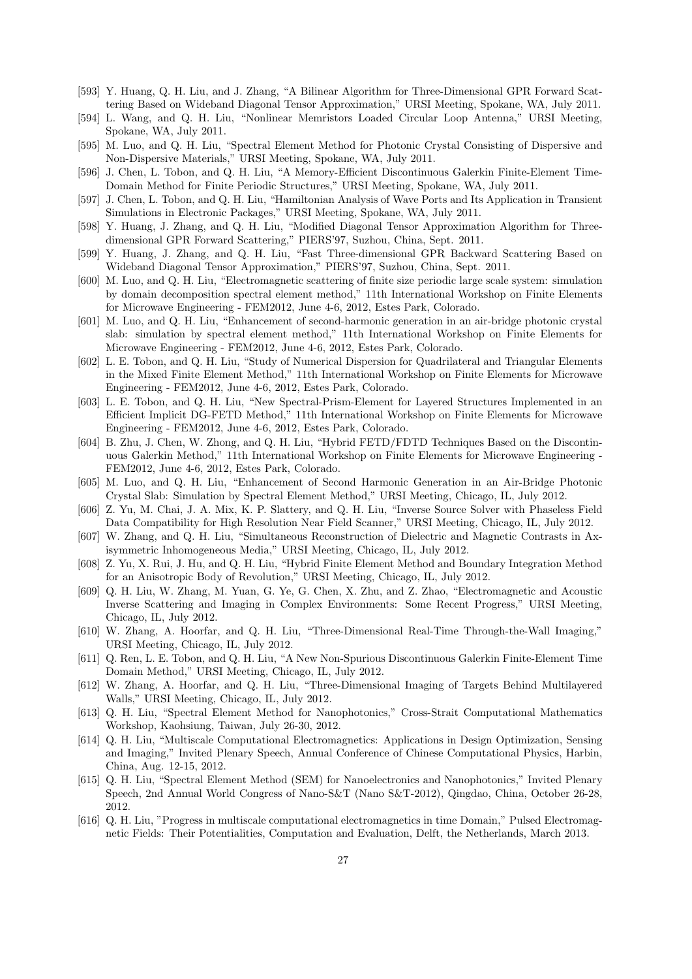- [593] Y. Huang, Q. H. Liu, and J. Zhang, "A Bilinear Algorithm for Three-Dimensional GPR Forward Scattering Based on Wideband Diagonal Tensor Approximation," URSI Meeting, Spokane, WA, July 2011.
- [594] L. Wang, and Q. H. Liu, "Nonlinear Memristors Loaded Circular Loop Antenna," URSI Meeting, Spokane, WA, July 2011.
- [595] M. Luo, and Q. H. Liu, "Spectral Element Method for Photonic Crystal Consisting of Dispersive and Non-Dispersive Materials," URSI Meeting, Spokane, WA, July 2011.
- [596] J. Chen, L. Tobon, and Q. H. Liu, "A Memory-Efficient Discontinuous Galerkin Finite-Element Time-Domain Method for Finite Periodic Structures," URSI Meeting, Spokane, WA, July 2011.
- [597] J. Chen, L. Tobon, and Q. H. Liu, "Hamiltonian Analysis of Wave Ports and Its Application in Transient Simulations in Electronic Packages," URSI Meeting, Spokane, WA, July 2011.
- [598] Y. Huang, J. Zhang, and Q. H. Liu, "Modified Diagonal Tensor Approximation Algorithm for Threedimensional GPR Forward Scattering," PIERS'97, Suzhou, China, Sept. 2011.
- [599] Y. Huang, J. Zhang, and Q. H. Liu, "Fast Three-dimensional GPR Backward Scattering Based on Wideband Diagonal Tensor Approximation," PIERS'97, Suzhou, China, Sept. 2011.
- [600] M. Luo, and Q. H. Liu, "Electromagnetic scattering of finite size periodic large scale system: simulation by domain decomposition spectral element method," 11th International Workshop on Finite Elements for Microwave Engineering - FEM2012, June 4-6, 2012, Estes Park, Colorado.
- [601] M. Luo, and Q. H. Liu, "Enhancement of second-harmonic generation in an air-bridge photonic crystal slab: simulation by spectral element method," 11th International Workshop on Finite Elements for Microwave Engineering - FEM2012, June 4-6, 2012, Estes Park, Colorado.
- [602] L. E. Tobon, and Q. H. Liu, "Study of Numerical Dispersion for Quadrilateral and Triangular Elements in the Mixed Finite Element Method," 11th International Workshop on Finite Elements for Microwave Engineering - FEM2012, June 4-6, 2012, Estes Park, Colorado.
- [603] L. E. Tobon, and Q. H. Liu, "New Spectral-Prism-Element for Layered Structures Implemented in an Efficient Implicit DG-FETD Method," 11th International Workshop on Finite Elements for Microwave Engineering - FEM2012, June 4-6, 2012, Estes Park, Colorado.
- [604] B. Zhu, J. Chen, W. Zhong, and Q. H. Liu, "Hybrid FETD/FDTD Techniques Based on the Discontinuous Galerkin Method," 11th International Workshop on Finite Elements for Microwave Engineering - FEM2012, June 4-6, 2012, Estes Park, Colorado.
- [605] M. Luo, and Q. H. Liu, "Enhancement of Second Harmonic Generation in an Air-Bridge Photonic Crystal Slab: Simulation by Spectral Element Method," URSI Meeting, Chicago, IL, July 2012.
- [606] Z. Yu, M. Chai, J. A. Mix, K. P. Slattery, and Q. H. Liu, "Inverse Source Solver with Phaseless Field Data Compatibility for High Resolution Near Field Scanner," URSI Meeting, Chicago, IL, July 2012.
- [607] W. Zhang, and Q. H. Liu, "Simultaneous Reconstruction of Dielectric and Magnetic Contrasts in Axisymmetric Inhomogeneous Media," URSI Meeting, Chicago, IL, July 2012.
- [608] Z. Yu, X. Rui, J. Hu, and Q. H. Liu, "Hybrid Finite Element Method and Boundary Integration Method for an Anisotropic Body of Revolution," URSI Meeting, Chicago, IL, July 2012.
- [609] Q. H. Liu, W. Zhang, M. Yuan, G. Ye, G. Chen, X. Zhu, and Z. Zhao, "Electromagnetic and Acoustic Inverse Scattering and Imaging in Complex Environments: Some Recent Progress," URSI Meeting, Chicago, IL, July 2012.
- [610] W. Zhang, A. Hoorfar, and Q. H. Liu, "Three-Dimensional Real-Time Through-the-Wall Imaging," URSI Meeting, Chicago, IL, July 2012.
- [611] Q. Ren, L. E. Tobon, and Q. H. Liu, "A New Non-Spurious Discontinuous Galerkin Finite-Element Time Domain Method," URSI Meeting, Chicago, IL, July 2012.
- [612] W. Zhang, A. Hoorfar, and Q. H. Liu, "Three-Dimensional Imaging of Targets Behind Multilayered Walls," URSI Meeting, Chicago, IL, July 2012.
- [613] Q. H. Liu, "Spectral Element Method for Nanophotonics," Cross-Strait Computational Mathematics Workshop, Kaohsiung, Taiwan, July 26-30, 2012.
- [614] Q. H. Liu, "Multiscale Computational Electromagnetics: Applications in Design Optimization, Sensing and Imaging," Invited Plenary Speech, Annual Conference of Chinese Computational Physics, Harbin, China, Aug. 12-15, 2012.
- [615] Q. H. Liu, "Spectral Element Method (SEM) for Nanoelectronics and Nanophotonics," Invited Plenary Speech, 2nd Annual World Congress of Nano-S&T (Nano S&T-2012), Qingdao, China, October 26-28, 2012.
- [616] Q. H. Liu, "Progress in multiscale computational electromagnetics in time Domain," Pulsed Electromagnetic Fields: Their Potentialities, Computation and Evaluation, Delft, the Netherlands, March 2013.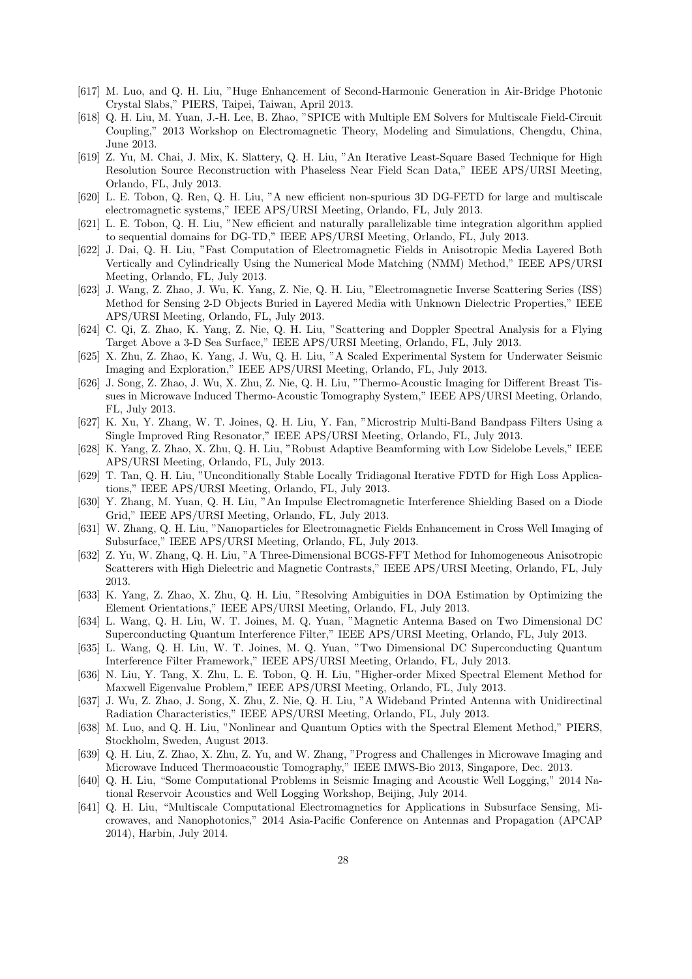- [617] M. Luo, and Q. H. Liu, "Huge Enhancement of Second-Harmonic Generation in Air-Bridge Photonic Crystal Slabs," PIERS, Taipei, Taiwan, April 2013.
- [618] Q. H. Liu, M. Yuan, J.-H. Lee, B. Zhao, "SPICE with Multiple EM Solvers for Multiscale Field-Circuit Coupling," 2013 Workshop on Electromagnetic Theory, Modeling and Simulations, Chengdu, China, June 2013.
- [619] Z. Yu, M. Chai, J. Mix, K. Slattery, Q. H. Liu, "An Iterative Least-Square Based Technique for High Resolution Source Reconstruction with Phaseless Near Field Scan Data," IEEE APS/URSI Meeting, Orlando, FL, July 2013.
- [620] L. E. Tobon, Q. Ren, Q. H. Liu, "A new efficient non-spurious 3D DG-FETD for large and multiscale electromagnetic systems," IEEE APS/URSI Meeting, Orlando, FL, July 2013.
- [621] L. E. Tobon, Q. H. Liu, "New efficient and naturally parallelizable time integration algorithm applied to sequential domains for DG-TD," IEEE APS/URSI Meeting, Orlando, FL, July 2013.
- [622] J. Dai, Q. H. Liu, "Fast Computation of Electromagnetic Fields in Anisotropic Media Layered Both Vertically and Cylindrically Using the Numerical Mode Matching (NMM) Method," IEEE APS/URSI Meeting, Orlando, FL, July 2013.
- [623] J. Wang, Z. Zhao, J. Wu, K. Yang, Z. Nie, Q. H. Liu, "Electromagnetic Inverse Scattering Series (ISS) Method for Sensing 2-D Objects Buried in Layered Media with Unknown Dielectric Properties," IEEE APS/URSI Meeting, Orlando, FL, July 2013.
- [624] C. Qi, Z. Zhao, K. Yang, Z. Nie, Q. H. Liu, "Scattering and Doppler Spectral Analysis for a Flying Target Above a 3-D Sea Surface," IEEE APS/URSI Meeting, Orlando, FL, July 2013.
- [625] X. Zhu, Z. Zhao, K. Yang, J. Wu, Q. H. Liu, "A Scaled Experimental System for Underwater Seismic Imaging and Exploration," IEEE APS/URSI Meeting, Orlando, FL, July 2013.
- [626] J. Song, Z. Zhao, J. Wu, X. Zhu, Z. Nie, Q. H. Liu, "Thermo-Acoustic Imaging for Different Breast Tissues in Microwave Induced Thermo-Acoustic Tomography System," IEEE APS/URSI Meeting, Orlando, FL, July 2013.
- [627] K. Xu, Y. Zhang, W. T. Joines, Q. H. Liu, Y. Fan, "Microstrip Multi-Band Bandpass Filters Using a Single Improved Ring Resonator," IEEE APS/URSI Meeting, Orlando, FL, July 2013.
- [628] K. Yang, Z. Zhao, X. Zhu, Q. H. Liu, "Robust Adaptive Beamforming with Low Sidelobe Levels," IEEE APS/URSI Meeting, Orlando, FL, July 2013.
- [629] T. Tan, Q. H. Liu, "Unconditionally Stable Locally Tridiagonal Iterative FDTD for High Loss Applications," IEEE APS/URSI Meeting, Orlando, FL, July 2013.
- [630] Y. Zhang, M. Yuan, Q. H. Liu, "An Impulse Electromagnetic Interference Shielding Based on a Diode Grid," IEEE APS/URSI Meeting, Orlando, FL, July 2013.
- [631] W. Zhang, Q. H. Liu, "Nanoparticles for Electromagnetic Fields Enhancement in Cross Well Imaging of Subsurface," IEEE APS/URSI Meeting, Orlando, FL, July 2013.
- [632] Z. Yu, W. Zhang, Q. H. Liu, "A Three-Dimensional BCGS-FFT Method for Inhomogeneous Anisotropic Scatterers with High Dielectric and Magnetic Contrasts," IEEE APS/URSI Meeting, Orlando, FL, July 2013.
- [633] K. Yang, Z. Zhao, X. Zhu, Q. H. Liu, "Resolving Ambiguities in DOA Estimation by Optimizing the Element Orientations," IEEE APS/URSI Meeting, Orlando, FL, July 2013.
- [634] L. Wang, Q. H. Liu, W. T. Joines, M. Q. Yuan, "Magnetic Antenna Based on Two Dimensional DC Superconducting Quantum Interference Filter," IEEE APS/URSI Meeting, Orlando, FL, July 2013.
- [635] L. Wang, Q. H. Liu, W. T. Joines, M. Q. Yuan, "Two Dimensional DC Superconducting Quantum Interference Filter Framework," IEEE APS/URSI Meeting, Orlando, FL, July 2013.
- [636] N. Liu, Y. Tang, X. Zhu, L. E. Tobon, Q. H. Liu, "Higher-order Mixed Spectral Element Method for Maxwell Eigenvalue Problem," IEEE APS/URSI Meeting, Orlando, FL, July 2013.
- [637] J. Wu, Z. Zhao, J. Song, X. Zhu, Z. Nie, Q. H. Liu, "A Wideband Printed Antenna with Unidirectinal Radiation Characteristics," IEEE APS/URSI Meeting, Orlando, FL, July 2013.
- [638] M. Luo, and Q. H. Liu, "Nonlinear and Quantum Optics with the Spectral Element Method," PIERS, Stockholm, Sweden, August 2013.
- [639] Q. H. Liu, Z. Zhao, X. Zhu, Z. Yu, and W. Zhang, "Progress and Challenges in Microwave Imaging and Microwave Induced Thermoacoustic Tomography," IEEE IMWS-Bio 2013, Singapore, Dec. 2013.
- [640] Q. H. Liu, "Some Computational Problems in Seismic Imaging and Acoustic Well Logging," 2014 National Reservoir Acoustics and Well Logging Workshop, Beijing, July 2014.
- [641] Q. H. Liu, "Multiscale Computational Electromagnetics for Applications in Subsurface Sensing, Microwaves, and Nanophotonics," 2014 Asia-Pacific Conference on Antennas and Propagation (APCAP 2014), Harbin, July 2014.